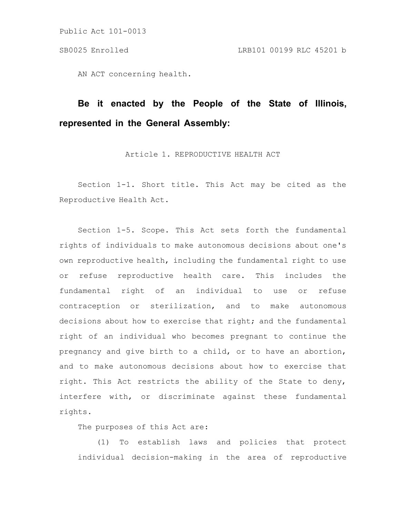AN ACT concerning health.

# **Be it enacted by the People of the State of Illinois, represented in the General Assembly:**

Article 1. REPRODUCTIVE HEALTH ACT

Section 1-1. Short title. This Act may be cited as the Reproductive Health Act.

Section 1-5. Scope. This Act sets forth the fundamental rights of individuals to make autonomous decisions about one's own reproductive health, including the fundamental right to use or refuse reproductive health care. This includes the fundamental right of an individual to use or refuse contraception or sterilization, and to make autonomous decisions about how to exercise that right; and the fundamental right of an individual who becomes pregnant to continue the pregnancy and give birth to a child, or to have an abortion, and to make autonomous decisions about how to exercise that right. This Act restricts the ability of the State to deny, interfere with, or discriminate against these fundamental rights.

The purposes of this Act are:

(1) To establish laws and policies that protect individual decision-making in the area of reproductive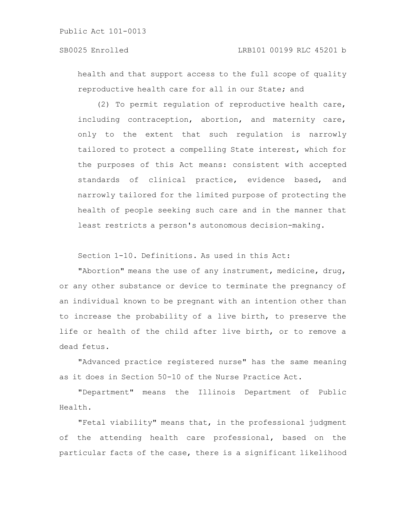health and that support access to the full scope of quality reproductive health care for all in our State; and

(2) To permit regulation of reproductive health care, including contraception, abortion, and maternity care, only to the extent that such regulation is narrowly tailored to protect a compelling State interest, which for the purposes of this Act means: consistent with accepted standards of clinical practice, evidence based, and narrowly tailored for the limited purpose of protecting the health of people seeking such care and in the manner that least restricts a person's autonomous decision-making.

Section 1-10. Definitions. As used in this Act:

"Abortion" means the use of any instrument, medicine, drug, or any other substance or device to terminate the pregnancy of an individual known to be pregnant with an intention other than to increase the probability of a live birth, to preserve the life or health of the child after live birth, or to remove a dead fetus.

"Advanced practice registered nurse" has the same meaning as it does in Section 50-10 of the Nurse Practice Act.

"Department" means the Illinois Department of Public Health.

"Fetal viability" means that, in the professional judgment of the attending health care professional, based on the particular facts of the case, there is a significant likelihood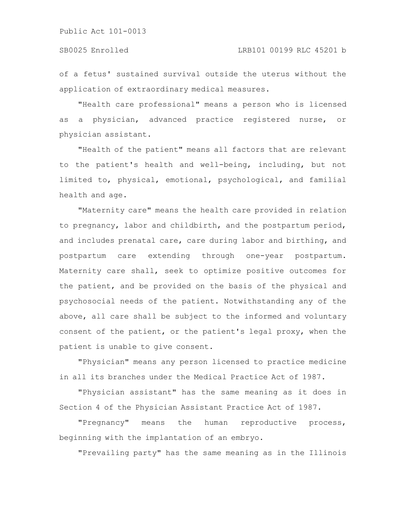of a fetus' sustained survival outside the uterus without the application of extraordinary medical measures.

"Health care professional" means a person who is licensed as a physician, advanced practice registered nurse, or physician assistant.

"Health of the patient" means all factors that are relevant to the patient's health and well-being, including, but not limited to, physical, emotional, psychological, and familial health and age.

"Maternity care" means the health care provided in relation to pregnancy, labor and childbirth, and the postpartum period, and includes prenatal care, care during labor and birthing, and postpartum care extending through one-year postpartum. Maternity care shall, seek to optimize positive outcomes for the patient, and be provided on the basis of the physical and psychosocial needs of the patient. Notwithstanding any of the above, all care shall be subject to the informed and voluntary consent of the patient, or the patient's legal proxy, when the patient is unable to give consent.

"Physician" means any person licensed to practice medicine in all its branches under the Medical Practice Act of 1987.

"Physician assistant" has the same meaning as it does in Section 4 of the Physician Assistant Practice Act of 1987.

"Pregnancy" means the human reproductive process, beginning with the implantation of an embryo.

"Prevailing party" has the same meaning as in the Illinois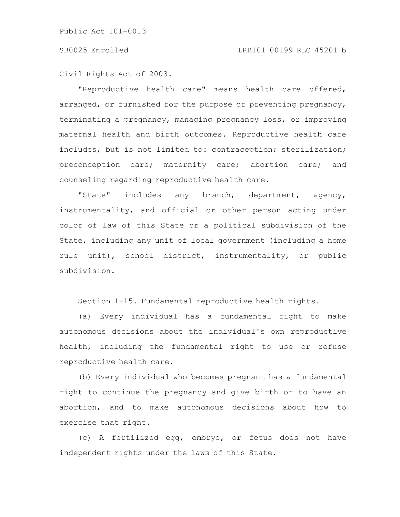Civil Rights Act of 2003.

"Reproductive health care" means health care offered, arranged, or furnished for the purpose of preventing pregnancy, terminating a pregnancy, managing pregnancy loss, or improving maternal health and birth outcomes. Reproductive health care includes, but is not limited to: contraception; sterilization; preconception care; maternity care; abortion care; and counseling regarding reproductive health care.

"State" includes any branch, department, agency, instrumentality, and official or other person acting under color of law of this State or a political subdivision of the State, including any unit of local government (including a home rule unit), school district, instrumentality, or public subdivision.

Section 1-15. Fundamental reproductive health rights.

(a) Every individual has a fundamental right to make autonomous decisions about the individual's own reproductive health, including the fundamental right to use or refuse reproductive health care.

(b) Every individual who becomes pregnant has a fundamental right to continue the pregnancy and give birth or to have an abortion, and to make autonomous decisions about how to exercise that right.

(c) A fertilized egg, embryo, or fetus does not have independent rights under the laws of this State.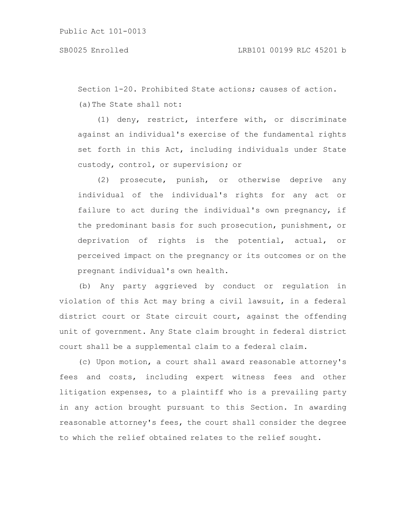Section 1-20. Prohibited State actions; causes of action. (a)The State shall not:

(1) deny, restrict, interfere with, or discriminate against an individual's exercise of the fundamental rights set forth in this Act, including individuals under State custody, control, or supervision; or

(2) prosecute, punish, or otherwise deprive any individual of the individual's rights for any act or failure to act during the individual's own pregnancy, if the predominant basis for such prosecution, punishment, or deprivation of rights is the potential, actual, or perceived impact on the pregnancy or its outcomes or on the pregnant individual's own health.

(b) Any party aggrieved by conduct or regulation in violation of this Act may bring a civil lawsuit, in a federal district court or State circuit court, against the offending unit of government. Any State claim brought in federal district court shall be a supplemental claim to a federal claim.

(c) Upon motion, a court shall award reasonable attorney's fees and costs, including expert witness fees and other litigation expenses, to a plaintiff who is a prevailing party in any action brought pursuant to this Section. In awarding reasonable attorney's fees, the court shall consider the degree to which the relief obtained relates to the relief sought.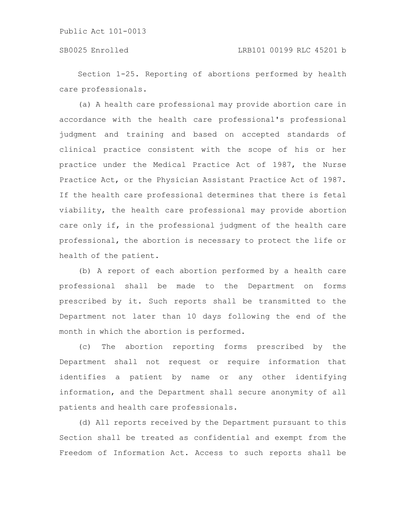Section 1-25. Reporting of abortions performed by health care professionals.

(a) A health care professional may provide abortion care in accordance with the health care professional's professional judgment and training and based on accepted standards of clinical practice consistent with the scope of his or her practice under the Medical Practice Act of 1987, the Nurse Practice Act, or the Physician Assistant Practice Act of 1987. If the health care professional determines that there is fetal viability, the health care professional may provide abortion care only if, in the professional judgment of the health care professional, the abortion is necessary to protect the life or health of the patient.

(b) A report of each abortion performed by a health care professional shall be made to the Department on forms prescribed by it. Such reports shall be transmitted to the Department not later than 10 days following the end of the month in which the abortion is performed.

(c) The abortion reporting forms prescribed by the Department shall not request or require information that identifies a patient by name or any other identifying information, and the Department shall secure anonymity of all patients and health care professionals.

(d) All reports received by the Department pursuant to this Section shall be treated as confidential and exempt from the Freedom of Information Act. Access to such reports shall be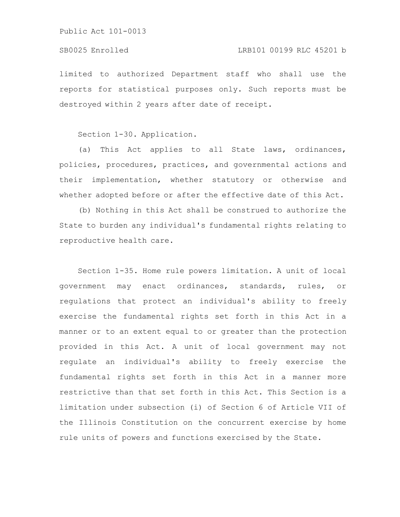limited to authorized Department staff who shall use the reports for statistical purposes only. Such reports must be destroyed within 2 years after date of receipt.

Section 1-30. Application.

(a) This Act applies to all State laws, ordinances, policies, procedures, practices, and governmental actions and their implementation, whether statutory or otherwise and whether adopted before or after the effective date of this Act.

(b) Nothing in this Act shall be construed to authorize the State to burden any individual's fundamental rights relating to reproductive health care.

Section 1-35. Home rule powers limitation. A unit of local government may enact ordinances, standards, rules, or regulations that protect an individual's ability to freely exercise the fundamental rights set forth in this Act in a manner or to an extent equal to or greater than the protection provided in this Act. A unit of local government may not regulate an individual's ability to freely exercise the fundamental rights set forth in this Act in a manner more restrictive than that set forth in this Act. This Section is a limitation under subsection (i) of Section 6 of Article VII of the Illinois Constitution on the concurrent exercise by home rule units of powers and functions exercised by the State.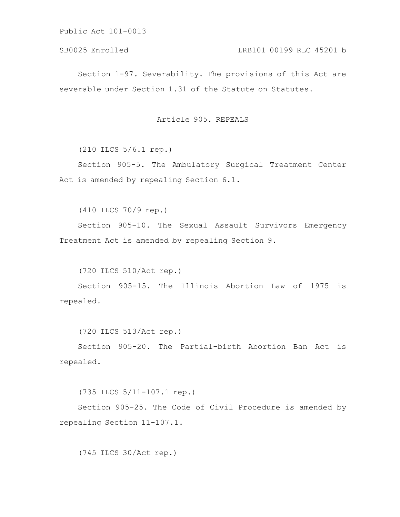# SB0025 Enrolled LRB101 00199 RLC 45201 b

Section 1-97. Severability. The provisions of this Act are severable under Section 1.31 of the Statute on Statutes.

# Article 905. REPEALS

(210 ILCS 5/6.1 rep.)

Section 905-5. The Ambulatory Surgical Treatment Center Act is amended by repealing Section 6.1.

(410 ILCS 70/9 rep.)

Section 905-10. The Sexual Assault Survivors Emergency Treatment Act is amended by repealing Section 9.

(720 ILCS 510/Act rep.)

Section 905-15. The Illinois Abortion Law of 1975 is repealed.

(720 ILCS 513/Act rep.)

Section 905-20. The Partial-birth Abortion Ban Act is repealed.

(735 ILCS 5/11-107.1 rep.)

Section 905-25. The Code of Civil Procedure is amended by repealing Section 11-107.1.

(745 ILCS 30/Act rep.)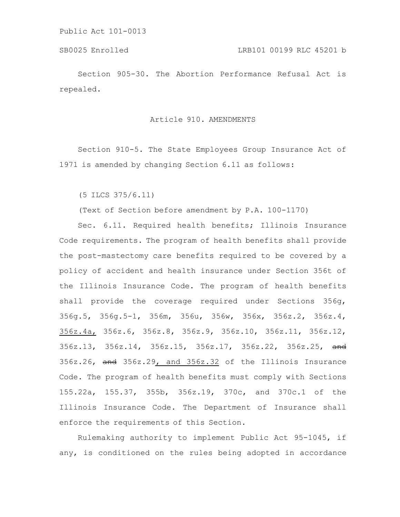Section 905-30. The Abortion Performance Refusal Act is repealed.

Article 910. AMENDMENTS

Section 910-5. The State Employees Group Insurance Act of 1971 is amended by changing Section 6.11 as follows:

(5 ILCS 375/6.11)

(Text of Section before amendment by P.A. 100-1170)

Sec. 6.11. Required health benefits; Illinois Insurance Code requirements. The program of health benefits shall provide the post-mastectomy care benefits required to be covered by a policy of accident and health insurance under Section 356t of the Illinois Insurance Code. The program of health benefits shall provide the coverage required under Sections 356g, 356g.5, 356g.5-1, 356m, 356u, 356w, 356x, 356z.2, 356z.4, 356z.4a, 356z.6, 356z.8, 356z.9, 356z.10, 356z.11, 356z.12, 356z.13, 356z.14, 356z.15, 356z.17, 356z.22, 356z.25, and 356z.26, and 356z.29, and 356z.32 of the Illinois Insurance Code. The program of health benefits must comply with Sections 155.22a, 155.37, 355b, 356z.19, 370c, and 370c.1 of the Illinois Insurance Code. The Department of Insurance shall enforce the requirements of this Section.

Rulemaking authority to implement Public Act 95-1045, if any, is conditioned on the rules being adopted in accordance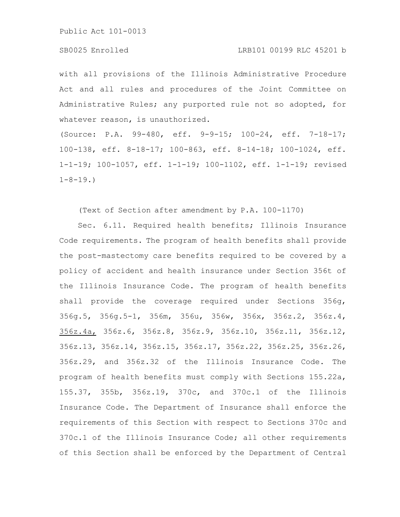#### SB0025 Enrolled LRB101 00199 RLC 45201 b

with all provisions of the Illinois Administrative Procedure Act and all rules and procedures of the Joint Committee on Administrative Rules; any purported rule not so adopted, for whatever reason, is unauthorized.

(Source: P.A. 99-480, eff. 9-9-15; 100-24, eff. 7-18-17; 100-138, eff. 8-18-17; 100-863, eff. 8-14-18; 100-1024, eff. 1-1-19; 100-1057, eff. 1-1-19; 100-1102, eff. 1-1-19; revised  $1-8-19.$ 

(Text of Section after amendment by P.A. 100-1170)

Sec. 6.11. Required health benefits; Illinois Insurance Code requirements. The program of health benefits shall provide the post-mastectomy care benefits required to be covered by a policy of accident and health insurance under Section 356t of the Illinois Insurance Code. The program of health benefits shall provide the coverage required under Sections 356g, 356g.5, 356g.5-1, 356m, 356u, 356w, 356x, 356z.2, 356z.4, 356z.4a, 356z.6, 356z.8, 356z.9, 356z.10, 356z.11, 356z.12, 356z.13, 356z.14, 356z.15, 356z.17, 356z.22, 356z.25, 356z.26, 356z.29, and 356z.32 of the Illinois Insurance Code. The program of health benefits must comply with Sections 155.22a, 155.37, 355b, 356z.19, 370c, and 370c.1 of the Illinois Insurance Code. The Department of Insurance shall enforce the requirements of this Section with respect to Sections 370c and 370c.1 of the Illinois Insurance Code; all other requirements of this Section shall be enforced by the Department of Central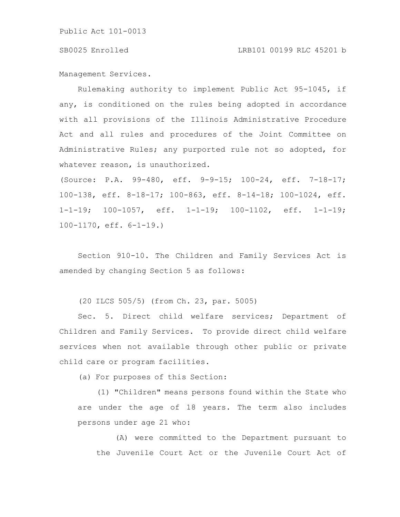Management Services.

Rulemaking authority to implement Public Act 95-1045, if any, is conditioned on the rules being adopted in accordance with all provisions of the Illinois Administrative Procedure Act and all rules and procedures of the Joint Committee on Administrative Rules; any purported rule not so adopted, for whatever reason, is unauthorized.

(Source: P.A. 99-480, eff. 9-9-15; 100-24, eff. 7-18-17; 100-138, eff. 8-18-17; 100-863, eff. 8-14-18; 100-1024, eff. 1-1-19; 100-1057, eff. 1-1-19; 100-1102, eff. 1-1-19; 100-1170, eff. 6-1-19.)

Section 910-10. The Children and Family Services Act is amended by changing Section 5 as follows:

(20 ILCS 505/5) (from Ch. 23, par. 5005)

Sec. 5. Direct child welfare services; Department of Children and Family Services. To provide direct child welfare services when not available through other public or private child care or program facilities.

(a) For purposes of this Section:

(1) "Children" means persons found within the State who are under the age of 18 years. The term also includes persons under age 21 who:

(A) were committed to the Department pursuant to the Juvenile Court Act or the Juvenile Court Act of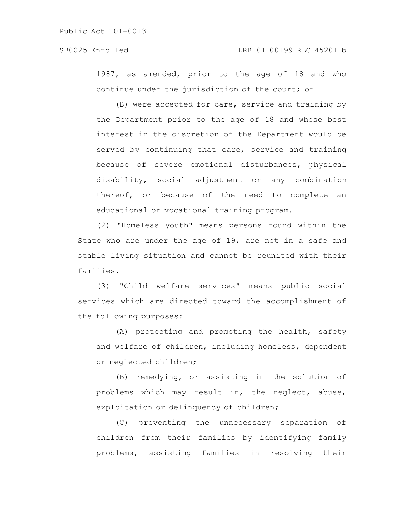1987, as amended, prior to the age of 18 and who continue under the jurisdiction of the court; or

(B) were accepted for care, service and training by the Department prior to the age of 18 and whose best interest in the discretion of the Department would be served by continuing that care, service and training because of severe emotional disturbances, physical disability, social adjustment or any combination thereof, or because of the need to complete an educational or vocational training program.

(2) "Homeless youth" means persons found within the State who are under the age of 19, are not in a safe and stable living situation and cannot be reunited with their families.

(3) "Child welfare services" means public social services which are directed toward the accomplishment of the following purposes:

(A) protecting and promoting the health, safety and welfare of children, including homeless, dependent or neglected children;

(B) remedying, or assisting in the solution of problems which may result in, the neglect, abuse, exploitation or delinquency of children;

(C) preventing the unnecessary separation of children from their families by identifying family problems, assisting families in resolving their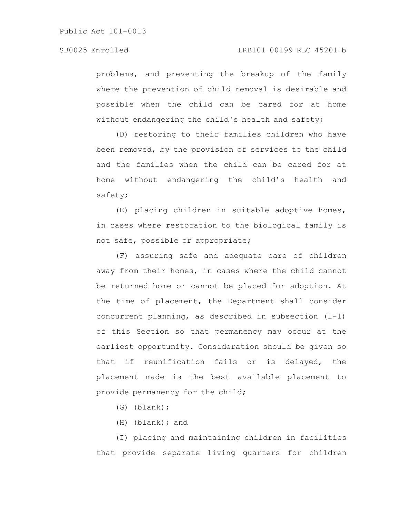problems, and preventing the breakup of the family where the prevention of child removal is desirable and possible when the child can be cared for at home without endangering the child's health and safety;

(D) restoring to their families children who have been removed, by the provision of services to the child and the families when the child can be cared for at home without endangering the child's health and safety;

(E) placing children in suitable adoptive homes, in cases where restoration to the biological family is not safe, possible or appropriate;

(F) assuring safe and adequate care of children away from their homes, in cases where the child cannot be returned home or cannot be placed for adoption. At the time of placement, the Department shall consider concurrent planning, as described in subsection (l-1) of this Section so that permanency may occur at the earliest opportunity. Consideration should be given so that if reunification fails or is delayed, the placement made is the best available placement to provide permanency for the child;

(G) (blank);

(H) (blank); and

(I) placing and maintaining children in facilities that provide separate living quarters for children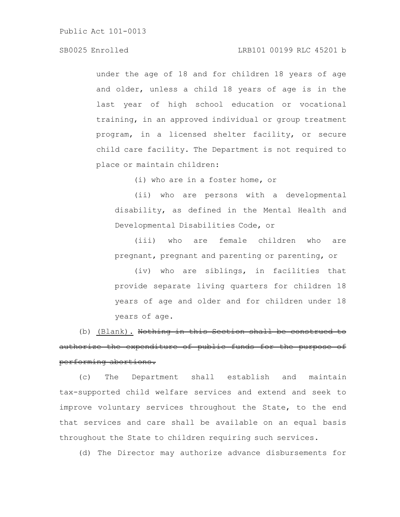# SB0025 Enrolled LRB101 00199 RLC 45201 b

under the age of 18 and for children 18 years of age and older, unless a child 18 years of age is in the last year of high school education or vocational training, in an approved individual or group treatment program, in a licensed shelter facility, or secure child care facility. The Department is not required to place or maintain children:

(i) who are in a foster home, or

(ii) who are persons with a developmental disability, as defined in the Mental Health and Developmental Disabilities Code, or

(iii) who are female children who are pregnant, pregnant and parenting or parenting, or

(iv) who are siblings, in facilities that provide separate living quarters for children 18 years of age and older and for children under 18 years of age.

(b) (Blank). Nothing in this Section shall be authorize the expenditure of public funds for the purpose of performing abortions.

(c) The Department shall establish and maintain tax-supported child welfare services and extend and seek to improve voluntary services throughout the State, to the end that services and care shall be available on an equal basis throughout the State to children requiring such services.

(d) The Director may authorize advance disbursements for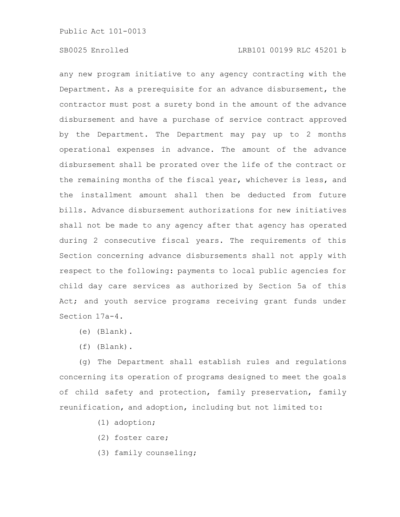any new program initiative to any agency contracting with the Department. As a prerequisite for an advance disbursement, the contractor must post a surety bond in the amount of the advance disbursement and have a purchase of service contract approved by the Department. The Department may pay up to 2 months operational expenses in advance. The amount of the advance disbursement shall be prorated over the life of the contract or the remaining months of the fiscal year, whichever is less, and the installment amount shall then be deducted from future bills. Advance disbursement authorizations for new initiatives shall not be made to any agency after that agency has operated during 2 consecutive fiscal years. The requirements of this Section concerning advance disbursements shall not apply with respect to the following: payments to local public agencies for child day care services as authorized by Section 5a of this Act; and youth service programs receiving grant funds under Section 17a-4.

- (e) (Blank).
- (f) (Blank).

(g) The Department shall establish rules and regulations concerning its operation of programs designed to meet the goals of child safety and protection, family preservation, family reunification, and adoption, including but not limited to:

- (1) adoption;
- (2) foster care;
- (3) family counseling;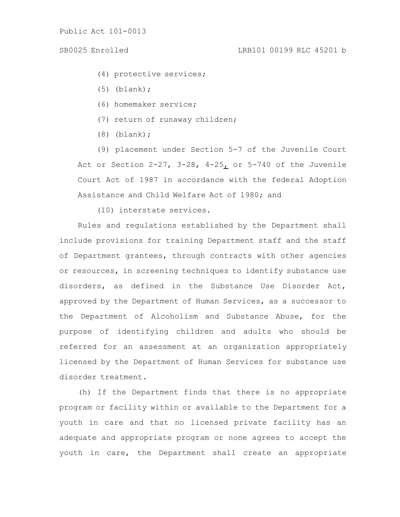- (4) protective services;
- (5) (blank);
- (6) homemaker service;
- (7) return of runaway children;
- (8) (blank);

(9) placement under Section 5-7 of the Juvenile Court Act or Section  $2-27$ ,  $3-28$ ,  $4-25$  or  $5-740$  of the Juvenile Court Act of 1987 in accordance with the federal Adoption Assistance and Child Welfare Act of 1980; and

(10) interstate services.

Rules and regulations established by the Department shall include provisions for training Department staff and the staff of Department grantees, through contracts with other agencies or resources, in screening techniques to identify substance use disorders, as defined in the Substance Use Disorder Act, approved by the Department of Human Services, as a successor to the Department of Alcoholism and Substance Abuse, for the purpose of identifying children and adults who should be referred for an assessment at an organization appropriately licensed by the Department of Human Services for substance use disorder treatment.

(h) If the Department finds that there is no appropriate program or facility within or available to the Department for a youth in care and that no licensed private facility has an adequate and appropriate program or none agrees to accept the youth in care, the Department shall create an appropriate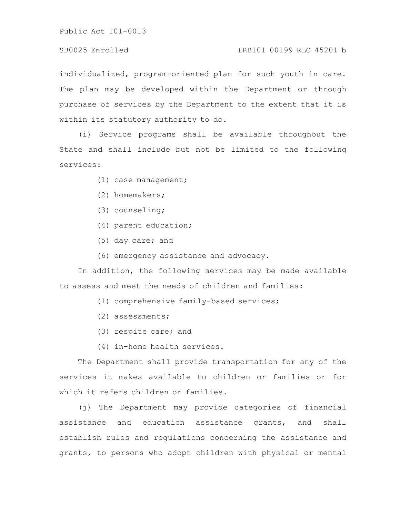# SB0025 Enrolled LRB101 00199 RLC 45201 b

individualized, program-oriented plan for such youth in care. The plan may be developed within the Department or through purchase of services by the Department to the extent that it is within its statutory authority to do.

(i) Service programs shall be available throughout the State and shall include but not be limited to the following services:

- (1) case management;
- (2) homemakers;
- (3) counseling;
- (4) parent education;
- (5) day care; and
- (6) emergency assistance and advocacy.

In addition, the following services may be made available to assess and meet the needs of children and families:

- (1) comprehensive family-based services;
- (2) assessments;
- (3) respite care; and
- (4) in-home health services.

The Department shall provide transportation for any of the services it makes available to children or families or for which it refers children or families.

(j) The Department may provide categories of financial assistance and education assistance grants, and shall establish rules and regulations concerning the assistance and grants, to persons who adopt children with physical or mental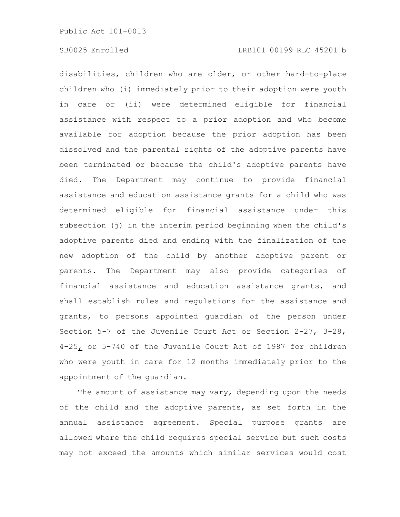disabilities, children who are older, or other hard-to-place children who (i) immediately prior to their adoption were youth in care or (ii) were determined eligible for financial assistance with respect to a prior adoption and who become available for adoption because the prior adoption has been dissolved and the parental rights of the adoptive parents have been terminated or because the child's adoptive parents have died. The Department may continue to provide financial assistance and education assistance grants for a child who was determined eligible for financial assistance under this subsection (j) in the interim period beginning when the child's adoptive parents died and ending with the finalization of the new adoption of the child by another adoptive parent or parents. The Department may also provide categories of financial assistance and education assistance grants, and shall establish rules and regulations for the assistance and grants, to persons appointed guardian of the person under Section 5-7 of the Juvenile Court Act or Section 2-27, 3-28, 4-25, or 5-740 of the Juvenile Court Act of 1987 for children who were youth in care for 12 months immediately prior to the appointment of the guardian.

The amount of assistance may vary, depending upon the needs of the child and the adoptive parents, as set forth in the annual assistance agreement. Special purpose grants are allowed where the child requires special service but such costs may not exceed the amounts which similar services would cost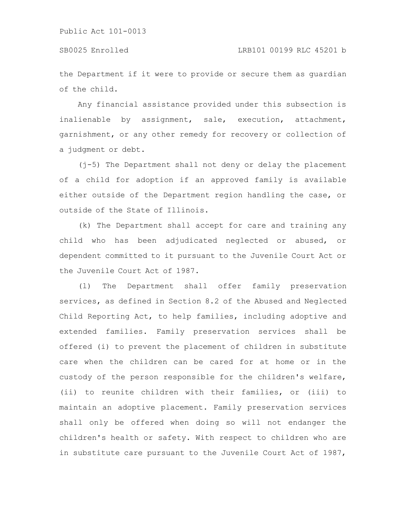the Department if it were to provide or secure them as guardian of the child.

Any financial assistance provided under this subsection is inalienable by assignment, sale, execution, attachment, garnishment, or any other remedy for recovery or collection of a judgment or debt.

(j-5) The Department shall not deny or delay the placement of a child for adoption if an approved family is available either outside of the Department region handling the case, or outside of the State of Illinois.

(k) The Department shall accept for care and training any child who has been adjudicated neglected or abused, or dependent committed to it pursuant to the Juvenile Court Act or the Juvenile Court Act of 1987.

(l) The Department shall offer family preservation services, as defined in Section 8.2 of the Abused and Neglected Child Reporting Act, to help families, including adoptive and extended families. Family preservation services shall be offered (i) to prevent the placement of children in substitute care when the children can be cared for at home or in the custody of the person responsible for the children's welfare, (ii) to reunite children with their families, or (iii) to maintain an adoptive placement. Family preservation services shall only be offered when doing so will not endanger the children's health or safety. With respect to children who are in substitute care pursuant to the Juvenile Court Act of 1987,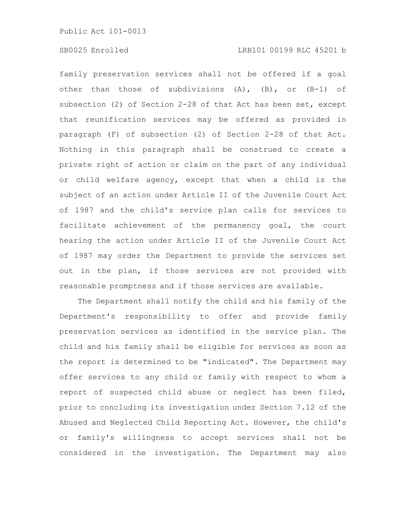family preservation services shall not be offered if a goal other than those of subdivisions (A), (B), or (B-1) of subsection (2) of Section 2-28 of that Act has been set, except that reunification services may be offered as provided in paragraph (F) of subsection (2) of Section 2-28 of that Act. Nothing in this paragraph shall be construed to create a private right of action or claim on the part of any individual or child welfare agency, except that when a child is the subject of an action under Article II of the Juvenile Court Act of 1987 and the child's service plan calls for services to facilitate achievement of the permanency goal, the court hearing the action under Article II of the Juvenile Court Act of 1987 may order the Department to provide the services set out in the plan, if those services are not provided with reasonable promptness and if those services are available.

The Department shall notify the child and his family of the Department's responsibility to offer and provide family preservation services as identified in the service plan. The child and his family shall be eligible for services as soon as the report is determined to be "indicated". The Department may offer services to any child or family with respect to whom a report of suspected child abuse or neglect has been filed, prior to concluding its investigation under Section 7.12 of the Abused and Neglected Child Reporting Act. However, the child's or family's willingness to accept services shall not be considered in the investigation. The Department may also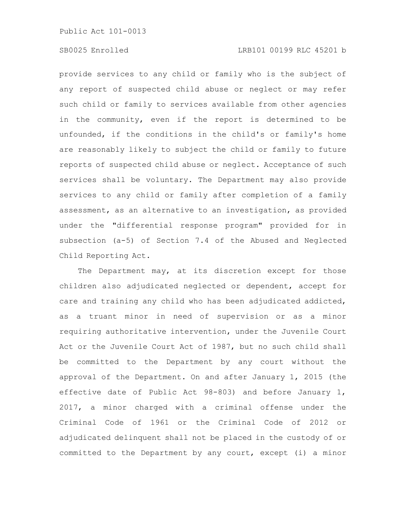provide services to any child or family who is the subject of any report of suspected child abuse or neglect or may refer such child or family to services available from other agencies in the community, even if the report is determined to be unfounded, if the conditions in the child's or family's home are reasonably likely to subject the child or family to future reports of suspected child abuse or neglect. Acceptance of such services shall be voluntary. The Department may also provide services to any child or family after completion of a family assessment, as an alternative to an investigation, as provided under the "differential response program" provided for in subsection (a-5) of Section 7.4 of the Abused and Neglected Child Reporting Act.

The Department may, at its discretion except for those children also adjudicated neglected or dependent, accept for care and training any child who has been adjudicated addicted, as a truant minor in need of supervision or as a minor requiring authoritative intervention, under the Juvenile Court Act or the Juvenile Court Act of 1987, but no such child shall be committed to the Department by any court without the approval of the Department. On and after January 1, 2015 (the effective date of Public Act 98-803) and before January 1, 2017, a minor charged with a criminal offense under the Criminal Code of 1961 or the Criminal Code of 2012 or adjudicated delinquent shall not be placed in the custody of or committed to the Department by any court, except (i) a minor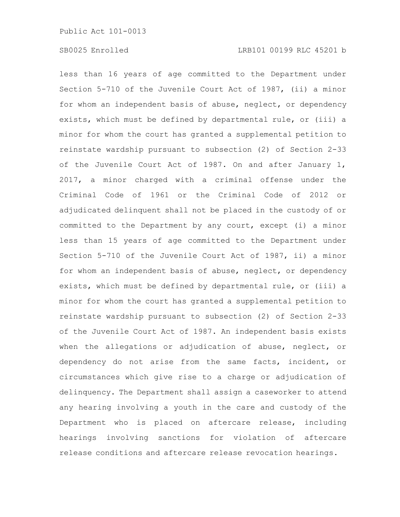less than 16 years of age committed to the Department under Section 5-710 of the Juvenile Court Act of 1987, (ii) a minor for whom an independent basis of abuse, neglect, or dependency exists, which must be defined by departmental rule, or (iii) a minor for whom the court has granted a supplemental petition to reinstate wardship pursuant to subsection (2) of Section 2-33 of the Juvenile Court Act of 1987. On and after January 1, 2017, a minor charged with a criminal offense under the Criminal Code of 1961 or the Criminal Code of 2012 or adjudicated delinquent shall not be placed in the custody of or committed to the Department by any court, except (i) a minor less than 15 years of age committed to the Department under Section 5-710 of the Juvenile Court Act of 1987, ii) a minor for whom an independent basis of abuse, neglect, or dependency exists, which must be defined by departmental rule, or (iii) a minor for whom the court has granted a supplemental petition to reinstate wardship pursuant to subsection (2) of Section 2-33 of the Juvenile Court Act of 1987. An independent basis exists when the allegations or adjudication of abuse, neglect, or dependency do not arise from the same facts, incident, or circumstances which give rise to a charge or adjudication of delinquency. The Department shall assign a caseworker to attend any hearing involving a youth in the care and custody of the Department who is placed on aftercare release, including hearings involving sanctions for violation of aftercare release conditions and aftercare release revocation hearings.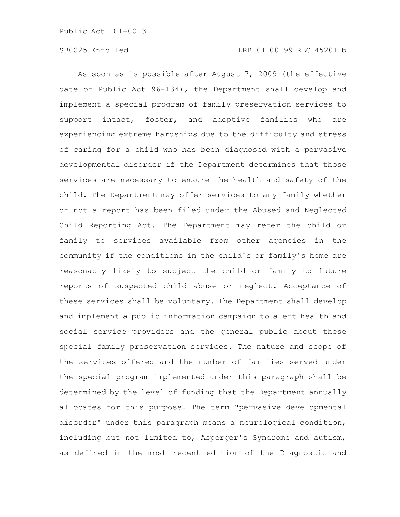As soon as is possible after August 7, 2009 (the effective date of Public Act 96-134), the Department shall develop and implement a special program of family preservation services to support intact, foster, and adoptive families who are experiencing extreme hardships due to the difficulty and stress of caring for a child who has been diagnosed with a pervasive developmental disorder if the Department determines that those services are necessary to ensure the health and safety of the child. The Department may offer services to any family whether or not a report has been filed under the Abused and Neglected Child Reporting Act. The Department may refer the child or family to services available from other agencies in the community if the conditions in the child's or family's home are reasonably likely to subject the child or family to future reports of suspected child abuse or neglect. Acceptance of these services shall be voluntary. The Department shall develop and implement a public information campaign to alert health and social service providers and the general public about these special family preservation services. The nature and scope of the services offered and the number of families served under the special program implemented under this paragraph shall be determined by the level of funding that the Department annually allocates for this purpose. The term "pervasive developmental disorder" under this paragraph means a neurological condition, including but not limited to, Asperger's Syndrome and autism, as defined in the most recent edition of the Diagnostic and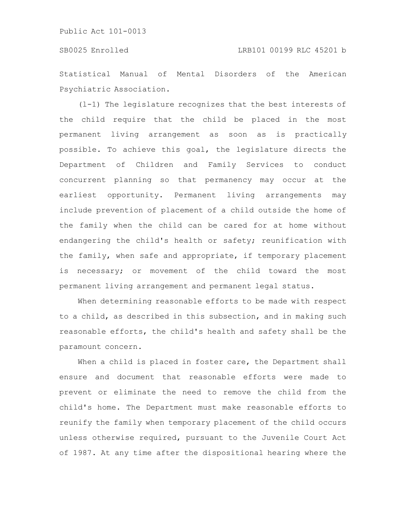Statistical Manual of Mental Disorders of the American Psychiatric Association.

(l-1) The legislature recognizes that the best interests of the child require that the child be placed in the most permanent living arrangement as soon as is practically possible. To achieve this goal, the legislature directs the Department of Children and Family Services to conduct concurrent planning so that permanency may occur at the earliest opportunity. Permanent living arrangements may include prevention of placement of a child outside the home of the family when the child can be cared for at home without endangering the child's health or safety; reunification with the family, when safe and appropriate, if temporary placement is necessary; or movement of the child toward the most permanent living arrangement and permanent legal status.

When determining reasonable efforts to be made with respect to a child, as described in this subsection, and in making such reasonable efforts, the child's health and safety shall be the paramount concern.

When a child is placed in foster care, the Department shall ensure and document that reasonable efforts were made to prevent or eliminate the need to remove the child from the child's home. The Department must make reasonable efforts to reunify the family when temporary placement of the child occurs unless otherwise required, pursuant to the Juvenile Court Act of 1987. At any time after the dispositional hearing where the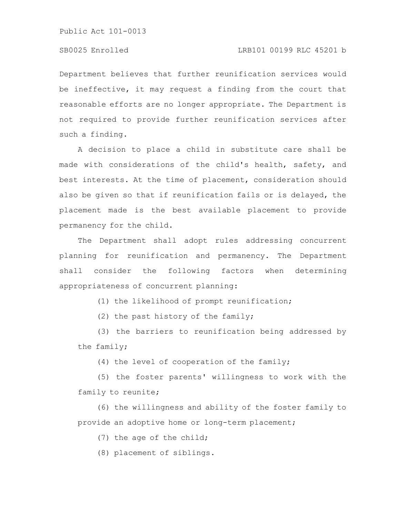# SB0025 Enrolled LRB101 00199 RLC 45201 b

Department believes that further reunification services would be ineffective, it may request a finding from the court that reasonable efforts are no longer appropriate. The Department is not required to provide further reunification services after such a finding.

A decision to place a child in substitute care shall be made with considerations of the child's health, safety, and best interests. At the time of placement, consideration should also be given so that if reunification fails or is delayed, the placement made is the best available placement to provide permanency for the child.

The Department shall adopt rules addressing concurrent planning for reunification and permanency. The Department shall consider the following factors when determining appropriateness of concurrent planning:

(1) the likelihood of prompt reunification;

(2) the past history of the family;

(3) the barriers to reunification being addressed by the family;

(4) the level of cooperation of the family;

(5) the foster parents' willingness to work with the family to reunite;

(6) the willingness and ability of the foster family to provide an adoptive home or long-term placement;

(7) the age of the child;

(8) placement of siblings.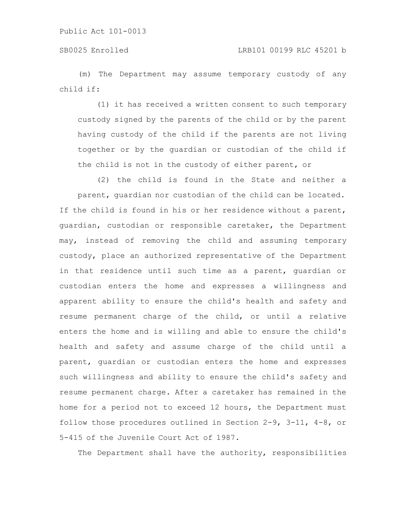(m) The Department may assume temporary custody of any child if:

(1) it has received a written consent to such temporary custody signed by the parents of the child or by the parent having custody of the child if the parents are not living together or by the guardian or custodian of the child if the child is not in the custody of either parent, or

(2) the child is found in the State and neither a parent, guardian nor custodian of the child can be located. If the child is found in his or her residence without a parent, guardian, custodian or responsible caretaker, the Department may, instead of removing the child and assuming temporary custody, place an authorized representative of the Department in that residence until such time as a parent, guardian or custodian enters the home and expresses a willingness and apparent ability to ensure the child's health and safety and resume permanent charge of the child, or until a relative enters the home and is willing and able to ensure the child's health and safety and assume charge of the child until a parent, guardian or custodian enters the home and expresses such willingness and ability to ensure the child's safety and resume permanent charge. After a caretaker has remained in the home for a period not to exceed 12 hours, the Department must follow those procedures outlined in Section 2-9, 3-11, 4-8, or 5-415 of the Juvenile Court Act of 1987.

The Department shall have the authority, responsibilities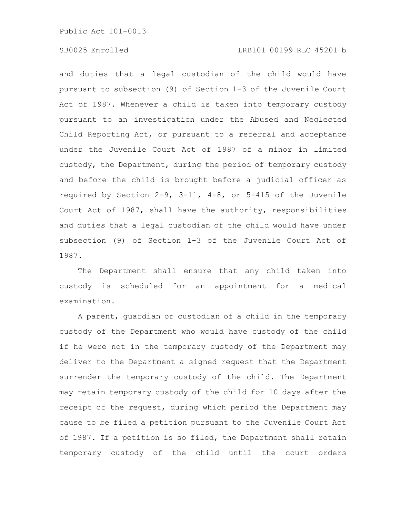# SB0025 Enrolled LRB101 00199 RLC 45201 b

and duties that a legal custodian of the child would have pursuant to subsection (9) of Section 1-3 of the Juvenile Court Act of 1987. Whenever a child is taken into temporary custody pursuant to an investigation under the Abused and Neglected Child Reporting Act, or pursuant to a referral and acceptance under the Juvenile Court Act of 1987 of a minor in limited custody, the Department, during the period of temporary custody and before the child is brought before a judicial officer as required by Section 2-9, 3-11, 4-8, or 5-415 of the Juvenile Court Act of 1987, shall have the authority, responsibilities and duties that a legal custodian of the child would have under subsection (9) of Section 1-3 of the Juvenile Court Act of 1987.

The Department shall ensure that any child taken into custody is scheduled for an appointment for a medical examination.

A parent, guardian or custodian of a child in the temporary custody of the Department who would have custody of the child if he were not in the temporary custody of the Department may deliver to the Department a signed request that the Department surrender the temporary custody of the child. The Department may retain temporary custody of the child for 10 days after the receipt of the request, during which period the Department may cause to be filed a petition pursuant to the Juvenile Court Act of 1987. If a petition is so filed, the Department shall retain temporary custody of the child until the court orders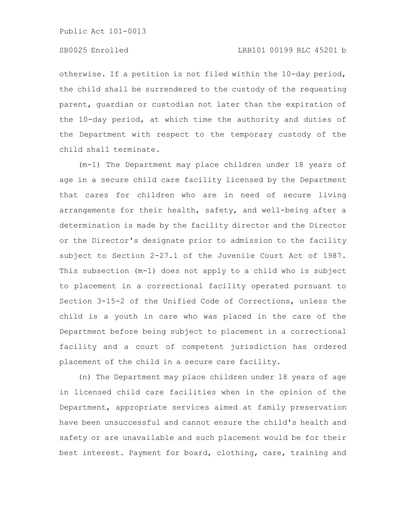# SB0025 Enrolled LRB101 00199 RLC 45201 b

otherwise. If a petition is not filed within the 10-day period, the child shall be surrendered to the custody of the requesting parent, guardian or custodian not later than the expiration of the 10-day period, at which time the authority and duties of the Department with respect to the temporary custody of the child shall terminate.

(m-1) The Department may place children under 18 years of age in a secure child care facility licensed by the Department that cares for children who are in need of secure living arrangements for their health, safety, and well-being after a determination is made by the facility director and the Director or the Director's designate prior to admission to the facility subject to Section 2-27.1 of the Juvenile Court Act of 1987. This subsection (m-1) does not apply to a child who is subject to placement in a correctional facility operated pursuant to Section 3-15-2 of the Unified Code of Corrections, unless the child is a youth in care who was placed in the care of the Department before being subject to placement in a correctional facility and a court of competent jurisdiction has ordered placement of the child in a secure care facility.

(n) The Department may place children under 18 years of age in licensed child care facilities when in the opinion of the Department, appropriate services aimed at family preservation have been unsuccessful and cannot ensure the child's health and safety or are unavailable and such placement would be for their best interest. Payment for board, clothing, care, training and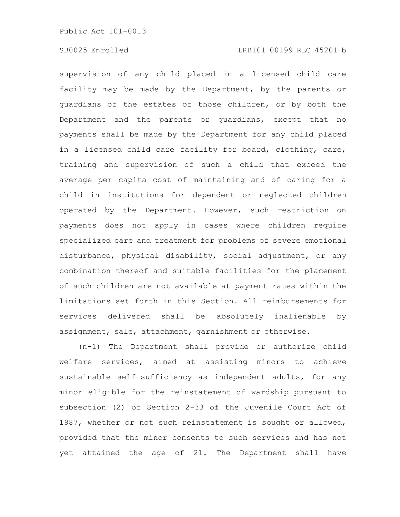supervision of any child placed in a licensed child care facility may be made by the Department, by the parents or guardians of the estates of those children, or by both the Department and the parents or guardians, except that no payments shall be made by the Department for any child placed in a licensed child care facility for board, clothing, care, training and supervision of such a child that exceed the average per capita cost of maintaining and of caring for a child in institutions for dependent or neglected children operated by the Department. However, such restriction on payments does not apply in cases where children require specialized care and treatment for problems of severe emotional disturbance, physical disability, social adjustment, or any combination thereof and suitable facilities for the placement of such children are not available at payment rates within the limitations set forth in this Section. All reimbursements for services delivered shall be absolutely inalienable by assignment, sale, attachment, garnishment or otherwise.

(n-1) The Department shall provide or authorize child welfare services, aimed at assisting minors to achieve sustainable self-sufficiency as independent adults, for any minor eligible for the reinstatement of wardship pursuant to subsection (2) of Section 2-33 of the Juvenile Court Act of 1987, whether or not such reinstatement is sought or allowed, provided that the minor consents to such services and has not yet attained the age of 21. The Department shall have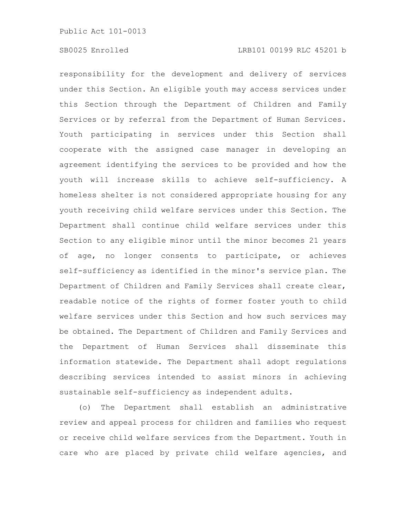responsibility for the development and delivery of services under this Section. An eligible youth may access services under this Section through the Department of Children and Family Services or by referral from the Department of Human Services. Youth participating in services under this Section shall cooperate with the assigned case manager in developing an agreement identifying the services to be provided and how the youth will increase skills to achieve self-sufficiency. A homeless shelter is not considered appropriate housing for any youth receiving child welfare services under this Section. The Department shall continue child welfare services under this Section to any eligible minor until the minor becomes 21 years of age, no longer consents to participate, or achieves self-sufficiency as identified in the minor's service plan. The Department of Children and Family Services shall create clear, readable notice of the rights of former foster youth to child welfare services under this Section and how such services may be obtained. The Department of Children and Family Services and the Department of Human Services shall disseminate this information statewide. The Department shall adopt regulations describing services intended to assist minors in achieving sustainable self-sufficiency as independent adults.

(o) The Department shall establish an administrative review and appeal process for children and families who request or receive child welfare services from the Department. Youth in care who are placed by private child welfare agencies, and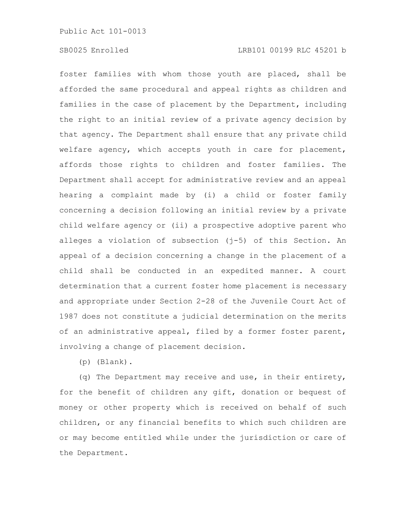foster families with whom those youth are placed, shall be afforded the same procedural and appeal rights as children and families in the case of placement by the Department, including the right to an initial review of a private agency decision by that agency. The Department shall ensure that any private child welfare agency, which accepts youth in care for placement, affords those rights to children and foster families. The Department shall accept for administrative review and an appeal hearing a complaint made by (i) a child or foster family concerning a decision following an initial review by a private child welfare agency or (ii) a prospective adoptive parent who alleges a violation of subsection (j-5) of this Section. An appeal of a decision concerning a change in the placement of a child shall be conducted in an expedited manner. A court determination that a current foster home placement is necessary and appropriate under Section 2-28 of the Juvenile Court Act of 1987 does not constitute a judicial determination on the merits of an administrative appeal, filed by a former foster parent, involving a change of placement decision.

(p) (Blank).

(q) The Department may receive and use, in their entirety, for the benefit of children any gift, donation or bequest of money or other property which is received on behalf of such children, or any financial benefits to which such children are or may become entitled while under the jurisdiction or care of the Department.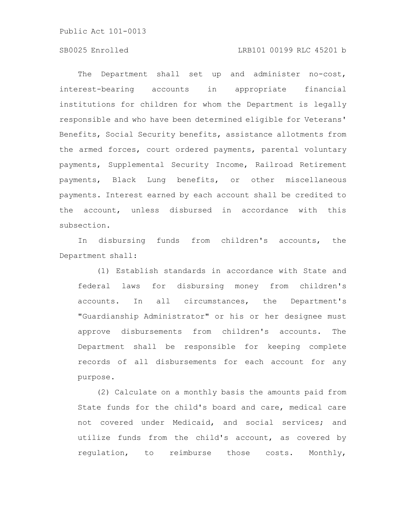# SB0025 Enrolled LRB101 00199 RLC 45201 b

The Department shall set up and administer no-cost, interest-bearing accounts in appropriate financial institutions for children for whom the Department is legally responsible and who have been determined eligible for Veterans' Benefits, Social Security benefits, assistance allotments from the armed forces, court ordered payments, parental voluntary payments, Supplemental Security Income, Railroad Retirement payments, Black Lung benefits, or other miscellaneous payments. Interest earned by each account shall be credited to the account, unless disbursed in accordance with this subsection.

In disbursing funds from children's accounts, the Department shall:

(1) Establish standards in accordance with State and federal laws for disbursing money from children's accounts. In all circumstances, the Department's "Guardianship Administrator" or his or her designee must approve disbursements from children's accounts. The Department shall be responsible for keeping complete records of all disbursements for each account for any purpose.

(2) Calculate on a monthly basis the amounts paid from State funds for the child's board and care, medical care not covered under Medicaid, and social services; and utilize funds from the child's account, as covered by regulation, to reimburse those costs. Monthly,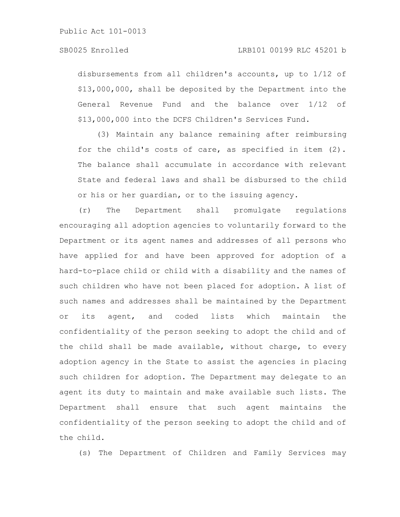disbursements from all children's accounts, up to 1/12 of \$13,000,000, shall be deposited by the Department into the General Revenue Fund and the balance over 1/12 of \$13,000,000 into the DCFS Children's Services Fund.

(3) Maintain any balance remaining after reimbursing for the child's costs of care, as specified in item (2). The balance shall accumulate in accordance with relevant State and federal laws and shall be disbursed to the child or his or her guardian, or to the issuing agency.

(r) The Department shall promulgate regulations encouraging all adoption agencies to voluntarily forward to the Department or its agent names and addresses of all persons who have applied for and have been approved for adoption of a hard-to-place child or child with a disability and the names of such children who have not been placed for adoption. A list of such names and addresses shall be maintained by the Department or its agent, and coded lists which maintain the confidentiality of the person seeking to adopt the child and of the child shall be made available, without charge, to every adoption agency in the State to assist the agencies in placing such children for adoption. The Department may delegate to an agent its duty to maintain and make available such lists. The Department shall ensure that such agent maintains the confidentiality of the person seeking to adopt the child and of the child.

(s) The Department of Children and Family Services may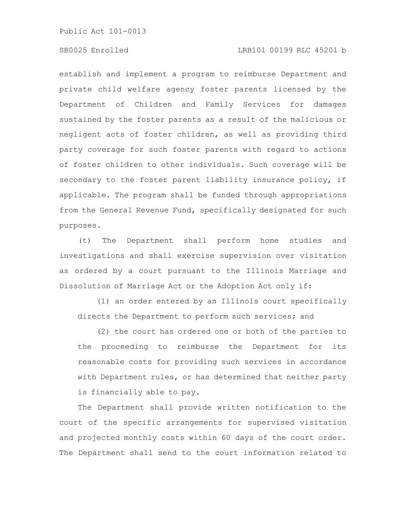# SB0025 Enrolled LRB101 00199 RLC 45201 b

establish and implement a program to reimburse Department and private child welfare agency foster parents licensed by the Department of Children and Family Services for damages sustained by the foster parents as a result of the malicious or negligent acts of foster children, as well as providing third party coverage for such foster parents with regard to actions of foster children to other individuals. Such coverage will be secondary to the foster parent liability insurance policy, if applicable. The program shall be funded through appropriations from the General Revenue Fund, specifically designated for such purposes.

(t) The Department shall perform home studies and investigations and shall exercise supervision over visitation as ordered by a court pursuant to the Illinois Marriage and Dissolution of Marriage Act or the Adoption Act only if:

(1) an order entered by an Illinois court specifically directs the Department to perform such services; and

(2) the court has ordered one or both of the parties to the proceeding to reimburse the Department for its reasonable costs for providing such services in accordance with Department rules, or has determined that neither party is financially able to pay.

The Department shall provide written notification to the court of the specific arrangements for supervised visitation and projected monthly costs within 60 days of the court order. The Department shall send to the court information related to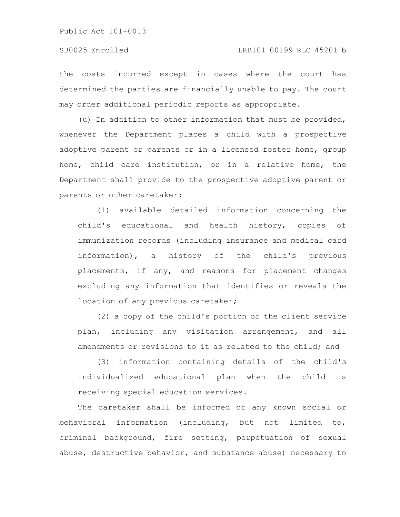the costs incurred except in cases where the court has determined the parties are financially unable to pay. The court may order additional periodic reports as appropriate.

(u) In addition to other information that must be provided, whenever the Department places a child with a prospective adoptive parent or parents or in a licensed foster home, group home, child care institution, or in a relative home, the Department shall provide to the prospective adoptive parent or parents or other caretaker:

(1) available detailed information concerning the child's educational and health history, copies of immunization records (including insurance and medical card information), a history of the child's previous placements, if any, and reasons for placement changes excluding any information that identifies or reveals the location of any previous caretaker;

(2) a copy of the child's portion of the client service plan, including any visitation arrangement, and all amendments or revisions to it as related to the child; and

(3) information containing details of the child's individualized educational plan when the child is receiving special education services.

The caretaker shall be informed of any known social or behavioral information (including, but not limited to, criminal background, fire setting, perpetuation of sexual abuse, destructive behavior, and substance abuse) necessary to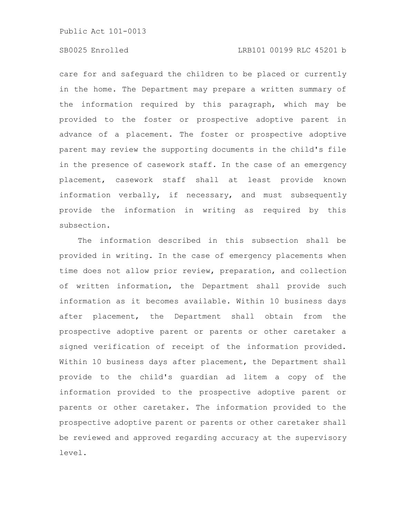# SB0025 Enrolled LRB101 00199 RLC 45201 b

care for and safeguard the children to be placed or currently in the home. The Department may prepare a written summary of the information required by this paragraph, which may be provided to the foster or prospective adoptive parent in advance of a placement. The foster or prospective adoptive parent may review the supporting documents in the child's file in the presence of casework staff. In the case of an emergency placement, casework staff shall at least provide known information verbally, if necessary, and must subsequently provide the information in writing as required by this subsection.

The information described in this subsection shall be provided in writing. In the case of emergency placements when time does not allow prior review, preparation, and collection of written information, the Department shall provide such information as it becomes available. Within 10 business days after placement, the Department shall obtain from the prospective adoptive parent or parents or other caretaker a signed verification of receipt of the information provided. Within 10 business days after placement, the Department shall provide to the child's guardian ad litem a copy of the information provided to the prospective adoptive parent or parents or other caretaker. The information provided to the prospective adoptive parent or parents or other caretaker shall be reviewed and approved regarding accuracy at the supervisory level.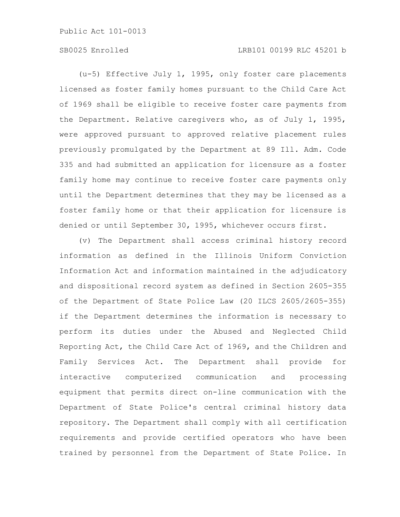# SB0025 Enrolled LRB101 00199 RLC 45201 b

(u-5) Effective July 1, 1995, only foster care placements licensed as foster family homes pursuant to the Child Care Act of 1969 shall be eligible to receive foster care payments from the Department. Relative caregivers who, as of July 1, 1995, were approved pursuant to approved relative placement rules previously promulgated by the Department at 89 Ill. Adm. Code 335 and had submitted an application for licensure as a foster family home may continue to receive foster care payments only until the Department determines that they may be licensed as a foster family home or that their application for licensure is denied or until September 30, 1995, whichever occurs first.

(v) The Department shall access criminal history record information as defined in the Illinois Uniform Conviction Information Act and information maintained in the adjudicatory and dispositional record system as defined in Section 2605-355 of the Department of State Police Law (20 ILCS 2605/2605-355) if the Department determines the information is necessary to perform its duties under the Abused and Neglected Child Reporting Act, the Child Care Act of 1969, and the Children and Family Services Act. The Department shall provide for interactive computerized communication and processing equipment that permits direct on-line communication with the Department of State Police's central criminal history data repository. The Department shall comply with all certification requirements and provide certified operators who have been trained by personnel from the Department of State Police. In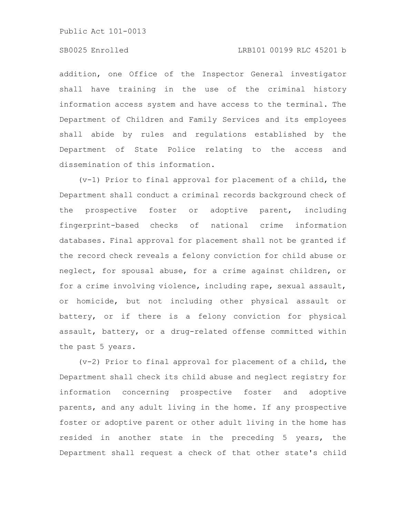## SB0025 Enrolled LRB101 00199 RLC 45201 b

addition, one Office of the Inspector General investigator shall have training in the use of the criminal history information access system and have access to the terminal. The Department of Children and Family Services and its employees shall abide by rules and regulations established by the Department of State Police relating to the access and dissemination of this information.

(v-1) Prior to final approval for placement of a child, the Department shall conduct a criminal records background check of the prospective foster or adoptive parent, including fingerprint-based checks of national crime information databases. Final approval for placement shall not be granted if the record check reveals a felony conviction for child abuse or neglect, for spousal abuse, for a crime against children, or for a crime involving violence, including rape, sexual assault, or homicide, but not including other physical assault or battery, or if there is a felony conviction for physical assault, battery, or a drug-related offense committed within the past 5 years.

(v-2) Prior to final approval for placement of a child, the Department shall check its child abuse and neglect registry for information concerning prospective foster and adoptive parents, and any adult living in the home. If any prospective foster or adoptive parent or other adult living in the home has resided in another state in the preceding 5 years, the Department shall request a check of that other state's child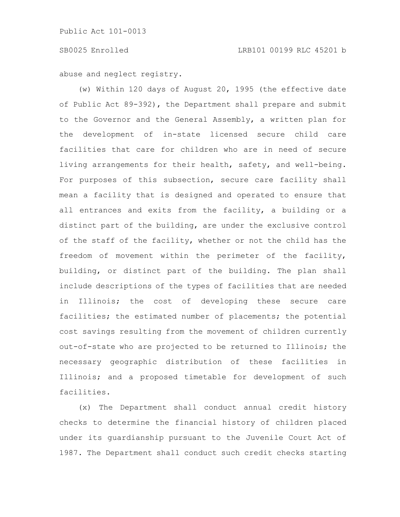abuse and neglect registry.

(w) Within 120 days of August 20, 1995 (the effective date of Public Act 89-392), the Department shall prepare and submit to the Governor and the General Assembly, a written plan for the development of in-state licensed secure child care facilities that care for children who are in need of secure living arrangements for their health, safety, and well-being. For purposes of this subsection, secure care facility shall mean a facility that is designed and operated to ensure that all entrances and exits from the facility, a building or a distinct part of the building, are under the exclusive control of the staff of the facility, whether or not the child has the freedom of movement within the perimeter of the facility, building, or distinct part of the building. The plan shall include descriptions of the types of facilities that are needed in Illinois; the cost of developing these secure care facilities; the estimated number of placements; the potential cost savings resulting from the movement of children currently out-of-state who are projected to be returned to Illinois; the necessary geographic distribution of these facilities in Illinois; and a proposed timetable for development of such facilities.

(x) The Department shall conduct annual credit history checks to determine the financial history of children placed under its guardianship pursuant to the Juvenile Court Act of 1987. The Department shall conduct such credit checks starting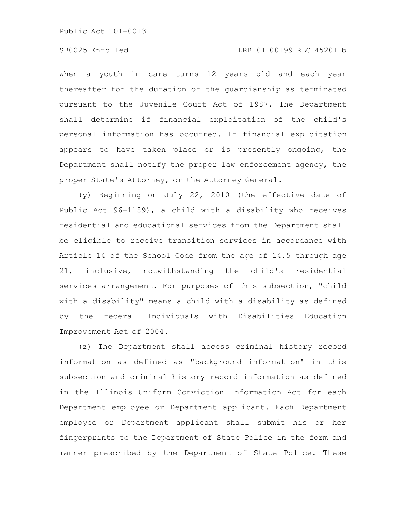# SB0025 Enrolled LRB101 00199 RLC 45201 b

when a youth in care turns 12 years old and each year thereafter for the duration of the guardianship as terminated pursuant to the Juvenile Court Act of 1987. The Department shall determine if financial exploitation of the child's personal information has occurred. If financial exploitation appears to have taken place or is presently ongoing, the Department shall notify the proper law enforcement agency, the proper State's Attorney, or the Attorney General.

(y) Beginning on July 22, 2010 (the effective date of Public Act 96-1189), a child with a disability who receives residential and educational services from the Department shall be eligible to receive transition services in accordance with Article 14 of the School Code from the age of 14.5 through age 21, inclusive, notwithstanding the child's residential services arrangement. For purposes of this subsection, "child with a disability" means a child with a disability as defined by the federal Individuals with Disabilities Education Improvement Act of 2004.

(z) The Department shall access criminal history record information as defined as "background information" in this subsection and criminal history record information as defined in the Illinois Uniform Conviction Information Act for each Department employee or Department applicant. Each Department employee or Department applicant shall submit his or her fingerprints to the Department of State Police in the form and manner prescribed by the Department of State Police. These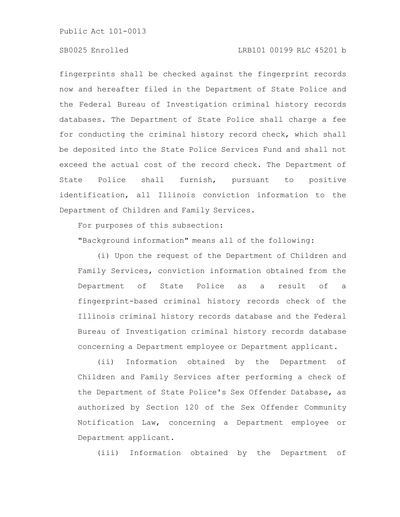# SB0025 Enrolled LRB101 00199 RLC 45201 b

fingerprints shall be checked against the fingerprint records now and hereafter filed in the Department of State Police and the Federal Bureau of Investigation criminal history records databases. The Department of State Police shall charge a fee for conducting the criminal history record check, which shall be deposited into the State Police Services Fund and shall not exceed the actual cost of the record check. The Department of State Police shall furnish, pursuant to positive identification, all Illinois conviction information to the Department of Children and Family Services.

For purposes of this subsection:

"Background information" means all of the following:

(i) Upon the request of the Department of Children and Family Services, conviction information obtained from the Department of State Police as a result of a fingerprint-based criminal history records check of the Illinois criminal history records database and the Federal Bureau of Investigation criminal history records database concerning a Department employee or Department applicant.

(ii) Information obtained by the Department of Children and Family Services after performing a check of the Department of State Police's Sex Offender Database, as authorized by Section 120 of the Sex Offender Community Notification Law, concerning a Department employee or Department applicant.

(iii) Information obtained by the Department of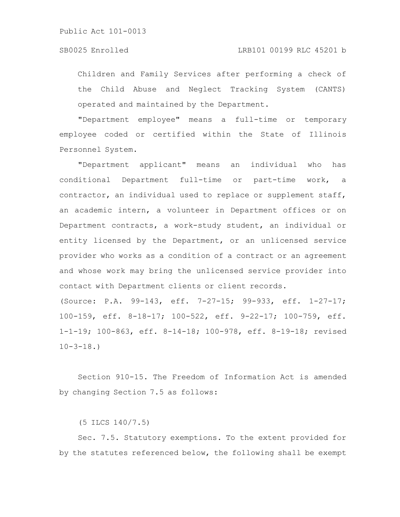Children and Family Services after performing a check of the Child Abuse and Neglect Tracking System (CANTS) operated and maintained by the Department.

"Department employee" means a full-time or temporary employee coded or certified within the State of Illinois Personnel System.

"Department applicant" means an individual who has conditional Department full-time or part-time work, a contractor, an individual used to replace or supplement staff, an academic intern, a volunteer in Department offices or on Department contracts, a work-study student, an individual or entity licensed by the Department, or an unlicensed service provider who works as a condition of a contract or an agreement and whose work may bring the unlicensed service provider into contact with Department clients or client records.

(Source: P.A. 99-143, eff. 7-27-15; 99-933, eff. 1-27-17; 100-159, eff. 8-18-17; 100-522, eff. 9-22-17; 100-759, eff. 1-1-19; 100-863, eff. 8-14-18; 100-978, eff. 8-19-18; revised  $10 - 3 - 18.$ 

Section 910-15. The Freedom of Information Act is amended by changing Section 7.5 as follows:

(5 ILCS 140/7.5)

Sec. 7.5. Statutory exemptions. To the extent provided for by the statutes referenced below, the following shall be exempt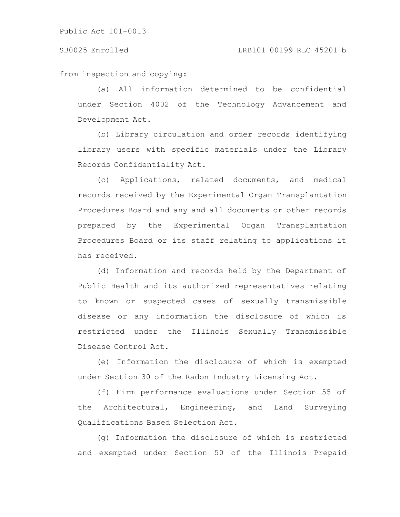from inspection and copying:

(a) All information determined to be confidential under Section 4002 of the Technology Advancement and Development Act.

(b) Library circulation and order records identifying library users with specific materials under the Library Records Confidentiality Act.

(c) Applications, related documents, and medical records received by the Experimental Organ Transplantation Procedures Board and any and all documents or other records prepared by the Experimental Organ Transplantation Procedures Board or its staff relating to applications it has received.

(d) Information and records held by the Department of Public Health and its authorized representatives relating to known or suspected cases of sexually transmissible disease or any information the disclosure of which is restricted under the Illinois Sexually Transmissible Disease Control Act.

(e) Information the disclosure of which is exempted under Section 30 of the Radon Industry Licensing Act.

(f) Firm performance evaluations under Section 55 of the Architectural, Engineering, and Land Surveying Qualifications Based Selection Act.

(g) Information the disclosure of which is restricted and exempted under Section 50 of the Illinois Prepaid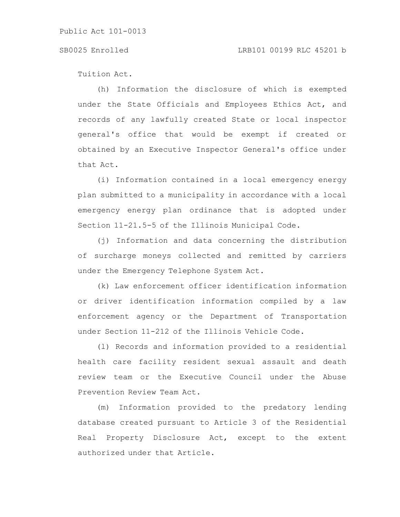Tuition Act.

(h) Information the disclosure of which is exempted under the State Officials and Employees Ethics Act, and records of any lawfully created State or local inspector general's office that would be exempt if created or obtained by an Executive Inspector General's office under that Act.

(i) Information contained in a local emergency energy plan submitted to a municipality in accordance with a local emergency energy plan ordinance that is adopted under Section 11-21.5-5 of the Illinois Municipal Code.

(j) Information and data concerning the distribution of surcharge moneys collected and remitted by carriers under the Emergency Telephone System Act.

(k) Law enforcement officer identification information or driver identification information compiled by a law enforcement agency or the Department of Transportation under Section 11-212 of the Illinois Vehicle Code.

(l) Records and information provided to a residential health care facility resident sexual assault and death review team or the Executive Council under the Abuse Prevention Review Team Act.

(m) Information provided to the predatory lending database created pursuant to Article 3 of the Residential Real Property Disclosure Act, except to the extent authorized under that Article.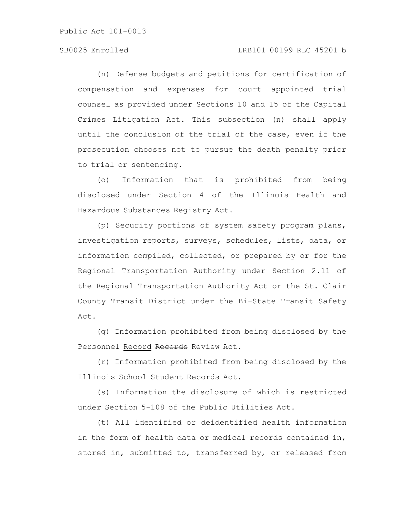# SB0025 Enrolled LRB101 00199 RLC 45201 b

(n) Defense budgets and petitions for certification of compensation and expenses for court appointed trial counsel as provided under Sections 10 and 15 of the Capital Crimes Litigation Act. This subsection (n) shall apply until the conclusion of the trial of the case, even if the prosecution chooses not to pursue the death penalty prior to trial or sentencing.

(o) Information that is prohibited from being disclosed under Section 4 of the Illinois Health and Hazardous Substances Registry Act.

(p) Security portions of system safety program plans, investigation reports, surveys, schedules, lists, data, or information compiled, collected, or prepared by or for the Regional Transportation Authority under Section 2.11 of the Regional Transportation Authority Act or the St. Clair County Transit District under the Bi-State Transit Safety Act.

(q) Information prohibited from being disclosed by the Personnel Record Records Review Act.

(r) Information prohibited from being disclosed by the Illinois School Student Records Act.

(s) Information the disclosure of which is restricted under Section 5-108 of the Public Utilities Act.

(t) All identified or deidentified health information in the form of health data or medical records contained in, stored in, submitted to, transferred by, or released from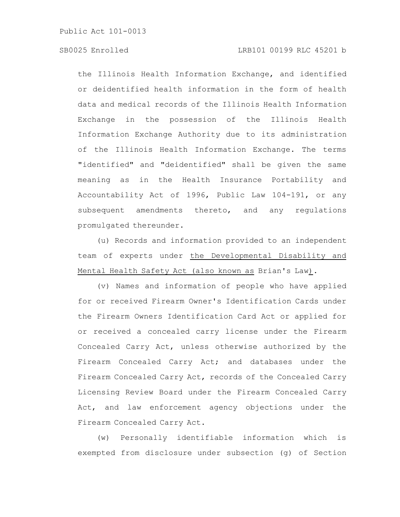# SB0025 Enrolled LRB101 00199 RLC 45201 b

the Illinois Health Information Exchange, and identified or deidentified health information in the form of health data and medical records of the Illinois Health Information Exchange in the possession of the Illinois Health Information Exchange Authority due to its administration of the Illinois Health Information Exchange. The terms "identified" and "deidentified" shall be given the same meaning as in the Health Insurance Portability and Accountability Act of 1996, Public Law 104-191, or any subsequent amendments thereto, and any regulations promulgated thereunder.

(u) Records and information provided to an independent team of experts under the Developmental Disability and Mental Health Safety Act (also known as Brian's Law).

(v) Names and information of people who have applied for or received Firearm Owner's Identification Cards under the Firearm Owners Identification Card Act or applied for or received a concealed carry license under the Firearm Concealed Carry Act, unless otherwise authorized by the Firearm Concealed Carry Act; and databases under the Firearm Concealed Carry Act, records of the Concealed Carry Licensing Review Board under the Firearm Concealed Carry Act, and law enforcement agency objections under the Firearm Concealed Carry Act.

(w) Personally identifiable information which is exempted from disclosure under subsection (g) of Section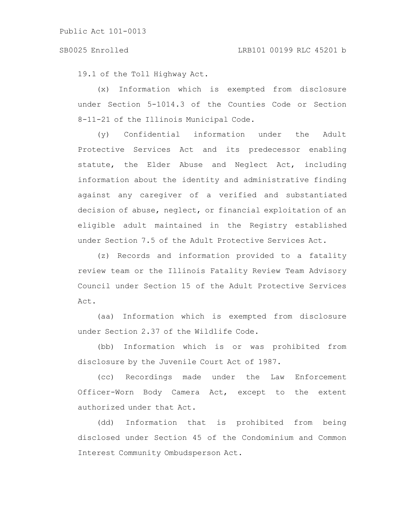19.1 of the Toll Highway Act.

(x) Information which is exempted from disclosure under Section 5-1014.3 of the Counties Code or Section 8-11-21 of the Illinois Municipal Code.

(y) Confidential information under the Adult Protective Services Act and its predecessor enabling statute, the Elder Abuse and Neglect Act, including information about the identity and administrative finding against any caregiver of a verified and substantiated decision of abuse, neglect, or financial exploitation of an eligible adult maintained in the Registry established under Section 7.5 of the Adult Protective Services Act.

(z) Records and information provided to a fatality review team or the Illinois Fatality Review Team Advisory Council under Section 15 of the Adult Protective Services Act.

(aa) Information which is exempted from disclosure under Section 2.37 of the Wildlife Code.

(bb) Information which is or was prohibited from disclosure by the Juvenile Court Act of 1987.

(cc) Recordings made under the Law Enforcement Officer-Worn Body Camera Act, except to the extent authorized under that Act.

(dd) Information that is prohibited from being disclosed under Section 45 of the Condominium and Common Interest Community Ombudsperson Act.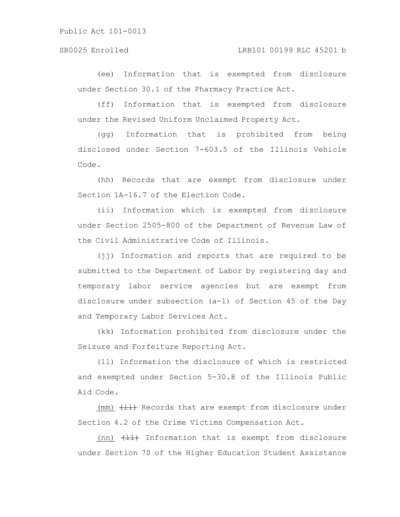(ee) Information that is exempted from disclosure under Section 30.1 of the Pharmacy Practice Act.

(ff) Information that is exempted from disclosure under the Revised Uniform Unclaimed Property Act.

(gg) Information that is prohibited from being disclosed under Section 7-603.5 of the Illinois Vehicle Code.

(hh) Records that are exempt from disclosure under Section 1A-16.7 of the Election Code.

(ii) Information which is exempted from disclosure under Section 2505-800 of the Department of Revenue Law of the Civil Administrative Code of Illinois.

(jj) Information and reports that are required to be submitted to the Department of Labor by registering day and temporary labor service agencies but are exempt from disclosure under subsection (a-1) of Section 45 of the Day and Temporary Labor Services Act.

(kk) Information prohibited from disclosure under the Seizure and Forfeiture Reporting Act.

(ll) Information the disclosure of which is restricted and exempted under Section 5-30.8 of the Illinois Public Aid Code.

(mm)  $\left\{\frac{\mu}{\sigma}\right\}$  Records that are exempt from disclosure under Section 4.2 of the Crime Victims Compensation Act.

 $(nn)$   $\leftarrow$   $\leftarrow$  Information that is exempt from disclosure under Section 70 of the Higher Education Student Assistance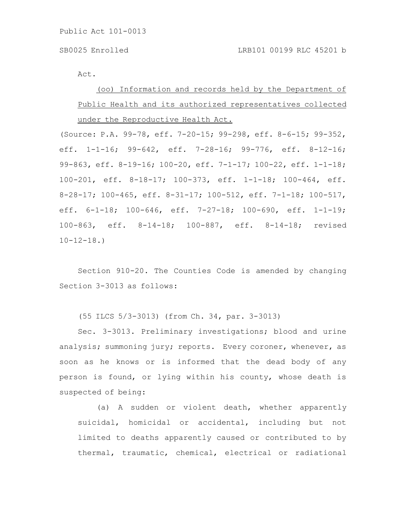Act.

(oo) Information and records held by the Department of Public Health and its authorized representatives collected under the Reproductive Health Act.

(Source: P.A. 99-78, eff. 7-20-15; 99-298, eff. 8-6-15; 99-352, eff. 1-1-16; 99-642, eff. 7-28-16; 99-776, eff. 8-12-16; 99-863, eff. 8-19-16; 100-20, eff. 7-1-17; 100-22, eff. 1-1-18; 100-201, eff. 8-18-17; 100-373, eff. 1-1-18; 100-464, eff. 8-28-17; 100-465, eff. 8-31-17; 100-512, eff. 7-1-18; 100-517, eff. 6-1-18; 100-646, eff. 7-27-18; 100-690, eff. 1-1-19; 100-863, eff. 8-14-18; 100-887, eff. 8-14-18; revised  $10-12-18.$ 

Section 910-20. The Counties Code is amended by changing Section 3-3013 as follows:

(55 ILCS 5/3-3013) (from Ch. 34, par. 3-3013)

Sec. 3-3013. Preliminary investigations; blood and urine analysis; summoning jury; reports. Every coroner, whenever, as soon as he knows or is informed that the dead body of any person is found, or lying within his county, whose death is suspected of being:

(a) A sudden or violent death, whether apparently suicidal, homicidal or accidental, including but not limited to deaths apparently caused or contributed to by thermal, traumatic, chemical, electrical or radiational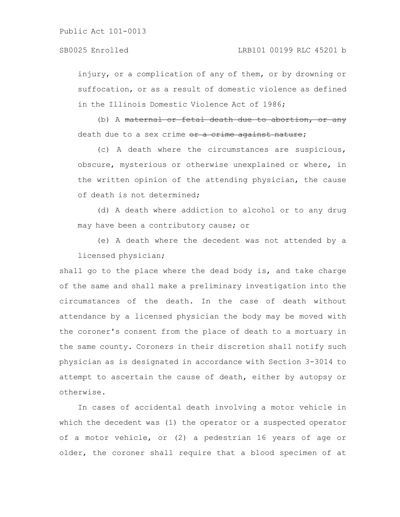injury, or a complication of any of them, or by drowning or suffocation, or as a result of domestic violence as defined in the Illinois Domestic Violence Act of 1986;

(b) A maternal or fetal death due to abortion, or any death due to a sex crime or a crime against nature;

(c) A death where the circumstances are suspicious, obscure, mysterious or otherwise unexplained or where, in the written opinion of the attending physician, the cause of death is not determined;

(d) A death where addiction to alcohol or to any drug may have been a contributory cause; or

(e) A death where the decedent was not attended by a licensed physician;

shall go to the place where the dead body is, and take charge of the same and shall make a preliminary investigation into the circumstances of the death. In the case of death without attendance by a licensed physician the body may be moved with the coroner's consent from the place of death to a mortuary in the same county. Coroners in their discretion shall notify such physician as is designated in accordance with Section 3-3014 to attempt to ascertain the cause of death, either by autopsy or otherwise.

In cases of accidental death involving a motor vehicle in which the decedent was (1) the operator or a suspected operator of a motor vehicle, or (2) a pedestrian 16 years of age or older, the coroner shall require that a blood specimen of at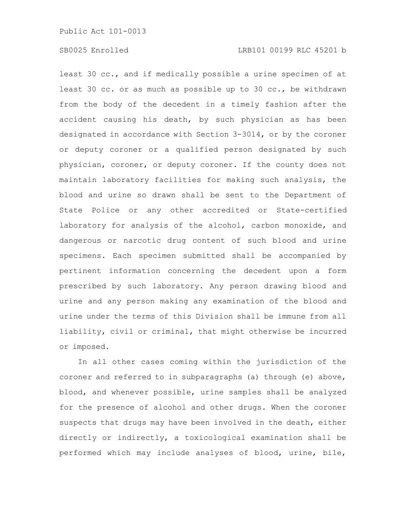least 30 cc., and if medically possible a urine specimen of at least 30 cc. or as much as possible up to 30 cc., be withdrawn from the body of the decedent in a timely fashion after the accident causing his death, by such physician as has been designated in accordance with Section 3-3014, or by the coroner or deputy coroner or a qualified person designated by such physician, coroner, or deputy coroner. If the county does not maintain laboratory facilities for making such analysis, the blood and urine so drawn shall be sent to the Department of State Police or any other accredited or State-certified laboratory for analysis of the alcohol, carbon monoxide, and dangerous or narcotic drug content of such blood and urine specimens. Each specimen submitted shall be accompanied by pertinent information concerning the decedent upon a form prescribed by such laboratory. Any person drawing blood and urine and any person making any examination of the blood and urine under the terms of this Division shall be immune from all liability, civil or criminal, that might otherwise be incurred or imposed.

In all other cases coming within the jurisdiction of the coroner and referred to in subparagraphs (a) through (e) above, blood, and whenever possible, urine samples shall be analyzed for the presence of alcohol and other drugs. When the coroner suspects that drugs may have been involved in the death, either directly or indirectly, a toxicological examination shall be performed which may include analyses of blood, urine, bile,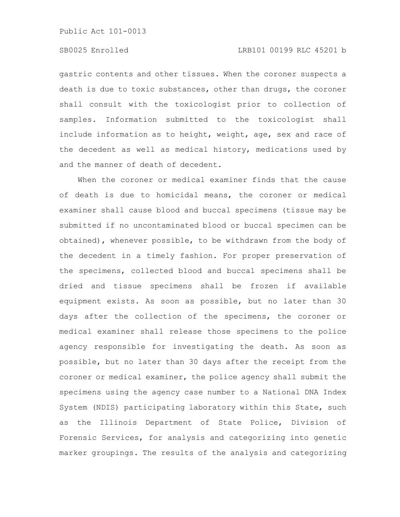#### SB0025 Enrolled LRB101 00199 RLC 45201 b

gastric contents and other tissues. When the coroner suspects a death is due to toxic substances, other than drugs, the coroner shall consult with the toxicologist prior to collection of samples. Information submitted to the toxicologist shall include information as to height, weight, age, sex and race of the decedent as well as medical history, medications used by and the manner of death of decedent.

When the coroner or medical examiner finds that the cause of death is due to homicidal means, the coroner or medical examiner shall cause blood and buccal specimens (tissue may be submitted if no uncontaminated blood or buccal specimen can be obtained), whenever possible, to be withdrawn from the body of the decedent in a timely fashion. For proper preservation of the specimens, collected blood and buccal specimens shall be dried and tissue specimens shall be frozen if available equipment exists. As soon as possible, but no later than 30 days after the collection of the specimens, the coroner or medical examiner shall release those specimens to the police agency responsible for investigating the death. As soon as possible, but no later than 30 days after the receipt from the coroner or medical examiner, the police agency shall submit the specimens using the agency case number to a National DNA Index System (NDIS) participating laboratory within this State, such as the Illinois Department of State Police, Division of Forensic Services, for analysis and categorizing into genetic marker groupings. The results of the analysis and categorizing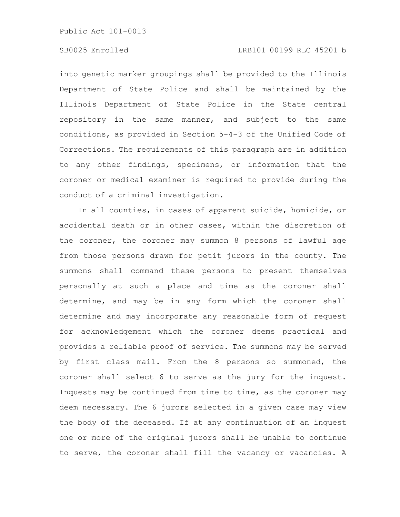# SB0025 Enrolled LRB101 00199 RLC 45201 b

into genetic marker groupings shall be provided to the Illinois Department of State Police and shall be maintained by the Illinois Department of State Police in the State central repository in the same manner, and subject to the same conditions, as provided in Section 5-4-3 of the Unified Code of Corrections. The requirements of this paragraph are in addition to any other findings, specimens, or information that the coroner or medical examiner is required to provide during the conduct of a criminal investigation.

In all counties, in cases of apparent suicide, homicide, or accidental death or in other cases, within the discretion of the coroner, the coroner may summon 8 persons of lawful age from those persons drawn for petit jurors in the county. The summons shall command these persons to present themselves personally at such a place and time as the coroner shall determine, and may be in any form which the coroner shall determine and may incorporate any reasonable form of request for acknowledgement which the coroner deems practical and provides a reliable proof of service. The summons may be served by first class mail. From the 8 persons so summoned, the coroner shall select 6 to serve as the jury for the inquest. Inquests may be continued from time to time, as the coroner may deem necessary. The 6 jurors selected in a given case may view the body of the deceased. If at any continuation of an inquest one or more of the original jurors shall be unable to continue to serve, the coroner shall fill the vacancy or vacancies. A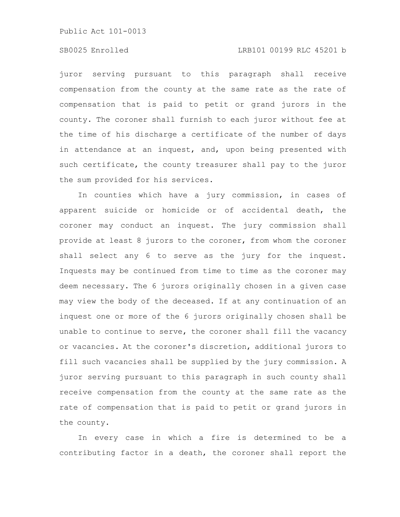### SB0025 Enrolled LRB101 00199 RLC 45201 b

juror serving pursuant to this paragraph shall receive compensation from the county at the same rate as the rate of compensation that is paid to petit or grand jurors in the county. The coroner shall furnish to each juror without fee at the time of his discharge a certificate of the number of days in attendance at an inquest, and, upon being presented with such certificate, the county treasurer shall pay to the juror the sum provided for his services.

In counties which have a jury commission, in cases of apparent suicide or homicide or of accidental death, the coroner may conduct an inquest. The jury commission shall provide at least 8 jurors to the coroner, from whom the coroner shall select any 6 to serve as the jury for the inquest. Inquests may be continued from time to time as the coroner may deem necessary. The 6 jurors originally chosen in a given case may view the body of the deceased. If at any continuation of an inquest one or more of the 6 jurors originally chosen shall be unable to continue to serve, the coroner shall fill the vacancy or vacancies. At the coroner's discretion, additional jurors to fill such vacancies shall be supplied by the jury commission. A juror serving pursuant to this paragraph in such county shall receive compensation from the county at the same rate as the rate of compensation that is paid to petit or grand jurors in the county.

In every case in which a fire is determined to be a contributing factor in a death, the coroner shall report the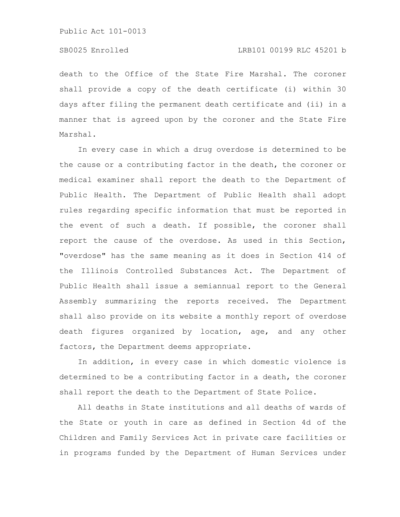## SB0025 Enrolled LRB101 00199 RLC 45201 b

death to the Office of the State Fire Marshal. The coroner shall provide a copy of the death certificate (i) within 30 days after filing the permanent death certificate and (ii) in a manner that is agreed upon by the coroner and the State Fire Marshal.

In every case in which a drug overdose is determined to be the cause or a contributing factor in the death, the coroner or medical examiner shall report the death to the Department of Public Health. The Department of Public Health shall adopt rules regarding specific information that must be reported in the event of such a death. If possible, the coroner shall report the cause of the overdose. As used in this Section, "overdose" has the same meaning as it does in Section 414 of the Illinois Controlled Substances Act. The Department of Public Health shall issue a semiannual report to the General Assembly summarizing the reports received. The Department shall also provide on its website a monthly report of overdose death figures organized by location, age, and any other factors, the Department deems appropriate.

In addition, in every case in which domestic violence is determined to be a contributing factor in a death, the coroner shall report the death to the Department of State Police.

All deaths in State institutions and all deaths of wards of the State or youth in care as defined in Section 4d of the Children and Family Services Act in private care facilities or in programs funded by the Department of Human Services under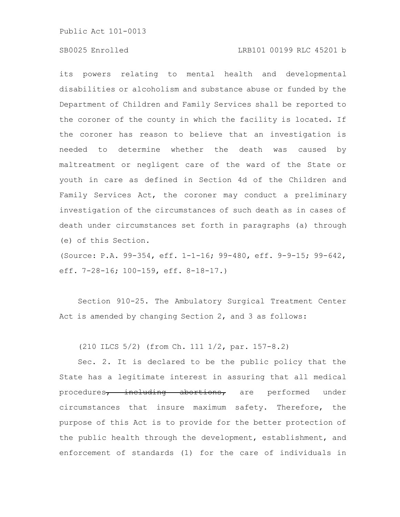# SB0025 Enrolled LRB101 00199 RLC 45201 b

its powers relating to mental health and developmental disabilities or alcoholism and substance abuse or funded by the Department of Children and Family Services shall be reported to the coroner of the county in which the facility is located. If the coroner has reason to believe that an investigation is needed to determine whether the death was caused by maltreatment or negligent care of the ward of the State or youth in care as defined in Section 4d of the Children and Family Services Act, the coroner may conduct a preliminary investigation of the circumstances of such death as in cases of death under circumstances set forth in paragraphs (a) through (e) of this Section.

(Source: P.A. 99-354, eff. 1-1-16; 99-480, eff. 9-9-15; 99-642, eff. 7-28-16; 100-159, eff. 8-18-17.)

Section 910-25. The Ambulatory Surgical Treatment Center Act is amended by changing Section 2, and 3 as follows:

(210 ILCS 5/2) (from Ch. 111 1/2, par. 157-8.2)

Sec. 2. It is declared to be the public policy that the State has a legitimate interest in assuring that all medical procedures, including abortions, are performed under circumstances that insure maximum safety. Therefore, the purpose of this Act is to provide for the better protection of the public health through the development, establishment, and enforcement of standards (1) for the care of individuals in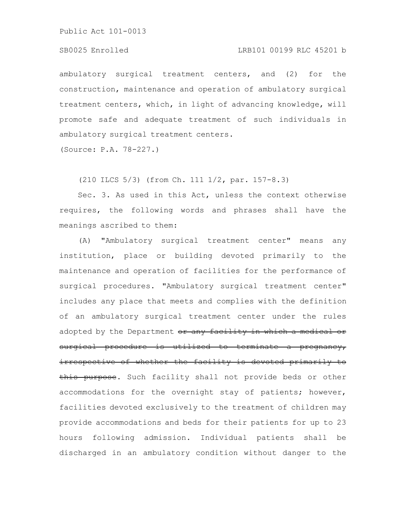# SB0025 Enrolled LRB101 00199 RLC 45201 b

ambulatory surgical treatment centers, and (2) for the construction, maintenance and operation of ambulatory surgical treatment centers, which, in light of advancing knowledge, will promote safe and adequate treatment of such individuals in ambulatory surgical treatment centers.

(Source: P.A. 78-227.)

(210 ILCS 5/3) (from Ch. 111 1/2, par. 157-8.3)

Sec. 3. As used in this Act, unless the context otherwise requires, the following words and phrases shall have the meanings ascribed to them:

(A) "Ambulatory surgical treatment center" means any institution, place or building devoted primarily to the maintenance and operation of facilities for the performance of surgical procedures. "Ambulatory surgical treatment center" includes any place that meets and complies with the definition of an ambulatory surgical treatment center under the rules adopted by the Department or any facility in which a medical or surgical procedure is utilized to terminate a pregnancy, irrespective of whether the facility is devoted primarily to this purpose. Such facility shall not provide beds or other accommodations for the overnight stay of patients; however, facilities devoted exclusively to the treatment of children may provide accommodations and beds for their patients for up to 23 hours following admission. Individual patients shall be discharged in an ambulatory condition without danger to the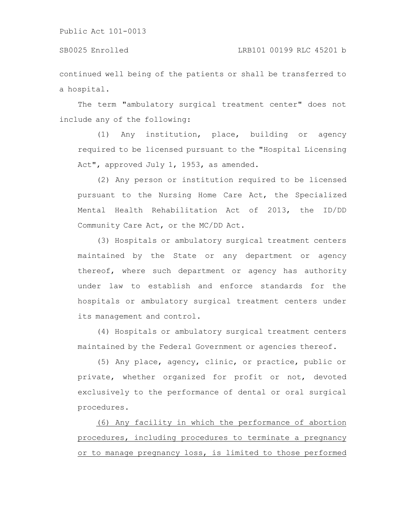continued well being of the patients or shall be transferred to a hospital.

The term "ambulatory surgical treatment center" does not include any of the following:

(1) Any institution, place, building or agency required to be licensed pursuant to the "Hospital Licensing Act", approved July 1, 1953, as amended.

(2) Any person or institution required to be licensed pursuant to the Nursing Home Care Act, the Specialized Mental Health Rehabilitation Act of 2013, the ID/DD Community Care Act, or the MC/DD Act.

(3) Hospitals or ambulatory surgical treatment centers maintained by the State or any department or agency thereof, where such department or agency has authority under law to establish and enforce standards for the hospitals or ambulatory surgical treatment centers under its management and control.

(4) Hospitals or ambulatory surgical treatment centers maintained by the Federal Government or agencies thereof.

(5) Any place, agency, clinic, or practice, public or private, whether organized for profit or not, devoted exclusively to the performance of dental or oral surgical procedures.

(6) Any facility in which the performance of abortion procedures, including procedures to terminate a pregnancy or to manage pregnancy loss, is limited to those performed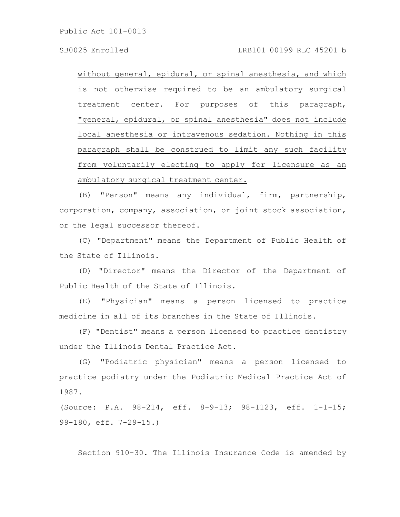without general, epidural, or spinal anesthesia, and which is not otherwise required to be an ambulatory surgical treatment center. For purposes of this paragraph, "general, epidural, or spinal anesthesia" does not include local anesthesia or intravenous sedation. Nothing in this paragraph shall be construed to limit any such facility from voluntarily electing to apply for licensure as an ambulatory surgical treatment center.

(B) "Person" means any individual, firm, partnership, corporation, company, association, or joint stock association, or the legal successor thereof.

(C) "Department" means the Department of Public Health of the State of Illinois.

(D) "Director" means the Director of the Department of Public Health of the State of Illinois.

(E) "Physician" means a person licensed to practice medicine in all of its branches in the State of Illinois.

(F) "Dentist" means a person licensed to practice dentistry under the Illinois Dental Practice Act.

(G) "Podiatric physician" means a person licensed to practice podiatry under the Podiatric Medical Practice Act of 1987.

(Source: P.A. 98-214, eff. 8-9-13; 98-1123, eff. 1-1-15; 99-180, eff. 7-29-15.)

Section 910-30. The Illinois Insurance Code is amended by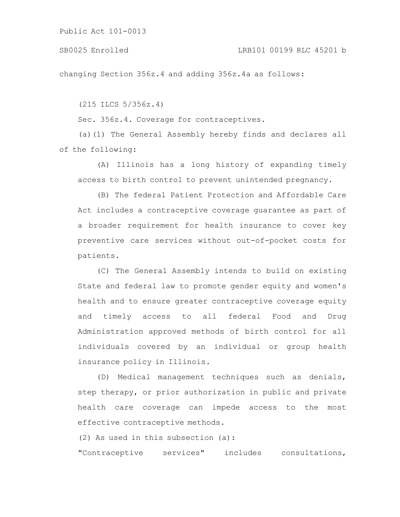changing Section 356z.4 and adding 356z.4a as follows:

(215 ILCS 5/356z.4)

Sec. 356z.4. Coverage for contraceptives.

(a)(1) The General Assembly hereby finds and declares all of the following:

(A) Illinois has a long history of expanding timely access to birth control to prevent unintended pregnancy.

(B) The federal Patient Protection and Affordable Care Act includes a contraceptive coverage guarantee as part of a broader requirement for health insurance to cover key preventive care services without out-of-pocket costs for patients.

(C) The General Assembly intends to build on existing State and federal law to promote gender equity and women's health and to ensure greater contraceptive coverage equity and timely access to all federal Food and Drug Administration approved methods of birth control for all individuals covered by an individual or group health insurance policy in Illinois.

(D) Medical management techniques such as denials, step therapy, or prior authorization in public and private health care coverage can impede access to the most effective contraceptive methods.

(2) As used in this subsection (a):

"Contraceptive services" includes consultations,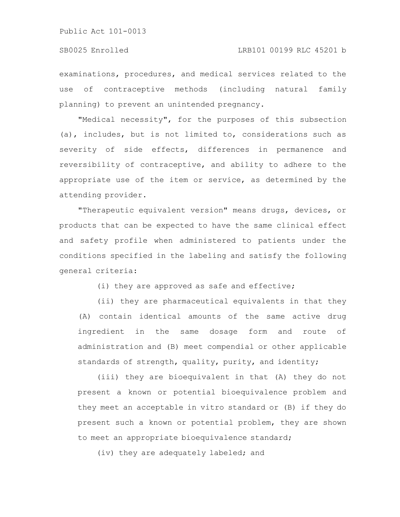examinations, procedures, and medical services related to the use of contraceptive methods (including natural family planning) to prevent an unintended pregnancy.

"Medical necessity", for the purposes of this subsection (a), includes, but is not limited to, considerations such as severity of side effects, differences in permanence and reversibility of contraceptive, and ability to adhere to the appropriate use of the item or service, as determined by the attending provider.

"Therapeutic equivalent version" means drugs, devices, or products that can be expected to have the same clinical effect and safety profile when administered to patients under the conditions specified in the labeling and satisfy the following general criteria:

(i) they are approved as safe and effective;

(ii) they are pharmaceutical equivalents in that they (A) contain identical amounts of the same active drug ingredient in the same dosage form and route of administration and (B) meet compendial or other applicable standards of strength, quality, purity, and identity;

(iii) they are bioequivalent in that (A) they do not present a known or potential bioequivalence problem and they meet an acceptable in vitro standard or (B) if they do present such a known or potential problem, they are shown to meet an appropriate bioequivalence standard;

(iv) they are adequately labeled; and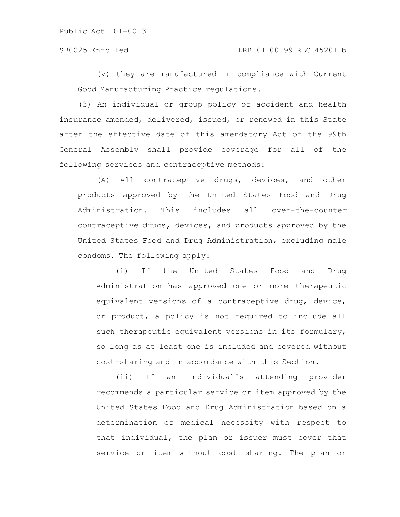# SB0025 Enrolled LRB101 00199 RLC 45201 b

(v) they are manufactured in compliance with Current Good Manufacturing Practice regulations.

(3) An individual or group policy of accident and health insurance amended, delivered, issued, or renewed in this State after the effective date of this amendatory Act of the 99th General Assembly shall provide coverage for all of the following services and contraceptive methods:

(A) All contraceptive drugs, devices, and other products approved by the United States Food and Drug Administration. This includes all over-the-counter contraceptive drugs, devices, and products approved by the United States Food and Drug Administration, excluding male condoms. The following apply:

(i) If the United States Food and Drug Administration has approved one or more therapeutic equivalent versions of a contraceptive drug, device, or product, a policy is not required to include all such therapeutic equivalent versions in its formulary, so long as at least one is included and covered without cost-sharing and in accordance with this Section.

(ii) If an individual's attending provider recommends a particular service or item approved by the United States Food and Drug Administration based on a determination of medical necessity with respect to that individual, the plan or issuer must cover that service or item without cost sharing. The plan or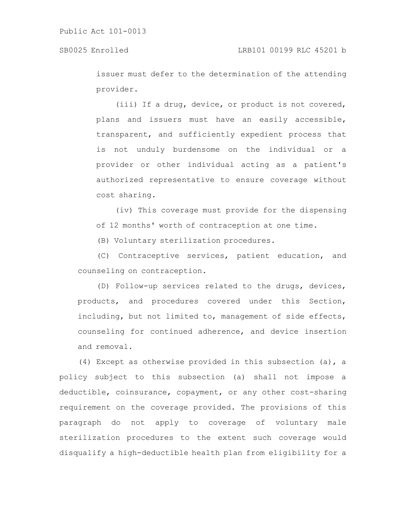issuer must defer to the determination of the attending provider.

(iii) If a drug, device, or product is not covered, plans and issuers must have an easily accessible, transparent, and sufficiently expedient process that is not unduly burdensome on the individual or a provider or other individual acting as a patient's authorized representative to ensure coverage without cost sharing.

(iv) This coverage must provide for the dispensing of 12 months' worth of contraception at one time.

(B) Voluntary sterilization procedures.

(C) Contraceptive services, patient education, and counseling on contraception.

(D) Follow-up services related to the drugs, devices, products, and procedures covered under this Section, including, but not limited to, management of side effects, counseling for continued adherence, and device insertion and removal.

(4) Except as otherwise provided in this subsection (a), a policy subject to this subsection (a) shall not impose a deductible, coinsurance, copayment, or any other cost-sharing requirement on the coverage provided. The provisions of this paragraph do not apply to coverage of voluntary male sterilization procedures to the extent such coverage would disqualify a high-deductible health plan from eligibility for a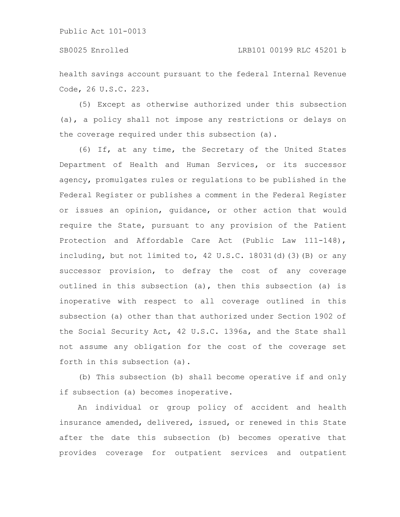health savings account pursuant to the federal Internal Revenue Code, 26 U.S.C. 223.

(5) Except as otherwise authorized under this subsection (a), a policy shall not impose any restrictions or delays on the coverage required under this subsection (a).

(6) If, at any time, the Secretary of the United States Department of Health and Human Services, or its successor agency, promulgates rules or regulations to be published in the Federal Register or publishes a comment in the Federal Register or issues an opinion, guidance, or other action that would require the State, pursuant to any provision of the Patient Protection and Affordable Care Act (Public Law 111-148), including, but not limited to, 42 U.S.C. 18031(d)(3)(B) or any successor provision, to defray the cost of any coverage outlined in this subsection (a), then this subsection (a) is inoperative with respect to all coverage outlined in this subsection (a) other than that authorized under Section 1902 of the Social Security Act, 42 U.S.C. 1396a, and the State shall not assume any obligation for the cost of the coverage set forth in this subsection (a).

(b) This subsection (b) shall become operative if and only if subsection (a) becomes inoperative.

An individual or group policy of accident and health insurance amended, delivered, issued, or renewed in this State after the date this subsection (b) becomes operative that provides coverage for outpatient services and outpatient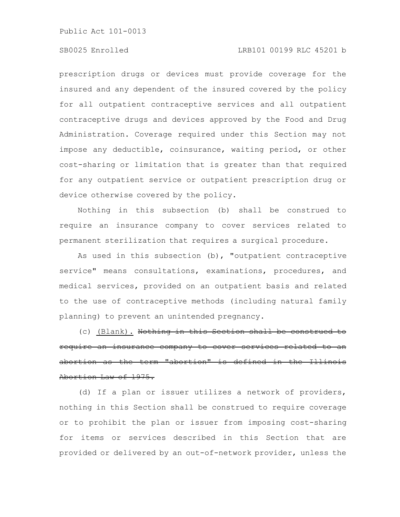# SB0025 Enrolled LRB101 00199 RLC 45201 b

prescription drugs or devices must provide coverage for the insured and any dependent of the insured covered by the policy for all outpatient contraceptive services and all outpatient contraceptive drugs and devices approved by the Food and Drug Administration. Coverage required under this Section may not impose any deductible, coinsurance, waiting period, or other cost-sharing or limitation that is greater than that required for any outpatient service or outpatient prescription drug or device otherwise covered by the policy.

Nothing in this subsection (b) shall be construed to require an insurance company to cover services related to permanent sterilization that requires a surgical procedure.

As used in this subsection (b), "outpatient contraceptive service" means consultations, examinations, procedures, and medical services, provided on an outpatient basis and related to the use of contraceptive methods (including natural family planning) to prevent an unintended pregnancy.

(c) (Blank). Nothing in this Section shall be construed require an insurance company to cover services related abortion as the term "abortion" is defined in the Abortion Law of 1975.

(d) If a plan or issuer utilizes a network of providers, nothing in this Section shall be construed to require coverage or to prohibit the plan or issuer from imposing cost-sharing for items or services described in this Section that are provided or delivered by an out-of-network provider, unless the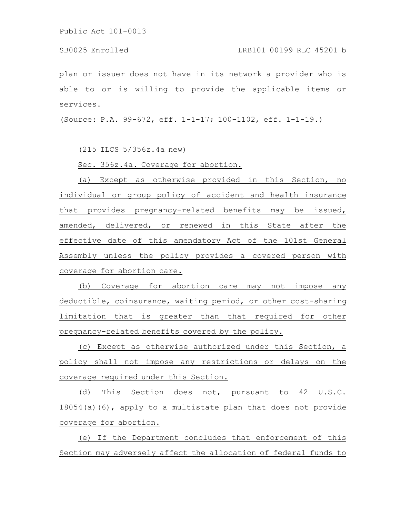plan or issuer does not have in its network a provider who is able to or is willing to provide the applicable items or services.

(Source: P.A. 99-672, eff. 1-1-17; 100-1102, eff. 1-1-19.)

(215 ILCS 5/356z.4a new)

Sec. 356z.4a. Coverage for abortion.

(a) Except as otherwise provided in this Section, no individual or group policy of accident and health insurance that provides pregnancy-related benefits may be issued, amended, delivered, or renewed in this State after the effective date of this amendatory Act of the 101st General Assembly unless the policy provides a covered person with coverage for abortion care.

(b) Coverage for abortion care may not impose any deductible, coinsurance, waiting period, or other cost-sharing limitation that is greater than that required for other pregnancy-related benefits covered by the policy.

(c) Except as otherwise authorized under this Section, a policy shall not impose any restrictions or delays on the coverage required under this Section.

(d) This Section does not, pursuant to 42 U.S.C. 18054(a)(6), apply to a multistate plan that does not provide coverage for abortion.

(e) If the Department concludes that enforcement of this Section may adversely affect the allocation of federal funds to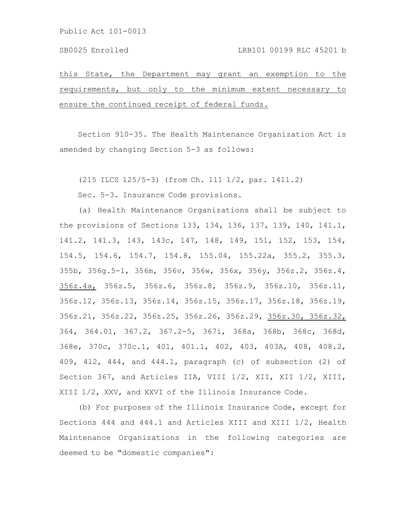this State, the Department may grant an exemption to the requirements, but only to the minimum extent necessary to ensure the continued receipt of federal funds.

Section 910-35. The Health Maintenance Organization Act is amended by changing Section 5-3 as follows:

(215 ILCS 125/5-3) (from Ch. 111 1/2, par. 1411.2)

Sec. 5-3. Insurance Code provisions.

(a) Health Maintenance Organizations shall be subject to the provisions of Sections 133, 134, 136, 137, 139, 140, 141.1, 141.2, 141.3, 143, 143c, 147, 148, 149, 151, 152, 153, 154, 154.5, 154.6, 154.7, 154.8, 155.04, 155.22a, 355.2, 355.3, 355b, 356g.5-1, 356m, 356v, 356w, 356x, 356y, 356z.2, 356z.4, 356z.4a, 356z.5, 356z.6, 356z.8, 356z.9, 356z.10, 356z.11, 356z.12, 356z.13, 356z.14, 356z.15, 356z.17, 356z.18, 356z.19, 356z.21, 356z.22, 356z.25, 356z.26, 356z.29, 356z.30, 356z.32, 364, 364.01, 367.2, 367.2-5, 367i, 368a, 368b, 368c, 368d, 368e, 370c, 370c.1, 401, 401.1, 402, 403, 403A, 408, 408.2, 409, 412, 444, and 444.1, paragraph (c) of subsection (2) of Section 367, and Articles IIA, VIII 1/2, XII, XII 1/2, XIII, XIII 1/2, XXV, and XXVI of the Illinois Insurance Code.

(b) For purposes of the Illinois Insurance Code, except for Sections 444 and 444.1 and Articles XIII and XIII 1/2, Health Maintenance Organizations in the following categories are deemed to be "domestic companies":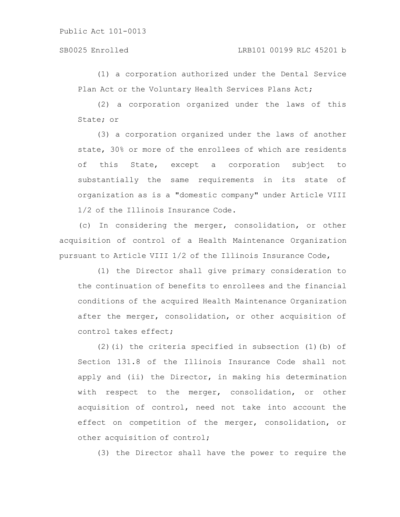(1) a corporation authorized under the Dental Service Plan Act or the Voluntary Health Services Plans Act;

(2) a corporation organized under the laws of this State; or

(3) a corporation organized under the laws of another state, 30% or more of the enrollees of which are residents of this State, except a corporation subject to substantially the same requirements in its state of organization as is a "domestic company" under Article VIII 1/2 of the Illinois Insurance Code.

(c) In considering the merger, consolidation, or other acquisition of control of a Health Maintenance Organization pursuant to Article VIII 1/2 of the Illinois Insurance Code,

(1) the Director shall give primary consideration to the continuation of benefits to enrollees and the financial conditions of the acquired Health Maintenance Organization after the merger, consolidation, or other acquisition of control takes effect;

(2)(i) the criteria specified in subsection (1)(b) of Section 131.8 of the Illinois Insurance Code shall not apply and (ii) the Director, in making his determination with respect to the merger, consolidation, or other acquisition of control, need not take into account the effect on competition of the merger, consolidation, or other acquisition of control;

(3) the Director shall have the power to require the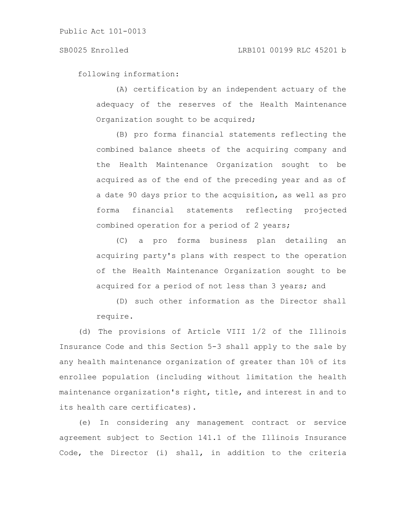following information:

(A) certification by an independent actuary of the adequacy of the reserves of the Health Maintenance Organization sought to be acquired;

(B) pro forma financial statements reflecting the combined balance sheets of the acquiring company and the Health Maintenance Organization sought to be acquired as of the end of the preceding year and as of a date 90 days prior to the acquisition, as well as pro forma financial statements reflecting projected combined operation for a period of 2 years;

(C) a pro forma business plan detailing an acquiring party's plans with respect to the operation of the Health Maintenance Organization sought to be acquired for a period of not less than 3 years; and

(D) such other information as the Director shall require.

(d) The provisions of Article VIII 1/2 of the Illinois Insurance Code and this Section 5-3 shall apply to the sale by any health maintenance organization of greater than 10% of its enrollee population (including without limitation the health maintenance organization's right, title, and interest in and to its health care certificates).

(e) In considering any management contract or service agreement subject to Section 141.1 of the Illinois Insurance Code, the Director (i) shall, in addition to the criteria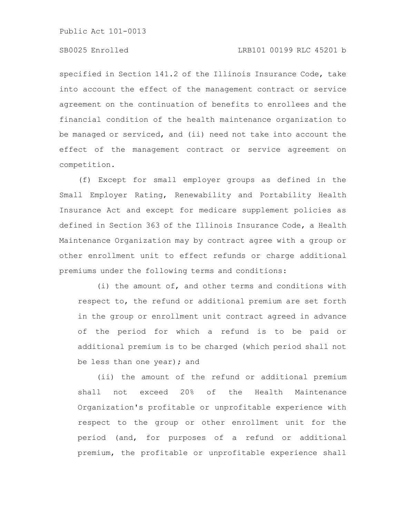## SB0025 Enrolled LRB101 00199 RLC 45201 b

specified in Section 141.2 of the Illinois Insurance Code, take into account the effect of the management contract or service agreement on the continuation of benefits to enrollees and the financial condition of the health maintenance organization to be managed or serviced, and (ii) need not take into account the effect of the management contract or service agreement on competition.

(f) Except for small employer groups as defined in the Small Employer Rating, Renewability and Portability Health Insurance Act and except for medicare supplement policies as defined in Section 363 of the Illinois Insurance Code, a Health Maintenance Organization may by contract agree with a group or other enrollment unit to effect refunds or charge additional premiums under the following terms and conditions:

(i) the amount of, and other terms and conditions with respect to, the refund or additional premium are set forth in the group or enrollment unit contract agreed in advance of the period for which a refund is to be paid or additional premium is to be charged (which period shall not be less than one year); and

(ii) the amount of the refund or additional premium shall not exceed 20% of the Health Maintenance Organization's profitable or unprofitable experience with respect to the group or other enrollment unit for the period (and, for purposes of a refund or additional premium, the profitable or unprofitable experience shall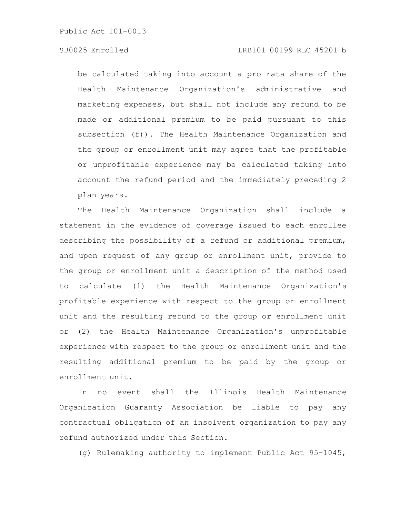# SB0025 Enrolled LRB101 00199 RLC 45201 b

be calculated taking into account a pro rata share of the Health Maintenance Organization's administrative and marketing expenses, but shall not include any refund to be made or additional premium to be paid pursuant to this subsection (f)). The Health Maintenance Organization and the group or enrollment unit may agree that the profitable or unprofitable experience may be calculated taking into account the refund period and the immediately preceding 2 plan years.

The Health Maintenance Organization shall include a statement in the evidence of coverage issued to each enrollee describing the possibility of a refund or additional premium, and upon request of any group or enrollment unit, provide to the group or enrollment unit a description of the method used to calculate (1) the Health Maintenance Organization's profitable experience with respect to the group or enrollment unit and the resulting refund to the group or enrollment unit or (2) the Health Maintenance Organization's unprofitable experience with respect to the group or enrollment unit and the resulting additional premium to be paid by the group or enrollment unit.

In no event shall the Illinois Health Maintenance Organization Guaranty Association be liable to pay any contractual obligation of an insolvent organization to pay any refund authorized under this Section.

(g) Rulemaking authority to implement Public Act 95-1045,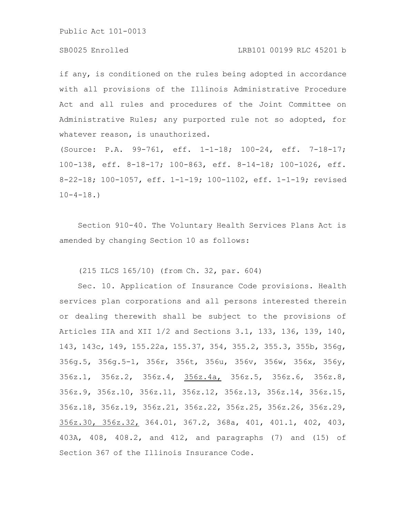# SB0025 Enrolled LRB101 00199 RLC 45201 b

if any, is conditioned on the rules being adopted in accordance with all provisions of the Illinois Administrative Procedure Act and all rules and procedures of the Joint Committee on Administrative Rules; any purported rule not so adopted, for whatever reason, is unauthorized.

(Source: P.A. 99-761, eff. 1-1-18; 100-24, eff. 7-18-17; 100-138, eff. 8-18-17; 100-863, eff. 8-14-18; 100-1026, eff. 8-22-18; 100-1057, eff. 1-1-19; 100-1102, eff. 1-1-19; revised  $10-4-18.$ 

Section 910-40. The Voluntary Health Services Plans Act is amended by changing Section 10 as follows:

(215 ILCS 165/10) (from Ch. 32, par. 604)

Sec. 10. Application of Insurance Code provisions. Health services plan corporations and all persons interested therein or dealing therewith shall be subject to the provisions of Articles IIA and XII 1/2 and Sections 3.1, 133, 136, 139, 140, 143, 143c, 149, 155.22a, 155.37, 354, 355.2, 355.3, 355b, 356g, 356g.5, 356g.5-1, 356r, 356t, 356u, 356v, 356w, 356x, 356y, 356z.1, 356z.2, 356z.4, 356z.4a, 356z.5, 356z.6, 356z.8, 356z.9, 356z.10, 356z.11, 356z.12, 356z.13, 356z.14, 356z.15, 356z.18, 356z.19, 356z.21, 356z.22, 356z.25, 356z.26, 356z.29, 356z.30, 356z.32, 364.01, 367.2, 368a, 401, 401.1, 402, 403, 403A, 408, 408.2, and 412, and paragraphs (7) and (15) of Section 367 of the Illinois Insurance Code.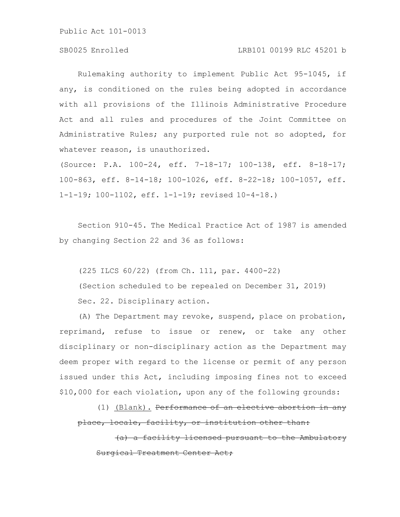# SB0025 Enrolled LRB101 00199 RLC 45201 b

Rulemaking authority to implement Public Act 95-1045, if any, is conditioned on the rules being adopted in accordance with all provisions of the Illinois Administrative Procedure Act and all rules and procedures of the Joint Committee on Administrative Rules; any purported rule not so adopted, for whatever reason, is unauthorized.

(Source: P.A. 100-24, eff. 7-18-17; 100-138, eff. 8-18-17; 100-863, eff. 8-14-18; 100-1026, eff. 8-22-18; 100-1057, eff. 1-1-19; 100-1102, eff. 1-1-19; revised 10-4-18.)

Section 910-45. The Medical Practice Act of 1987 is amended by changing Section 22 and 36 as follows:

(225 ILCS 60/22) (from Ch. 111, par. 4400-22) (Section scheduled to be repealed on December 31, 2019) Sec. 22. Disciplinary action.

(A) The Department may revoke, suspend, place on probation, reprimand, refuse to issue or renew, or take any other disciplinary or non-disciplinary action as the Department may deem proper with regard to the license or permit of any person issued under this Act, including imposing fines not to exceed \$10,000 for each violation, upon any of the following grounds:

(1) (Blank). Performance of an elective abortion in any place, locale, facility, or institution other than:

a) a facility licensed pursuant to the Ambulatory Surgical Treatment Center Act;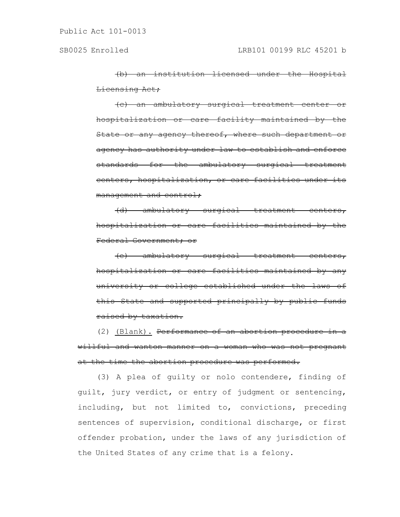(b) an institution licensed under the Hospital Licensing Act;

(c) an ambulatory surgical treatment center or hospitalization or care facility maintained by the State or any agency thereof, where such department or agency has authority under law to establish and enforce standards for the ambulatory surgical treatment centers, hospitalization, or care facilities under its management and control;

(d) ambulatory surgical treatment centers, hospitalization or care facilities maintained by the Federal Government; or

(e) ambulatory surgical treatment hospitalization or care facilities maintained by any university or college established under the laws of this State and supported principally by public funds raised by taxation.

(2) (Blank). Performance of an abortion procedure willful and wanton manner on a woman who was not pregnant at the time the abortion procedure was performed.

(3) A plea of guilty or nolo contendere, finding of guilt, jury verdict, or entry of judgment or sentencing, including, but not limited to, convictions, preceding sentences of supervision, conditional discharge, or first offender probation, under the laws of any jurisdiction of the United States of any crime that is a felony.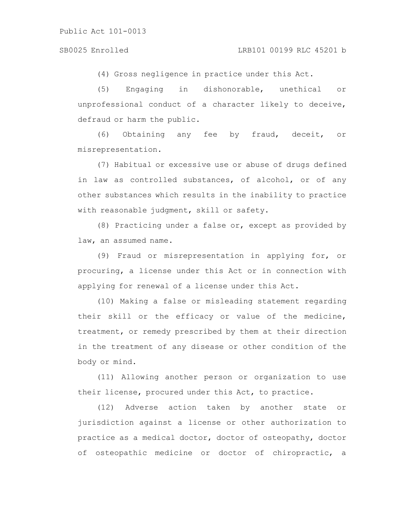(4) Gross negligence in practice under this Act.

(5) Engaging in dishonorable, unethical or unprofessional conduct of a character likely to deceive, defraud or harm the public.

(6) Obtaining any fee by fraud, deceit, or misrepresentation.

(7) Habitual or excessive use or abuse of drugs defined in law as controlled substances, of alcohol, or of any other substances which results in the inability to practice with reasonable judgment, skill or safety.

(8) Practicing under a false or, except as provided by law, an assumed name.

(9) Fraud or misrepresentation in applying for, or procuring, a license under this Act or in connection with applying for renewal of a license under this Act.

(10) Making a false or misleading statement regarding their skill or the efficacy or value of the medicine, treatment, or remedy prescribed by them at their direction in the treatment of any disease or other condition of the body or mind.

(11) Allowing another person or organization to use their license, procured under this Act, to practice.

(12) Adverse action taken by another state or jurisdiction against a license or other authorization to practice as a medical doctor, doctor of osteopathy, doctor of osteopathic medicine or doctor of chiropractic, a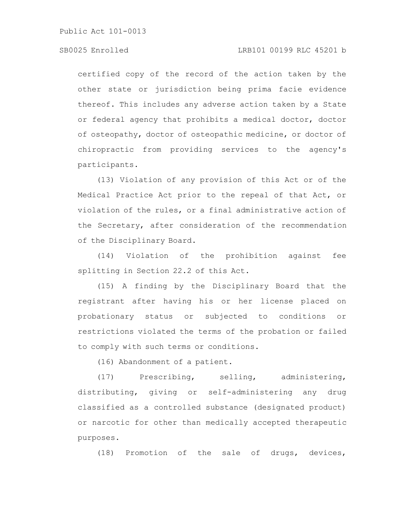# SB0025 Enrolled LRB101 00199 RLC 45201 b

certified copy of the record of the action taken by the other state or jurisdiction being prima facie evidence thereof. This includes any adverse action taken by a State or federal agency that prohibits a medical doctor, doctor of osteopathy, doctor of osteopathic medicine, or doctor of chiropractic from providing services to the agency's participants.

(13) Violation of any provision of this Act or of the Medical Practice Act prior to the repeal of that Act, or violation of the rules, or a final administrative action of the Secretary, after consideration of the recommendation of the Disciplinary Board.

(14) Violation of the prohibition against fee splitting in Section 22.2 of this Act.

(15) A finding by the Disciplinary Board that the registrant after having his or her license placed on probationary status or subjected to conditions or restrictions violated the terms of the probation or failed to comply with such terms or conditions.

(16) Abandonment of a patient.

(17) Prescribing, selling, administering, distributing, giving or self-administering any drug classified as a controlled substance (designated product) or narcotic for other than medically accepted therapeutic purposes.

(18) Promotion of the sale of drugs, devices,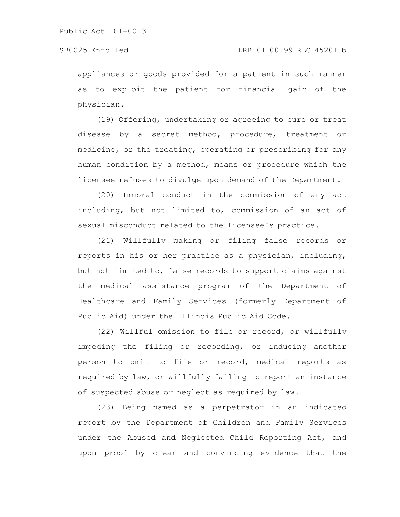appliances or goods provided for a patient in such manner as to exploit the patient for financial gain of the physician.

(19) Offering, undertaking or agreeing to cure or treat disease by a secret method, procedure, treatment or medicine, or the treating, operating or prescribing for any human condition by a method, means or procedure which the licensee refuses to divulge upon demand of the Department.

(20) Immoral conduct in the commission of any act including, but not limited to, commission of an act of sexual misconduct related to the licensee's practice.

(21) Willfully making or filing false records or reports in his or her practice as a physician, including, but not limited to, false records to support claims against the medical assistance program of the Department of Healthcare and Family Services (formerly Department of Public Aid) under the Illinois Public Aid Code.

(22) Willful omission to file or record, or willfully impeding the filing or recording, or inducing another person to omit to file or record, medical reports as required by law, or willfully failing to report an instance of suspected abuse or neglect as required by law.

(23) Being named as a perpetrator in an indicated report by the Department of Children and Family Services under the Abused and Neglected Child Reporting Act, and upon proof by clear and convincing evidence that the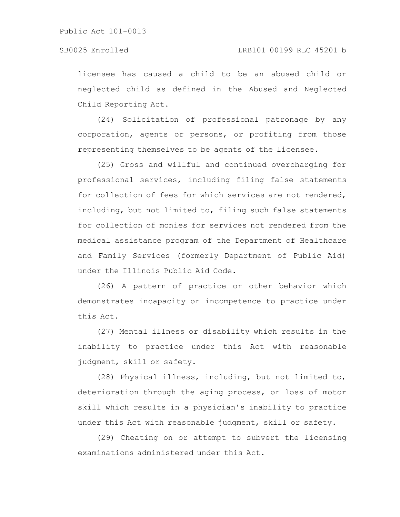# SB0025 Enrolled LRB101 00199 RLC 45201 b

licensee has caused a child to be an abused child or neglected child as defined in the Abused and Neglected Child Reporting Act.

(24) Solicitation of professional patronage by any corporation, agents or persons, or profiting from those representing themselves to be agents of the licensee.

(25) Gross and willful and continued overcharging for professional services, including filing false statements for collection of fees for which services are not rendered, including, but not limited to, filing such false statements for collection of monies for services not rendered from the medical assistance program of the Department of Healthcare and Family Services (formerly Department of Public Aid) under the Illinois Public Aid Code.

(26) A pattern of practice or other behavior which demonstrates incapacity or incompetence to practice under this Act.

(27) Mental illness or disability which results in the inability to practice under this Act with reasonable judgment, skill or safety.

(28) Physical illness, including, but not limited to, deterioration through the aging process, or loss of motor skill which results in a physician's inability to practice under this Act with reasonable judgment, skill or safety.

(29) Cheating on or attempt to subvert the licensing examinations administered under this Act.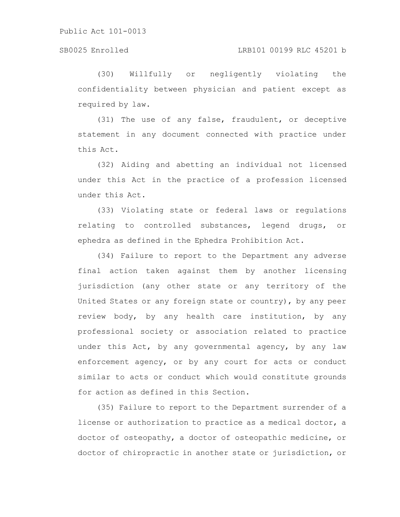(30) Willfully or negligently violating the confidentiality between physician and patient except as required by law.

(31) The use of any false, fraudulent, or deceptive statement in any document connected with practice under this Act.

(32) Aiding and abetting an individual not licensed under this Act in the practice of a profession licensed under this Act.

(33) Violating state or federal laws or regulations relating to controlled substances, legend drugs, or ephedra as defined in the Ephedra Prohibition Act.

(34) Failure to report to the Department any adverse final action taken against them by another licensing jurisdiction (any other state or any territory of the United States or any foreign state or country), by any peer review body, by any health care institution, by any professional society or association related to practice under this Act, by any governmental agency, by any law enforcement agency, or by any court for acts or conduct similar to acts or conduct which would constitute grounds for action as defined in this Section.

(35) Failure to report to the Department surrender of a license or authorization to practice as a medical doctor, a doctor of osteopathy, a doctor of osteopathic medicine, or doctor of chiropractic in another state or jurisdiction, or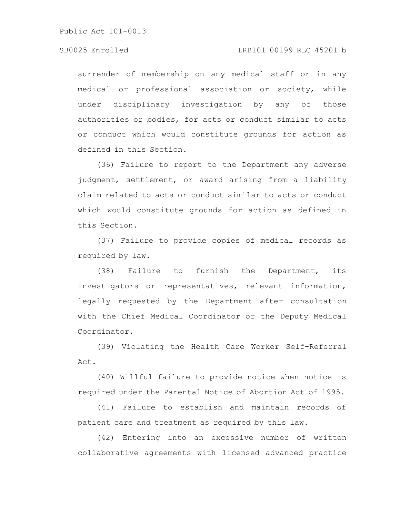## SB0025 Enrolled LRB101 00199 RLC 45201 b

surrender of membership on any medical staff or in any medical or professional association or society, while under disciplinary investigation by any of those authorities or bodies, for acts or conduct similar to acts or conduct which would constitute grounds for action as defined in this Section.

(36) Failure to report to the Department any adverse judgment, settlement, or award arising from a liability claim related to acts or conduct similar to acts or conduct which would constitute grounds for action as defined in this Section.

(37) Failure to provide copies of medical records as required by law.

(38) Failure to furnish the Department, its investigators or representatives, relevant information, legally requested by the Department after consultation with the Chief Medical Coordinator or the Deputy Medical Coordinator.

(39) Violating the Health Care Worker Self-Referral Act.

(40) Willful failure to provide notice when notice is required under the Parental Notice of Abortion Act of 1995.

(41) Failure to establish and maintain records of patient care and treatment as required by this law.

(42) Entering into an excessive number of written collaborative agreements with licensed advanced practice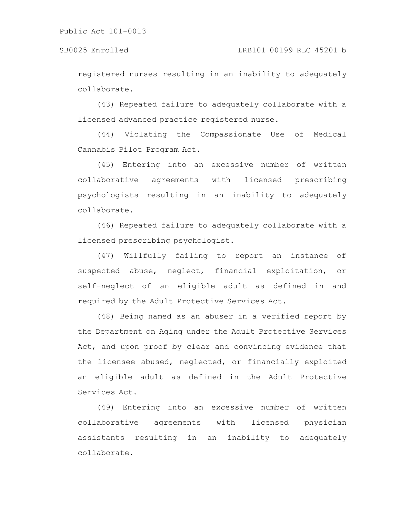registered nurses resulting in an inability to adequately collaborate.

(43) Repeated failure to adequately collaborate with a licensed advanced practice registered nurse.

(44) Violating the Compassionate Use of Medical Cannabis Pilot Program Act.

(45) Entering into an excessive number of written collaborative agreements with licensed prescribing psychologists resulting in an inability to adequately collaborate.

(46) Repeated failure to adequately collaborate with a licensed prescribing psychologist.

(47) Willfully failing to report an instance of suspected abuse, neglect, financial exploitation, or self-neglect of an eligible adult as defined in and required by the Adult Protective Services Act.

(48) Being named as an abuser in a verified report by the Department on Aging under the Adult Protective Services Act, and upon proof by clear and convincing evidence that the licensee abused, neglected, or financially exploited an eligible adult as defined in the Adult Protective Services Act.

(49) Entering into an excessive number of written collaborative agreements with licensed physician assistants resulting in an inability to adequately collaborate.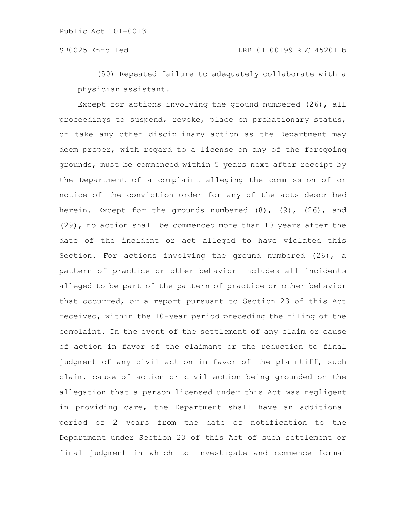(50) Repeated failure to adequately collaborate with a physician assistant.

Except for actions involving the ground numbered (26), all proceedings to suspend, revoke, place on probationary status, or take any other disciplinary action as the Department may deem proper, with regard to a license on any of the foregoing grounds, must be commenced within 5 years next after receipt by the Department of a complaint alleging the commission of or notice of the conviction order for any of the acts described herein. Except for the grounds numbered  $(8)$ ,  $(9)$ ,  $(26)$ , and (29), no action shall be commenced more than 10 years after the date of the incident or act alleged to have violated this Section. For actions involving the ground numbered (26), a pattern of practice or other behavior includes all incidents alleged to be part of the pattern of practice or other behavior that occurred, or a report pursuant to Section 23 of this Act received, within the 10-year period preceding the filing of the complaint. In the event of the settlement of any claim or cause of action in favor of the claimant or the reduction to final judgment of any civil action in favor of the plaintiff, such claim, cause of action or civil action being grounded on the allegation that a person licensed under this Act was negligent in providing care, the Department shall have an additional period of 2 years from the date of notification to the Department under Section 23 of this Act of such settlement or final judgment in which to investigate and commence formal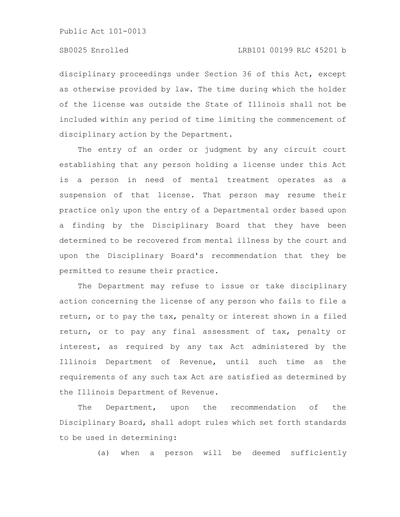disciplinary proceedings under Section 36 of this Act, except as otherwise provided by law. The time during which the holder of the license was outside the State of Illinois shall not be included within any period of time limiting the commencement of disciplinary action by the Department.

The entry of an order or judgment by any circuit court establishing that any person holding a license under this Act is a person in need of mental treatment operates as a suspension of that license. That person may resume their practice only upon the entry of a Departmental order based upon a finding by the Disciplinary Board that they have been determined to be recovered from mental illness by the court and upon the Disciplinary Board's recommendation that they be permitted to resume their practice.

The Department may refuse to issue or take disciplinary action concerning the license of any person who fails to file a return, or to pay the tax, penalty or interest shown in a filed return, or to pay any final assessment of tax, penalty or interest, as required by any tax Act administered by the Illinois Department of Revenue, until such time as the requirements of any such tax Act are satisfied as determined by the Illinois Department of Revenue.

The Department, upon the recommendation of the Disciplinary Board, shall adopt rules which set forth standards to be used in determining:

(a) when a person will be deemed sufficiently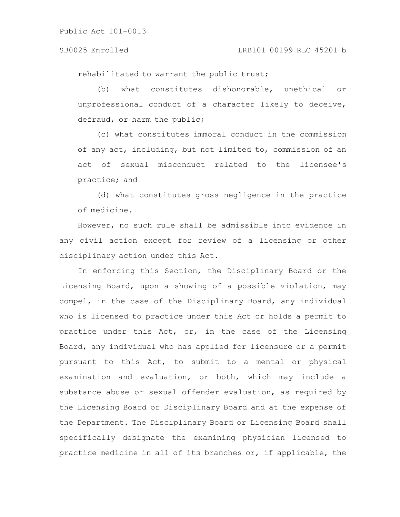rehabilitated to warrant the public trust;

(b) what constitutes dishonorable, unethical or unprofessional conduct of a character likely to deceive, defraud, or harm the public;

(c) what constitutes immoral conduct in the commission of any act, including, but not limited to, commission of an act of sexual misconduct related to the licensee's practice; and

(d) what constitutes gross negligence in the practice of medicine.

However, no such rule shall be admissible into evidence in any civil action except for review of a licensing or other disciplinary action under this Act.

In enforcing this Section, the Disciplinary Board or the Licensing Board, upon a showing of a possible violation, may compel, in the case of the Disciplinary Board, any individual who is licensed to practice under this Act or holds a permit to practice under this Act, or, in the case of the Licensing Board, any individual who has applied for licensure or a permit pursuant to this Act, to submit to a mental or physical examination and evaluation, or both, which may include a substance abuse or sexual offender evaluation, as required by the Licensing Board or Disciplinary Board and at the expense of the Department. The Disciplinary Board or Licensing Board shall specifically designate the examining physician licensed to practice medicine in all of its branches or, if applicable, the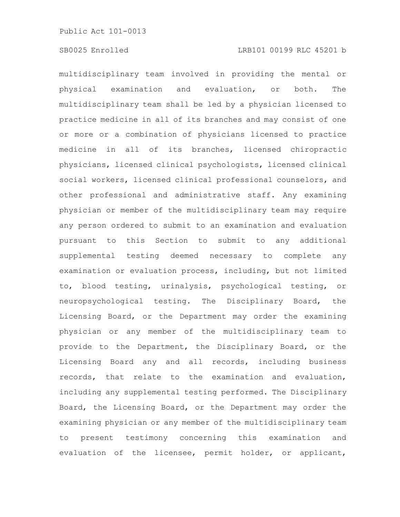multidisciplinary team involved in providing the mental or physical examination and evaluation, or both. The multidisciplinary team shall be led by a physician licensed to practice medicine in all of its branches and may consist of one or more or a combination of physicians licensed to practice medicine in all of its branches, licensed chiropractic physicians, licensed clinical psychologists, licensed clinical social workers, licensed clinical professional counselors, and other professional and administrative staff. Any examining physician or member of the multidisciplinary team may require any person ordered to submit to an examination and evaluation pursuant to this Section to submit to any additional supplemental testing deemed necessary to complete any examination or evaluation process, including, but not limited to, blood testing, urinalysis, psychological testing, or neuropsychological testing. The Disciplinary Board, the Licensing Board, or the Department may order the examining physician or any member of the multidisciplinary team to provide to the Department, the Disciplinary Board, or the Licensing Board any and all records, including business records, that relate to the examination and evaluation, including any supplemental testing performed. The Disciplinary Board, the Licensing Board, or the Department may order the examining physician or any member of the multidisciplinary team to present testimony concerning this examination and evaluation of the licensee, permit holder, or applicant,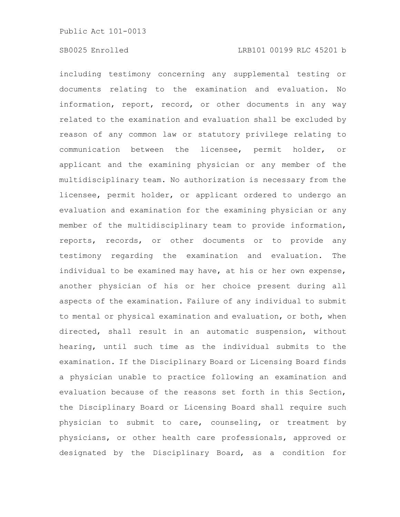including testimony concerning any supplemental testing or documents relating to the examination and evaluation. No information, report, record, or other documents in any way related to the examination and evaluation shall be excluded by reason of any common law or statutory privilege relating to communication between the licensee, permit holder, or applicant and the examining physician or any member of the multidisciplinary team. No authorization is necessary from the licensee, permit holder, or applicant ordered to undergo an evaluation and examination for the examining physician or any member of the multidisciplinary team to provide information, reports, records, or other documents or to provide any testimony regarding the examination and evaluation. The individual to be examined may have, at his or her own expense, another physician of his or her choice present during all aspects of the examination. Failure of any individual to submit to mental or physical examination and evaluation, or both, when directed, shall result in an automatic suspension, without hearing, until such time as the individual submits to the examination. If the Disciplinary Board or Licensing Board finds a physician unable to practice following an examination and evaluation because of the reasons set forth in this Section, the Disciplinary Board or Licensing Board shall require such physician to submit to care, counseling, or treatment by physicians, or other health care professionals, approved or designated by the Disciplinary Board, as a condition for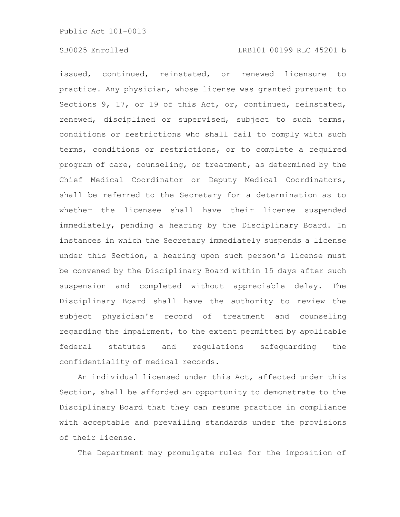issued, continued, reinstated, or renewed licensure to practice. Any physician, whose license was granted pursuant to Sections 9, 17, or 19 of this Act, or, continued, reinstated, renewed, disciplined or supervised, subject to such terms, conditions or restrictions who shall fail to comply with such terms, conditions or restrictions, or to complete a required program of care, counseling, or treatment, as determined by the Chief Medical Coordinator or Deputy Medical Coordinators, shall be referred to the Secretary for a determination as to whether the licensee shall have their license suspended immediately, pending a hearing by the Disciplinary Board. In instances in which the Secretary immediately suspends a license under this Section, a hearing upon such person's license must be convened by the Disciplinary Board within 15 days after such suspension and completed without appreciable delay. The Disciplinary Board shall have the authority to review the subject physician's record of treatment and counseling regarding the impairment, to the extent permitted by applicable federal statutes and regulations safeguarding the confidentiality of medical records.

An individual licensed under this Act, affected under this Section, shall be afforded an opportunity to demonstrate to the Disciplinary Board that they can resume practice in compliance with acceptable and prevailing standards under the provisions of their license.

The Department may promulgate rules for the imposition of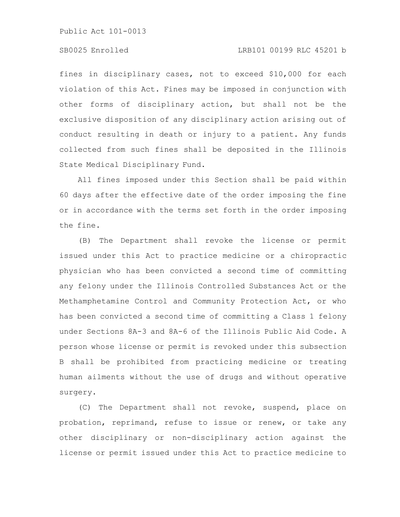# SB0025 Enrolled LRB101 00199 RLC 45201 b

fines in disciplinary cases, not to exceed \$10,000 for each violation of this Act. Fines may be imposed in conjunction with other forms of disciplinary action, but shall not be the exclusive disposition of any disciplinary action arising out of conduct resulting in death or injury to a patient. Any funds collected from such fines shall be deposited in the Illinois State Medical Disciplinary Fund.

All fines imposed under this Section shall be paid within 60 days after the effective date of the order imposing the fine or in accordance with the terms set forth in the order imposing the fine.

(B) The Department shall revoke the license or permit issued under this Act to practice medicine or a chiropractic physician who has been convicted a second time of committing any felony under the Illinois Controlled Substances Act or the Methamphetamine Control and Community Protection Act, or who has been convicted a second time of committing a Class 1 felony under Sections 8A-3 and 8A-6 of the Illinois Public Aid Code. A person whose license or permit is revoked under this subsection B shall be prohibited from practicing medicine or treating human ailments without the use of drugs and without operative surgery.

(C) The Department shall not revoke, suspend, place on probation, reprimand, refuse to issue or renew, or take any other disciplinary or non-disciplinary action against the license or permit issued under this Act to practice medicine to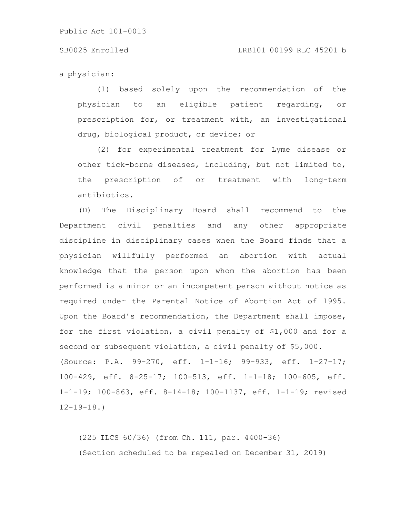#### SB0025 Enrolled LRB101 00199 RLC 45201 b

a physician:

(1) based solely upon the recommendation of the physician to an eligible patient regarding, or prescription for, or treatment with, an investigational drug, biological product, or device; or

(2) for experimental treatment for Lyme disease or other tick-borne diseases, including, but not limited to, the prescription of or treatment with long-term antibiotics.

(D) The Disciplinary Board shall recommend to the Department civil penalties and any other appropriate discipline in disciplinary cases when the Board finds that a physician willfully performed an abortion with actual knowledge that the person upon whom the abortion has been performed is a minor or an incompetent person without notice as required under the Parental Notice of Abortion Act of 1995. Upon the Board's recommendation, the Department shall impose, for the first violation, a civil penalty of \$1,000 and for a second or subsequent violation, a civil penalty of \$5,000. (Source: P.A. 99-270, eff. 1-1-16; 99-933, eff. 1-27-17; 100-429, eff. 8-25-17; 100-513, eff. 1-1-18; 100-605, eff. 1-1-19; 100-863, eff. 8-14-18; 100-1137, eff. 1-1-19; revised  $12 - 19 - 18.$ 

(225 ILCS 60/36) (from Ch. 111, par. 4400-36) (Section scheduled to be repealed on December 31, 2019)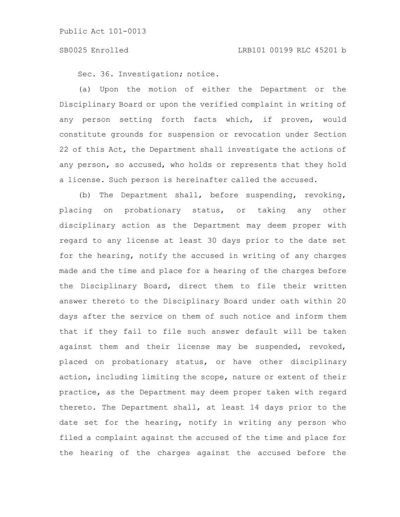Sec. 36. Investigation; notice.

(a) Upon the motion of either the Department or the Disciplinary Board or upon the verified complaint in writing of any person setting forth facts which, if proven, would constitute grounds for suspension or revocation under Section 22 of this Act, the Department shall investigate the actions of any person, so accused, who holds or represents that they hold a license. Such person is hereinafter called the accused.

(b) The Department shall, before suspending, revoking, placing on probationary status, or taking any other disciplinary action as the Department may deem proper with regard to any license at least 30 days prior to the date set for the hearing, notify the accused in writing of any charges made and the time and place for a hearing of the charges before the Disciplinary Board, direct them to file their written answer thereto to the Disciplinary Board under oath within 20 days after the service on them of such notice and inform them that if they fail to file such answer default will be taken against them and their license may be suspended, revoked, placed on probationary status, or have other disciplinary action, including limiting the scope, nature or extent of their practice, as the Department may deem proper taken with regard thereto. The Department shall, at least 14 days prior to the date set for the hearing, notify in writing any person who filed a complaint against the accused of the time and place for the hearing of the charges against the accused before the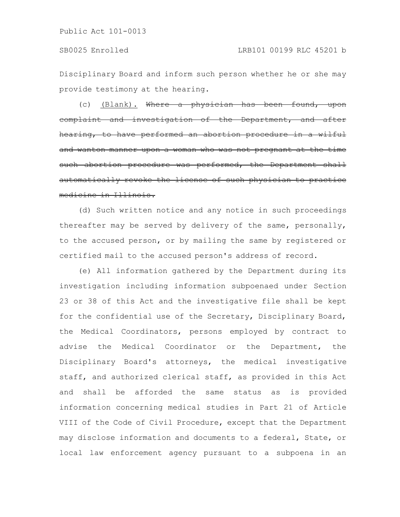Disciplinary Board and inform such person whether he or she may provide testimony at the hearing.

(c) (Blank). Where a physician has been found, eomplaint and investigation of the Department, and hearing, to have performed an abortion procedure in a wilful and wanton manner upon a woman who was not pregnant at the time such abortion procedure was performed, the Department shall automatically revoke the license of such physician medicine in Illinois.

(d) Such written notice and any notice in such proceedings thereafter may be served by delivery of the same, personally, to the accused person, or by mailing the same by registered or certified mail to the accused person's address of record.

(e) All information gathered by the Department during its investigation including information subpoenaed under Section 23 or 38 of this Act and the investigative file shall be kept for the confidential use of the Secretary, Disciplinary Board, the Medical Coordinators, persons employed by contract to advise the Medical Coordinator or the Department, the Disciplinary Board's attorneys, the medical investigative staff, and authorized clerical staff, as provided in this Act and shall be afforded the same status as is provided information concerning medical studies in Part 21 of Article VIII of the Code of Civil Procedure, except that the Department may disclose information and documents to a federal, State, or local law enforcement agency pursuant to a subpoena in an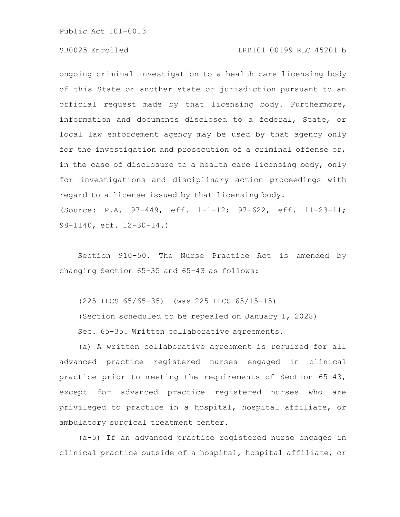## SB0025 Enrolled LRB101 00199 RLC 45201 b

ongoing criminal investigation to a health care licensing body of this State or another state or jurisdiction pursuant to an official request made by that licensing body. Furthermore, information and documents disclosed to a federal, State, or local law enforcement agency may be used by that agency only for the investigation and prosecution of a criminal offense or, in the case of disclosure to a health care licensing body, only for investigations and disciplinary action proceedings with regard to a license issued by that licensing body. (Source: P.A. 97-449, eff. 1-1-12; 97-622, eff. 11-23-11;

98-1140, eff. 12-30-14.)

Section 910-50. The Nurse Practice Act is amended by changing Section 65-35 and 65-43 as follows:

(225 ILCS 65/65-35) (was 225 ILCS 65/15-15)

(Section scheduled to be repealed on January 1, 2028) Sec. 65-35. Written collaborative agreements.

(a) A written collaborative agreement is required for all advanced practice registered nurses engaged in clinical practice prior to meeting the requirements of Section 65-43, except for advanced practice registered nurses who are privileged to practice in a hospital, hospital affiliate, or ambulatory surgical treatment center.

(a-5) If an advanced practice registered nurse engages in clinical practice outside of a hospital, hospital affiliate, or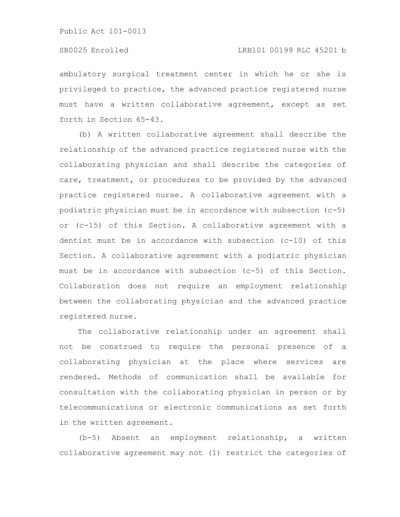# SB0025 Enrolled LRB101 00199 RLC 45201 b

ambulatory surgical treatment center in which he or she is privileged to practice, the advanced practice registered nurse must have a written collaborative agreement, except as set forth in Section 65-43.

(b) A written collaborative agreement shall describe the relationship of the advanced practice registered nurse with the collaborating physician and shall describe the categories of care, treatment, or procedures to be provided by the advanced practice registered nurse. A collaborative agreement with a podiatric physician must be in accordance with subsection (c-5) or (c-15) of this Section. A collaborative agreement with a dentist must be in accordance with subsection (c-10) of this Section. A collaborative agreement with a podiatric physician must be in accordance with subsection (c-5) of this Section. Collaboration does not require an employment relationship between the collaborating physician and the advanced practice registered nurse.

The collaborative relationship under an agreement shall not be construed to require the personal presence of a collaborating physician at the place where services are rendered. Methods of communication shall be available for consultation with the collaborating physician in person or by telecommunications or electronic communications as set forth in the written agreement.

(b-5) Absent an employment relationship, a written collaborative agreement may not (1) restrict the categories of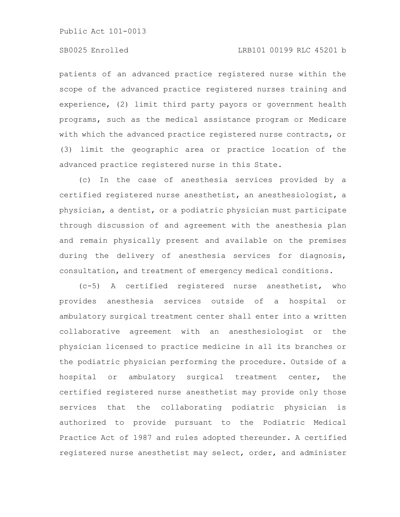# SB0025 Enrolled LRB101 00199 RLC 45201 b

patients of an advanced practice registered nurse within the scope of the advanced practice registered nurses training and experience, (2) limit third party payors or government health programs, such as the medical assistance program or Medicare with which the advanced practice registered nurse contracts, or (3) limit the geographic area or practice location of the advanced practice registered nurse in this State.

(c) In the case of anesthesia services provided by a certified registered nurse anesthetist, an anesthesiologist, a physician, a dentist, or a podiatric physician must participate through discussion of and agreement with the anesthesia plan and remain physically present and available on the premises during the delivery of anesthesia services for diagnosis, consultation, and treatment of emergency medical conditions.

(c-5) A certified registered nurse anesthetist, who provides anesthesia services outside of a hospital or ambulatory surgical treatment center shall enter into a written collaborative agreement with an anesthesiologist or the physician licensed to practice medicine in all its branches or the podiatric physician performing the procedure. Outside of a hospital or ambulatory surgical treatment center, the certified registered nurse anesthetist may provide only those services that the collaborating podiatric physician is authorized to provide pursuant to the Podiatric Medical Practice Act of 1987 and rules adopted thereunder. A certified registered nurse anesthetist may select, order, and administer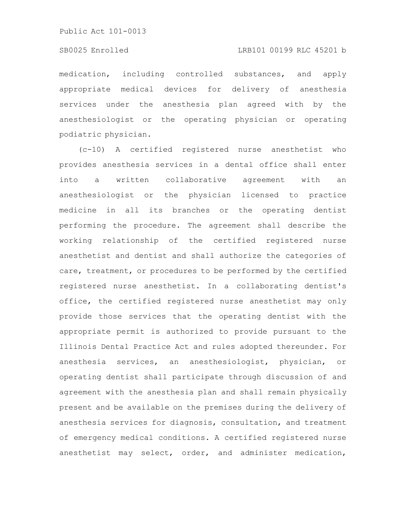## SB0025 Enrolled LRB101 00199 RLC 45201 b

medication, including controlled substances, and apply appropriate medical devices for delivery of anesthesia services under the anesthesia plan agreed with by the anesthesiologist or the operating physician or operating podiatric physician.

(c-10) A certified registered nurse anesthetist who provides anesthesia services in a dental office shall enter into a written collaborative agreement with an anesthesiologist or the physician licensed to practice medicine in all its branches or the operating dentist performing the procedure. The agreement shall describe the working relationship of the certified registered nurse anesthetist and dentist and shall authorize the categories of care, treatment, or procedures to be performed by the certified registered nurse anesthetist. In a collaborating dentist's office, the certified registered nurse anesthetist may only provide those services that the operating dentist with the appropriate permit is authorized to provide pursuant to the Illinois Dental Practice Act and rules adopted thereunder. For anesthesia services, an anesthesiologist, physician, or operating dentist shall participate through discussion of and agreement with the anesthesia plan and shall remain physically present and be available on the premises during the delivery of anesthesia services for diagnosis, consultation, and treatment of emergency medical conditions. A certified registered nurse anesthetist may select, order, and administer medication,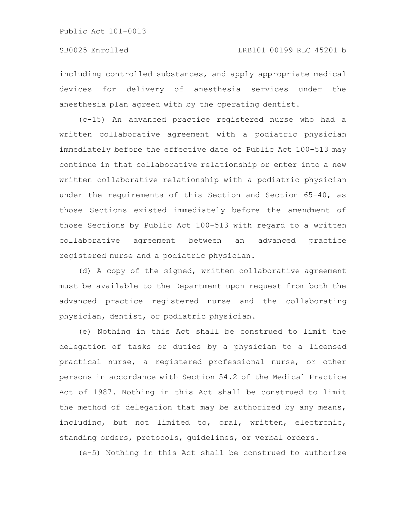including controlled substances, and apply appropriate medical devices for delivery of anesthesia services under the anesthesia plan agreed with by the operating dentist.

(c-15) An advanced practice registered nurse who had a written collaborative agreement with a podiatric physician immediately before the effective date of Public Act 100-513 may continue in that collaborative relationship or enter into a new written collaborative relationship with a podiatric physician under the requirements of this Section and Section 65-40, as those Sections existed immediately before the amendment of those Sections by Public Act 100-513 with regard to a written collaborative agreement between an advanced practice registered nurse and a podiatric physician.

(d) A copy of the signed, written collaborative agreement must be available to the Department upon request from both the advanced practice registered nurse and the collaborating physician, dentist, or podiatric physician.

(e) Nothing in this Act shall be construed to limit the delegation of tasks or duties by a physician to a licensed practical nurse, a registered professional nurse, or other persons in accordance with Section 54.2 of the Medical Practice Act of 1987. Nothing in this Act shall be construed to limit the method of delegation that may be authorized by any means, including, but not limited to, oral, written, electronic, standing orders, protocols, guidelines, or verbal orders.

(e-5) Nothing in this Act shall be construed to authorize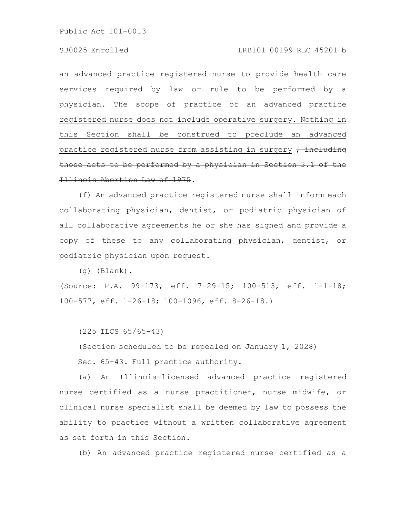an advanced practice registered nurse to provide health care services required by law or rule to be performed by a physician. The scope of practice of an advanced practice registered nurse does not include operative surgery. Nothing in this Section shall be construed to preclude an advanced practice registered nurse from assisting in surgery  $\tau$  including those acts to be performed by a physician in Section 3.1 of the Illinois Abortion Law of 1975.

(f) An advanced practice registered nurse shall inform each collaborating physician, dentist, or podiatric physician of all collaborative agreements he or she has signed and provide a copy of these to any collaborating physician, dentist, or podiatric physician upon request.

(g) (Blank).

(Source: P.A. 99-173, eff. 7-29-15; 100-513, eff. 1-1-18; 100-577, eff. 1-26-18; 100-1096, eff. 8-26-18.)

(225 ILCS 65/65-43)

(Section scheduled to be repealed on January 1, 2028)

Sec. 65-43. Full practice authority.

(a) An Illinois-licensed advanced practice registered nurse certified as a nurse practitioner, nurse midwife, or clinical nurse specialist shall be deemed by law to possess the ability to practice without a written collaborative agreement as set forth in this Section.

(b) An advanced practice registered nurse certified as a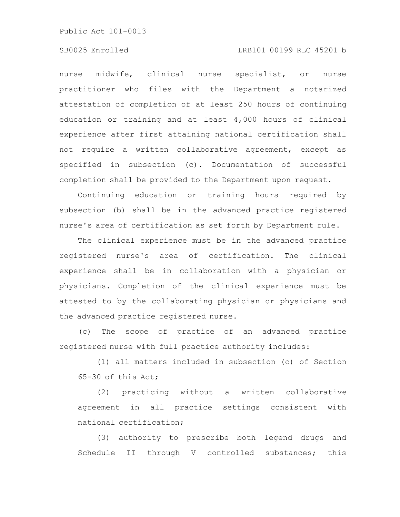### SB0025 Enrolled LRB101 00199 RLC 45201 b

nurse midwife, clinical nurse specialist, or nurse practitioner who files with the Department a notarized attestation of completion of at least 250 hours of continuing education or training and at least 4,000 hours of clinical experience after first attaining national certification shall not require a written collaborative agreement, except as specified in subsection (c). Documentation of successful completion shall be provided to the Department upon request.

Continuing education or training hours required by subsection (b) shall be in the advanced practice registered nurse's area of certification as set forth by Department rule.

The clinical experience must be in the advanced practice registered nurse's area of certification. The clinical experience shall be in collaboration with a physician or physicians. Completion of the clinical experience must be attested to by the collaborating physician or physicians and the advanced practice registered nurse.

(c) The scope of practice of an advanced practice registered nurse with full practice authority includes:

(1) all matters included in subsection (c) of Section 65-30 of this Act;

(2) practicing without a written collaborative agreement in all practice settings consistent with national certification;

(3) authority to prescribe both legend drugs and Schedule II through V controlled substances; this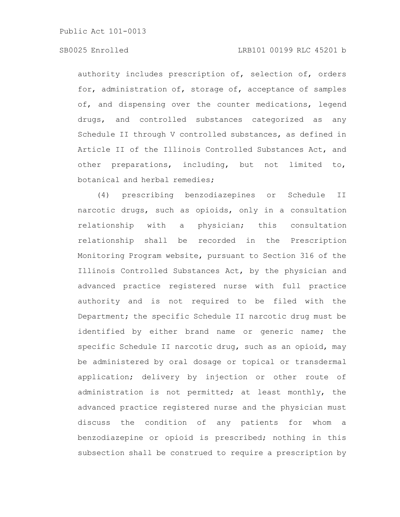## SB0025 Enrolled LRB101 00199 RLC 45201 b

authority includes prescription of, selection of, orders for, administration of, storage of, acceptance of samples of, and dispensing over the counter medications, legend drugs, and controlled substances categorized as any Schedule II through V controlled substances, as defined in Article II of the Illinois Controlled Substances Act, and other preparations, including, but not limited to, botanical and herbal remedies;

(4) prescribing benzodiazepines or Schedule II narcotic drugs, such as opioids, only in a consultation relationship with a physician; this consultation relationship shall be recorded in the Prescription Monitoring Program website, pursuant to Section 316 of the Illinois Controlled Substances Act, by the physician and advanced practice registered nurse with full practice authority and is not required to be filed with the Department; the specific Schedule II narcotic drug must be identified by either brand name or generic name; the specific Schedule II narcotic drug, such as an opioid, may be administered by oral dosage or topical or transdermal application; delivery by injection or other route of administration is not permitted; at least monthly, the advanced practice registered nurse and the physician must discuss the condition of any patients for whom a benzodiazepine or opioid is prescribed; nothing in this subsection shall be construed to require a prescription by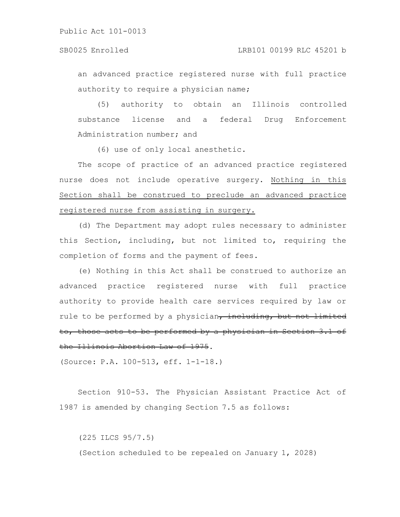an advanced practice registered nurse with full practice authority to require a physician name;

(5) authority to obtain an Illinois controlled substance license and a federal Drug Enforcement Administration number; and

(6) use of only local anesthetic.

The scope of practice of an advanced practice registered nurse does not include operative surgery. Nothing in this Section shall be construed to preclude an advanced practice registered nurse from assisting in surgery.

(d) The Department may adopt rules necessary to administer this Section, including, but not limited to, requiring the completion of forms and the payment of fees.

(e) Nothing in this Act shall be construed to authorize an advanced practice registered nurse with full practice authority to provide health care services required by law or rule to be performed by a physician, including, but not limited to, those acts to be performed by a physician in Section 3.1 of the Illinois Abortion Law of 1975.

(Source: P.A. 100-513, eff. 1-1-18.)

Section 910-53. The Physician Assistant Practice Act of 1987 is amended by changing Section 7.5 as follows:

(225 ILCS 95/7.5) (Section scheduled to be repealed on January 1, 2028)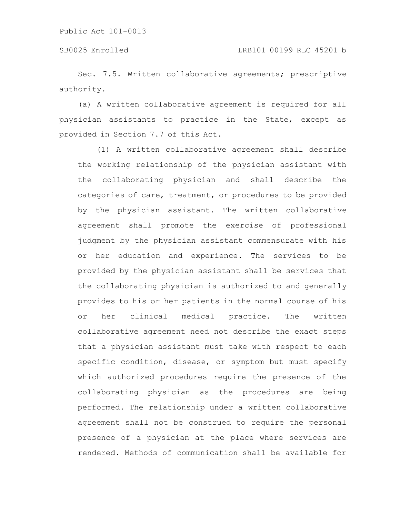Sec. 7.5. Written collaborative agreements; prescriptive authority.

(a) A written collaborative agreement is required for all physician assistants to practice in the State, except as provided in Section 7.7 of this Act.

(1) A written collaborative agreement shall describe the working relationship of the physician assistant with the collaborating physician and shall describe the categories of care, treatment, or procedures to be provided by the physician assistant. The written collaborative agreement shall promote the exercise of professional judgment by the physician assistant commensurate with his or her education and experience. The services to be provided by the physician assistant shall be services that the collaborating physician is authorized to and generally provides to his or her patients in the normal course of his or her clinical medical practice. The written collaborative agreement need not describe the exact steps that a physician assistant must take with respect to each specific condition, disease, or symptom but must specify which authorized procedures require the presence of the collaborating physician as the procedures are being performed. The relationship under a written collaborative agreement shall not be construed to require the personal presence of a physician at the place where services are rendered. Methods of communication shall be available for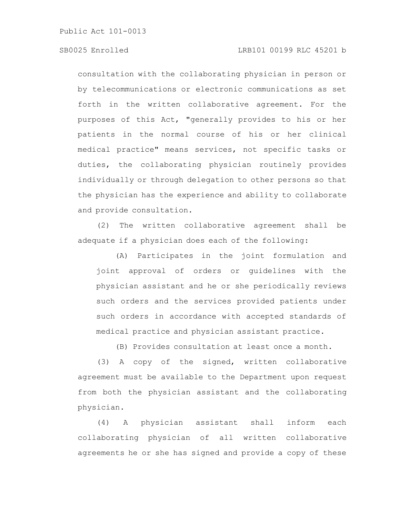# SB0025 Enrolled LRB101 00199 RLC 45201 b

consultation with the collaborating physician in person or by telecommunications or electronic communications as set forth in the written collaborative agreement. For the purposes of this Act, "generally provides to his or her patients in the normal course of his or her clinical medical practice" means services, not specific tasks or duties, the collaborating physician routinely provides individually or through delegation to other persons so that the physician has the experience and ability to collaborate and provide consultation.

(2) The written collaborative agreement shall be adequate if a physician does each of the following:

(A) Participates in the joint formulation and joint approval of orders or guidelines with the physician assistant and he or she periodically reviews such orders and the services provided patients under such orders in accordance with accepted standards of medical practice and physician assistant practice.

(B) Provides consultation at least once a month.

(3) A copy of the signed, written collaborative agreement must be available to the Department upon request from both the physician assistant and the collaborating physician.

(4) A physician assistant shall inform each collaborating physician of all written collaborative agreements he or she has signed and provide a copy of these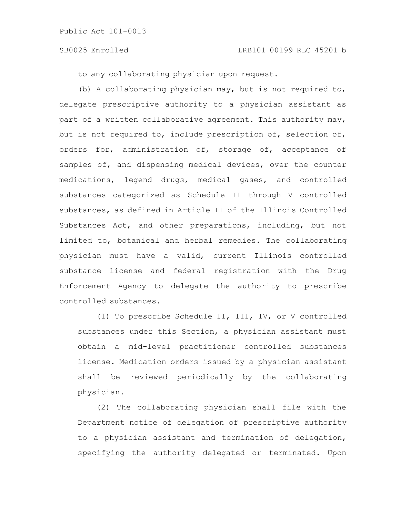to any collaborating physician upon request.

(b) A collaborating physician may, but is not required to, delegate prescriptive authority to a physician assistant as part of a written collaborative agreement. This authority may, but is not required to, include prescription of, selection of, orders for, administration of, storage of, acceptance of samples of, and dispensing medical devices, over the counter medications, legend drugs, medical gases, and controlled substances categorized as Schedule II through V controlled substances, as defined in Article II of the Illinois Controlled Substances Act, and other preparations, including, but not limited to, botanical and herbal remedies. The collaborating physician must have a valid, current Illinois controlled substance license and federal registration with the Drug Enforcement Agency to delegate the authority to prescribe controlled substances.

(1) To prescribe Schedule II, III, IV, or V controlled substances under this Section, a physician assistant must obtain a mid-level practitioner controlled substances license. Medication orders issued by a physician assistant shall be reviewed periodically by the collaborating physician.

(2) The collaborating physician shall file with the Department notice of delegation of prescriptive authority to a physician assistant and termination of delegation, specifying the authority delegated or terminated. Upon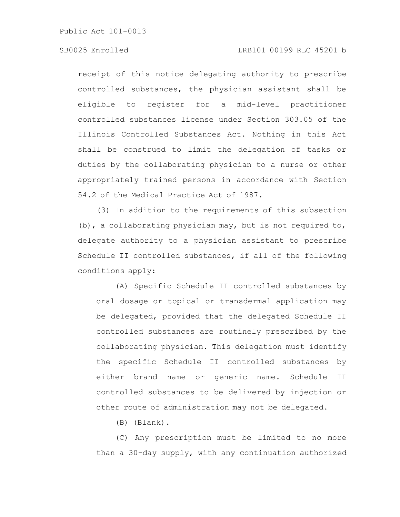# SB0025 Enrolled LRB101 00199 RLC 45201 b

receipt of this notice delegating authority to prescribe controlled substances, the physician assistant shall be eligible to register for a mid-level practitioner controlled substances license under Section 303.05 of the Illinois Controlled Substances Act. Nothing in this Act shall be construed to limit the delegation of tasks or duties by the collaborating physician to a nurse or other appropriately trained persons in accordance with Section 54.2 of the Medical Practice Act of 1987.

(3) In addition to the requirements of this subsection (b), a collaborating physician may, but is not required to, delegate authority to a physician assistant to prescribe Schedule II controlled substances, if all of the following conditions apply:

(A) Specific Schedule II controlled substances by oral dosage or topical or transdermal application may be delegated, provided that the delegated Schedule II controlled substances are routinely prescribed by the collaborating physician. This delegation must identify the specific Schedule II controlled substances by either brand name or generic name. Schedule II controlled substances to be delivered by injection or other route of administration may not be delegated.

(B) (Blank).

(C) Any prescription must be limited to no more than a 30-day supply, with any continuation authorized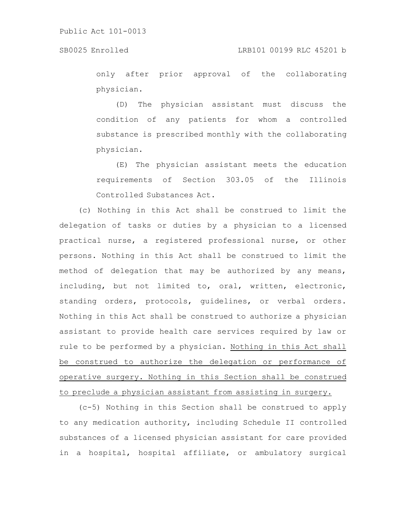only after prior approval of the collaborating physician.

(D) The physician assistant must discuss the condition of any patients for whom a controlled substance is prescribed monthly with the collaborating physician.

(E) The physician assistant meets the education requirements of Section 303.05 of the Illinois Controlled Substances Act.

(c) Nothing in this Act shall be construed to limit the delegation of tasks or duties by a physician to a licensed practical nurse, a registered professional nurse, or other persons. Nothing in this Act shall be construed to limit the method of delegation that may be authorized by any means, including, but not limited to, oral, written, electronic, standing orders, protocols, guidelines, or verbal orders. Nothing in this Act shall be construed to authorize a physician assistant to provide health care services required by law or rule to be performed by a physician. Nothing in this Act shall be construed to authorize the delegation or performance of operative surgery. Nothing in this Section shall be construed to preclude a physician assistant from assisting in surgery.

(c-5) Nothing in this Section shall be construed to apply to any medication authority, including Schedule II controlled substances of a licensed physician assistant for care provided in a hospital, hospital affiliate, or ambulatory surgical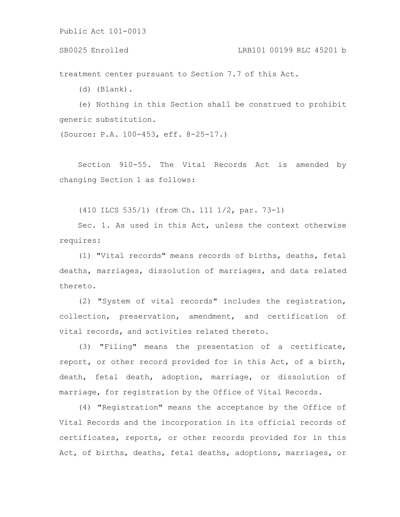## SB0025 Enrolled LRB101 00199 RLC 45201 b

treatment center pursuant to Section 7.7 of this Act.

(d) (Blank).

(e) Nothing in this Section shall be construed to prohibit generic substitution.

(Source: P.A. 100-453, eff. 8-25-17.)

Section 910-55. The Vital Records Act is amended by changing Section 1 as follows:

(410 ILCS 535/1) (from Ch. 111 1/2, par. 73-1)

Sec. 1. As used in this Act, unless the context otherwise requires:

(1) "Vital records" means records of births, deaths, fetal deaths, marriages, dissolution of marriages, and data related thereto.

(2) "System of vital records" includes the registration, collection, preservation, amendment, and certification of vital records, and activities related thereto.

(3) "Filing" means the presentation of a certificate, report, or other record provided for in this Act, of a birth, death, fetal death, adoption, marriage, or dissolution of marriage, for registration by the Office of Vital Records.

(4) "Registration" means the acceptance by the Office of Vital Records and the incorporation in its official records of certificates, reports, or other records provided for in this Act, of births, deaths, fetal deaths, adoptions, marriages, or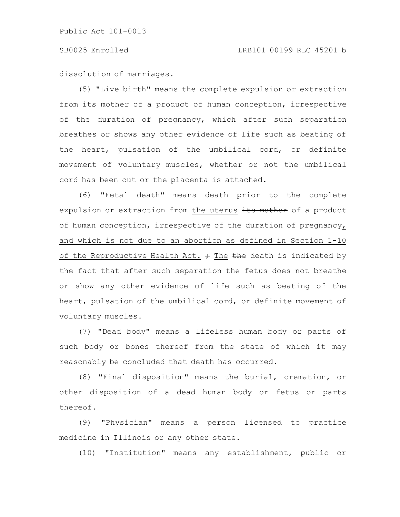dissolution of marriages.

(5) "Live birth" means the complete expulsion or extraction from its mother of a product of human conception, irrespective of the duration of pregnancy, which after such separation breathes or shows any other evidence of life such as beating of the heart, pulsation of the umbilical cord, or definite movement of voluntary muscles, whether or not the umbilical cord has been cut or the placenta is attached.

(6) "Fetal death" means death prior to the complete expulsion or extraction from the uterus its mother of a product of human conception, irrespective of the duration of pregnancy, and which is not due to an abortion as defined in Section 1-10 of the Reproductive Health Act.  $\div$  The the death is indicated by the fact that after such separation the fetus does not breathe or show any other evidence of life such as beating of the heart, pulsation of the umbilical cord, or definite movement of voluntary muscles.

(7) "Dead body" means a lifeless human body or parts of such body or bones thereof from the state of which it may reasonably be concluded that death has occurred.

(8) "Final disposition" means the burial, cremation, or other disposition of a dead human body or fetus or parts thereof.

(9) "Physician" means a person licensed to practice medicine in Illinois or any other state.

(10) "Institution" means any establishment, public or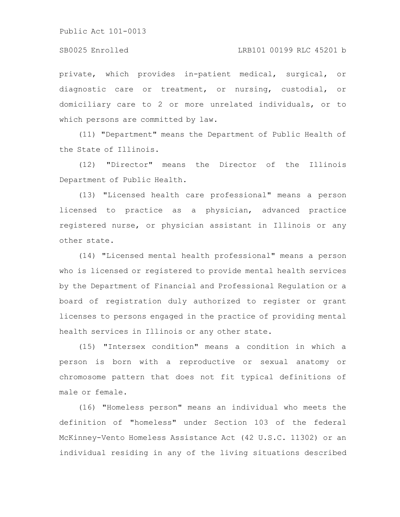### SB0025 Enrolled LRB101 00199 RLC 45201 b

private, which provides in-patient medical, surgical, or diagnostic care or treatment, or nursing, custodial, or domiciliary care to 2 or more unrelated individuals, or to which persons are committed by law.

(11) "Department" means the Department of Public Health of the State of Illinois.

(12) "Director" means the Director of the Illinois Department of Public Health.

(13) "Licensed health care professional" means a person licensed to practice as a physician, advanced practice registered nurse, or physician assistant in Illinois or any other state.

(14) "Licensed mental health professional" means a person who is licensed or registered to provide mental health services by the Department of Financial and Professional Regulation or a board of registration duly authorized to register or grant licenses to persons engaged in the practice of providing mental health services in Illinois or any other state.

(15) "Intersex condition" means a condition in which a person is born with a reproductive or sexual anatomy or chromosome pattern that does not fit typical definitions of male or female.

(16) "Homeless person" means an individual who meets the definition of "homeless" under Section 103 of the federal McKinney-Vento Homeless Assistance Act (42 U.S.C. 11302) or an individual residing in any of the living situations described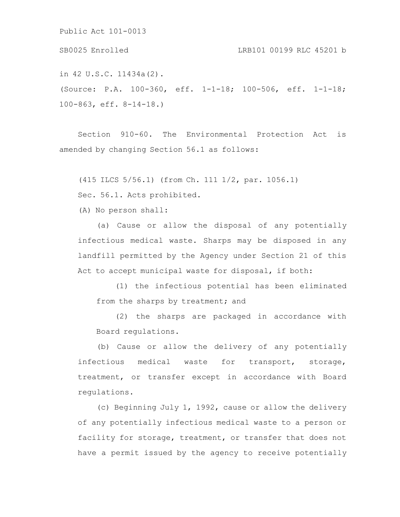in 42 U.S.C. 11434a(2). (Source: P.A. 100-360, eff. 1-1-18; 100-506, eff. 1-1-18; SB0025 Enrolled LRB101 00199 RLC 45201 b

100-863, eff. 8-14-18.)

Section 910-60. The Environmental Protection Act is amended by changing Section 56.1 as follows:

(415 ILCS 5/56.1) (from Ch. 111 1/2, par. 1056.1)

Sec. 56.1. Acts prohibited.

(A) No person shall:

(a) Cause or allow the disposal of any potentially infectious medical waste. Sharps may be disposed in any landfill permitted by the Agency under Section 21 of this Act to accept municipal waste for disposal, if both:

(1) the infectious potential has been eliminated from the sharps by treatment; and

(2) the sharps are packaged in accordance with Board regulations.

(b) Cause or allow the delivery of any potentially infectious medical waste for transport, storage, treatment, or transfer except in accordance with Board regulations.

(c) Beginning July 1, 1992, cause or allow the delivery of any potentially infectious medical waste to a person or facility for storage, treatment, or transfer that does not have a permit issued by the agency to receive potentially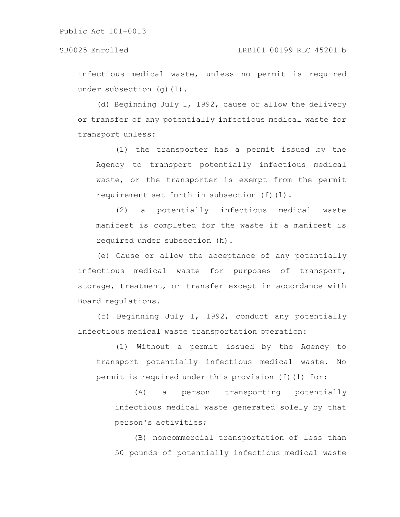## SB0025 Enrolled LRB101 00199 RLC 45201 b

infectious medical waste, unless no permit is required under subsection (q)(1).

(d) Beginning July 1, 1992, cause or allow the delivery or transfer of any potentially infectious medical waste for transport unless:

(1) the transporter has a permit issued by the Agency to transport potentially infectious medical waste, or the transporter is exempt from the permit requirement set forth in subsection (f)(l).

(2) a potentially infectious medical waste manifest is completed for the waste if a manifest is required under subsection (h).

(e) Cause or allow the acceptance of any potentially infectious medical waste for purposes of transport, storage, treatment, or transfer except in accordance with Board regulations.

(f) Beginning July 1, 1992, conduct any potentially infectious medical waste transportation operation:

(1) Without a permit issued by the Agency to transport potentially infectious medical waste. No permit is required under this provision (f)(1) for:

(A) a person transporting potentially infectious medical waste generated solely by that person's activities;

(B) noncommercial transportation of less than 50 pounds of potentially infectious medical waste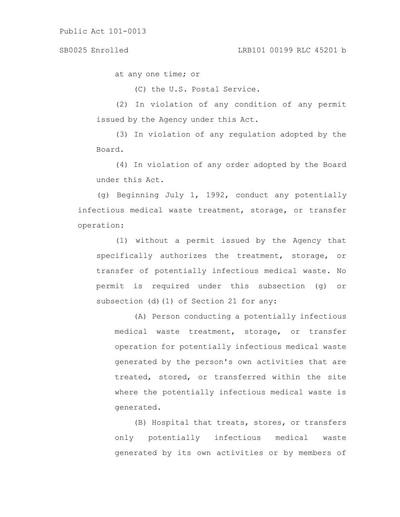## SB0025 Enrolled LRB101 00199 RLC 45201 b

at any one time; or

(C) the U.S. Postal Service.

(2) In violation of any condition of any permit issued by the Agency under this Act.

(3) In violation of any regulation adopted by the Board.

(4) In violation of any order adopted by the Board under this Act.

(g) Beginning July 1, 1992, conduct any potentially infectious medical waste treatment, storage, or transfer operation:

(1) without a permit issued by the Agency that specifically authorizes the treatment, storage, or transfer of potentially infectious medical waste. No permit is required under this subsection (g) or subsection (d)(1) of Section 21 for any:

(A) Person conducting a potentially infectious medical waste treatment, storage, or transfer operation for potentially infectious medical waste generated by the person's own activities that are treated, stored, or transferred within the site where the potentially infectious medical waste is generated.

(B) Hospital that treats, stores, or transfers only potentially infectious medical waste generated by its own activities or by members of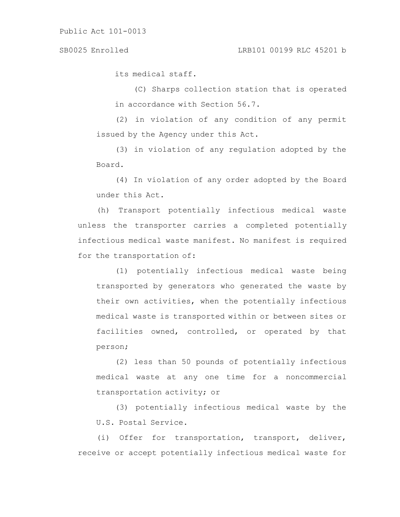its medical staff.

(C) Sharps collection station that is operated in accordance with Section 56.7.

(2) in violation of any condition of any permit issued by the Agency under this Act.

(3) in violation of any regulation adopted by the Board.

(4) In violation of any order adopted by the Board under this Act.

(h) Transport potentially infectious medical waste unless the transporter carries a completed potentially infectious medical waste manifest. No manifest is required for the transportation of:

(1) potentially infectious medical waste being transported by generators who generated the waste by their own activities, when the potentially infectious medical waste is transported within or between sites or facilities owned, controlled, or operated by that person;

(2) less than 50 pounds of potentially infectious medical waste at any one time for a noncommercial transportation activity; or

(3) potentially infectious medical waste by the U.S. Postal Service.

(i) Offer for transportation, transport, deliver, receive or accept potentially infectious medical waste for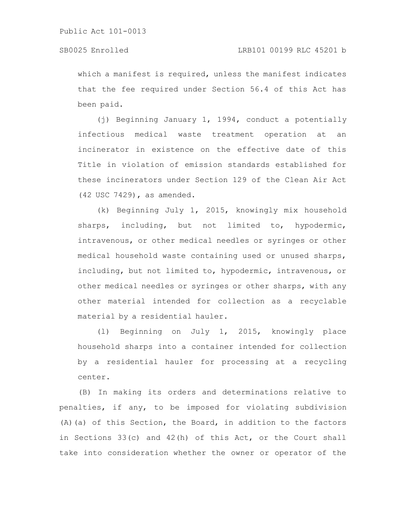which a manifest is required, unless the manifest indicates that the fee required under Section 56.4 of this Act has been paid.

(j) Beginning January 1, 1994, conduct a potentially infectious medical waste treatment operation at an incinerator in existence on the effective date of this Title in violation of emission standards established for these incinerators under Section 129 of the Clean Air Act (42 USC 7429), as amended.

(k) Beginning July 1, 2015, knowingly mix household sharps, including, but not limited to, hypodermic, intravenous, or other medical needles or syringes or other medical household waste containing used or unused sharps, including, but not limited to, hypodermic, intravenous, or other medical needles or syringes or other sharps, with any other material intended for collection as a recyclable material by a residential hauler.

(l) Beginning on July 1, 2015, knowingly place household sharps into a container intended for collection by a residential hauler for processing at a recycling center.

(B) In making its orders and determinations relative to penalties, if any, to be imposed for violating subdivision (A)(a) of this Section, the Board, in addition to the factors in Sections 33(c) and 42(h) of this Act, or the Court shall take into consideration whether the owner or operator of the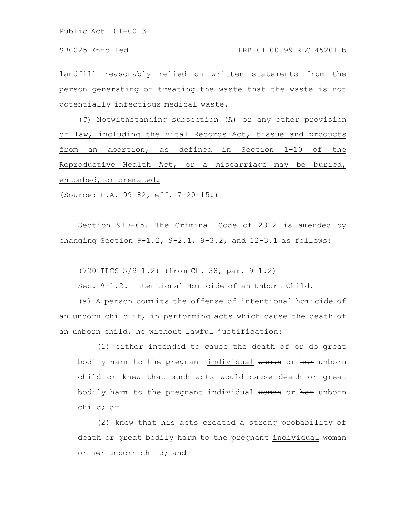landfill reasonably relied on written statements from the person generating or treating the waste that the waste is not potentially infectious medical waste.

(C) Notwithstanding subsection (A) or any other provision of law, including the Vital Records Act, tissue and products from an abortion, as defined in Section 1-10 of the Reproductive Health Act, or a miscarriage may be buried, entombed, or cremated.

(Source: P.A. 99-82, eff. 7-20-15.)

Section 910-65. The Criminal Code of 2012 is amended by changing Section  $9-1.2$ ,  $9-2.1$ ,  $9-3.2$ , and  $12-3.1$  as follows:

(720 ILCS 5/9-1.2) (from Ch. 38, par. 9-1.2)

Sec. 9-1.2. Intentional Homicide of an Unborn Child.

(a) A person commits the offense of intentional homicide of an unborn child if, in performing acts which cause the death of an unborn child, he without lawful justification:

(1) either intended to cause the death of or do great bodily harm to the pregnant individual woman or her unborn child or knew that such acts would cause death or great bodily harm to the pregnant individual woman or her unborn child; or

(2) knew that his acts created a strong probability of death or great bodily harm to the pregnant individual woman or her unborn child; and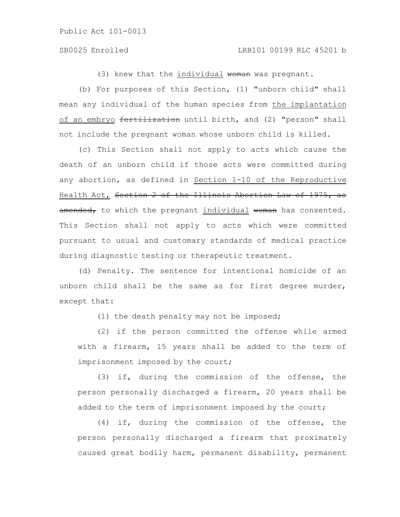(3) knew that the individual woman was pregnant.

(b) For purposes of this Section, (1) "unborn child" shall mean any individual of the human species from the implantation of an embryo fertilization until birth, and (2) "person" shall not include the pregnant woman whose unborn child is killed.

(c) This Section shall not apply to acts which cause the death of an unborn child if those acts were committed during any abortion, as defined in Section 1-10 of the Reproductive Health Act, Section 2 of the Illinois Abortion Law of 1975, as amended, to which the pregnant individual woman has consented. This Section shall not apply to acts which were committed pursuant to usual and customary standards of medical practice during diagnostic testing or therapeutic treatment.

(d) Penalty. The sentence for intentional homicide of an unborn child shall be the same as for first degree murder, except that:

(1) the death penalty may not be imposed;

(2) if the person committed the offense while armed with a firearm, 15 years shall be added to the term of imprisonment imposed by the court;

(3) if, during the commission of the offense, the person personally discharged a firearm, 20 years shall be added to the term of imprisonment imposed by the court;

(4) if, during the commission of the offense, the person personally discharged a firearm that proximately caused great bodily harm, permanent disability, permanent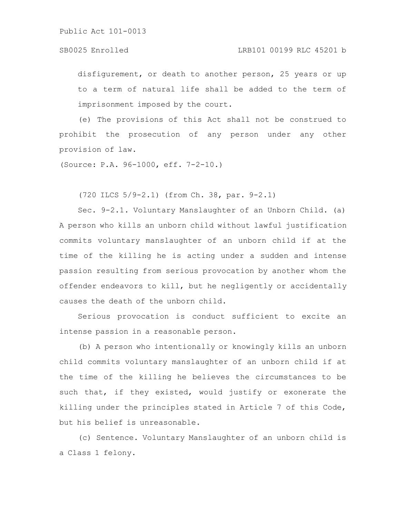disfigurement, or death to another person, 25 years or up to a term of natural life shall be added to the term of imprisonment imposed by the court.

(e) The provisions of this Act shall not be construed to prohibit the prosecution of any person under any other provision of law.

(Source: P.A. 96-1000, eff. 7-2-10.)

(720 ILCS 5/9-2.1) (from Ch. 38, par. 9-2.1)

Sec. 9-2.1. Voluntary Manslaughter of an Unborn Child. (a) A person who kills an unborn child without lawful justification commits voluntary manslaughter of an unborn child if at the time of the killing he is acting under a sudden and intense passion resulting from serious provocation by another whom the offender endeavors to kill, but he negligently or accidentally causes the death of the unborn child.

Serious provocation is conduct sufficient to excite an intense passion in a reasonable person.

(b) A person who intentionally or knowingly kills an unborn child commits voluntary manslaughter of an unborn child if at the time of the killing he believes the circumstances to be such that, if they existed, would justify or exonerate the killing under the principles stated in Article 7 of this Code, but his belief is unreasonable.

(c) Sentence. Voluntary Manslaughter of an unborn child is a Class 1 felony.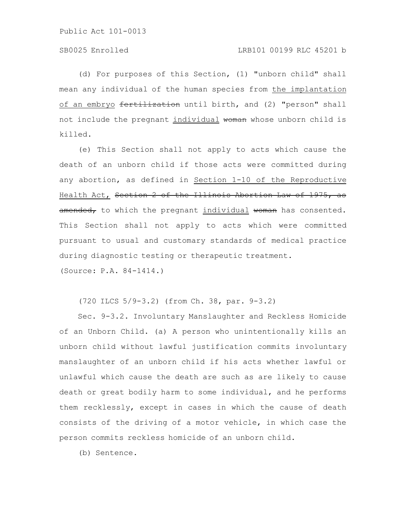(d) For purposes of this Section, (1) "unborn child" shall mean any individual of the human species from the implantation of an embryo fertilization until birth, and (2) "person" shall not include the pregnant individual woman whose unborn child is killed.

(e) This Section shall not apply to acts which cause the death of an unborn child if those acts were committed during any abortion, as defined in Section 1-10 of the Reproductive Health Act, Section 2 of the Illinois Abortion Law of 1975, as amended, to which the pregnant individual woman has consented. This Section shall not apply to acts which were committed pursuant to usual and customary standards of medical practice during diagnostic testing or therapeutic treatment.

(Source: P.A. 84-1414.)

(720 ILCS 5/9-3.2) (from Ch. 38, par. 9-3.2)

Sec. 9-3.2. Involuntary Manslaughter and Reckless Homicide of an Unborn Child. (a) A person who unintentionally kills an unborn child without lawful justification commits involuntary manslaughter of an unborn child if his acts whether lawful or unlawful which cause the death are such as are likely to cause death or great bodily harm to some individual, and he performs them recklessly, except in cases in which the cause of death consists of the driving of a motor vehicle, in which case the person commits reckless homicide of an unborn child.

(b) Sentence.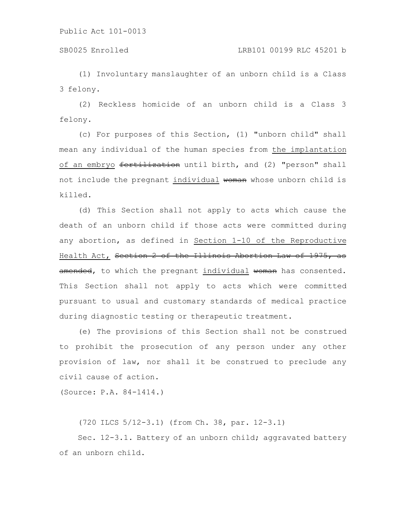## SB0025 Enrolled LRB101 00199 RLC 45201 b

(1) Involuntary manslaughter of an unborn child is a Class 3 felony.

(2) Reckless homicide of an unborn child is a Class 3 felony.

(c) For purposes of this Section, (1) "unborn child" shall mean any individual of the human species from the implantation of an embryo fertilization until birth, and (2) "person" shall not include the pregnant individual woman whose unborn child is killed.

(d) This Section shall not apply to acts which cause the death of an unborn child if those acts were committed during any abortion, as defined in Section 1-10 of the Reproductive Health Act, Section 2 of the Illinois Abortion Law of 1975, as amended, to which the pregnant individual woman has consented. This Section shall not apply to acts which were committed pursuant to usual and customary standards of medical practice during diagnostic testing or therapeutic treatment.

(e) The provisions of this Section shall not be construed to prohibit the prosecution of any person under any other provision of law, nor shall it be construed to preclude any civil cause of action.

(Source: P.A. 84-1414.)

(720 ILCS 5/12-3.1) (from Ch. 38, par. 12-3.1)

Sec. 12-3.1. Battery of an unborn child; aggravated battery of an unborn child.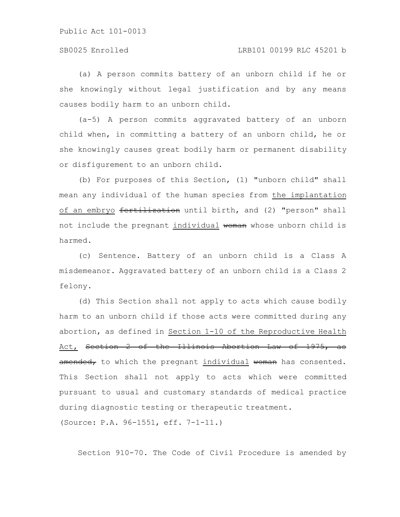(a) A person commits battery of an unborn child if he or she knowingly without legal justification and by any means causes bodily harm to an unborn child.

(a-5) A person commits aggravated battery of an unborn child when, in committing a battery of an unborn child, he or she knowingly causes great bodily harm or permanent disability or disfigurement to an unborn child.

(b) For purposes of this Section, (1) "unborn child" shall mean any individual of the human species from the implantation of an embryo fertilization until birth, and (2) "person" shall not include the pregnant individual woman whose unborn child is harmed.

(c) Sentence. Battery of an unborn child is a Class A misdemeanor. Aggravated battery of an unborn child is a Class 2 felony.

(d) This Section shall not apply to acts which cause bodily harm to an unborn child if those acts were committed during any abortion, as defined in Section 1-10 of the Reproductive Health Act, Section 2 of the Illinois Abortion Law of 1975, as amended, to which the pregnant individual woman has consented. This Section shall not apply to acts which were committed pursuant to usual and customary standards of medical practice during diagnostic testing or therapeutic treatment. (Source: P.A. 96-1551, eff. 7-1-11.)

Section 910-70. The Code of Civil Procedure is amended by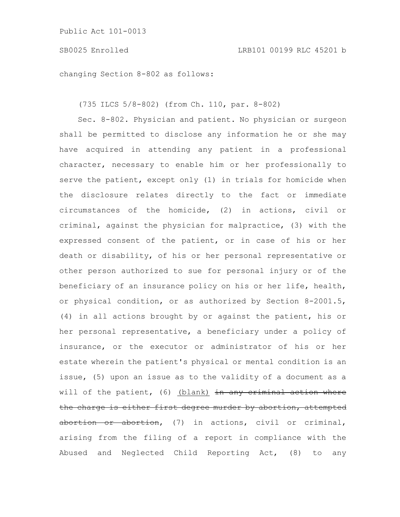## SB0025 Enrolled LRB101 00199 RLC 45201 b

changing Section 8-802 as follows:

(735 ILCS 5/8-802) (from Ch. 110, par. 8-802)

Sec. 8-802. Physician and patient. No physician or surgeon shall be permitted to disclose any information he or she may have acquired in attending any patient in a professional character, necessary to enable him or her professionally to serve the patient, except only (1) in trials for homicide when the disclosure relates directly to the fact or immediate circumstances of the homicide, (2) in actions, civil or criminal, against the physician for malpractice, (3) with the expressed consent of the patient, or in case of his or her death or disability, of his or her personal representative or other person authorized to sue for personal injury or of the beneficiary of an insurance policy on his or her life, health, or physical condition, or as authorized by Section 8-2001.5, (4) in all actions brought by or against the patient, his or her personal representative, a beneficiary under a policy of insurance, or the executor or administrator of his or her estate wherein the patient's physical or mental condition is an issue, (5) upon an issue as to the validity of a document as a will of the patient, (6) (blank) in any criminal action where the charge is either first degree murder by abortion, attempted abortion or abortion, (7) in actions, civil or criminal, arising from the filing of a report in compliance with the Abused and Neglected Child Reporting Act, (8) to any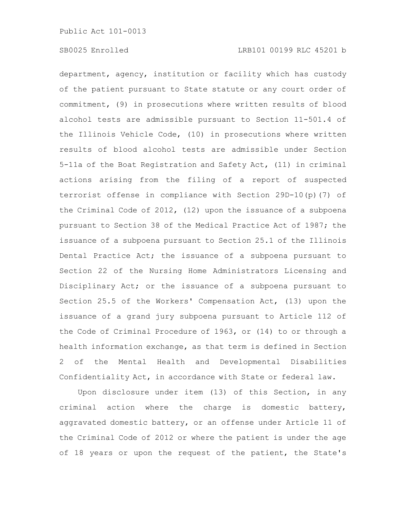department, agency, institution or facility which has custody of the patient pursuant to State statute or any court order of commitment, (9) in prosecutions where written results of blood alcohol tests are admissible pursuant to Section 11-501.4 of the Illinois Vehicle Code, (10) in prosecutions where written results of blood alcohol tests are admissible under Section 5-11a of the Boat Registration and Safety Act, (11) in criminal actions arising from the filing of a report of suspected terrorist offense in compliance with Section 29D-10(p)(7) of the Criminal Code of 2012, (12) upon the issuance of a subpoena pursuant to Section 38 of the Medical Practice Act of 1987; the issuance of a subpoena pursuant to Section 25.1 of the Illinois Dental Practice Act; the issuance of a subpoena pursuant to Section 22 of the Nursing Home Administrators Licensing and Disciplinary Act; or the issuance of a subpoena pursuant to Section 25.5 of the Workers' Compensation Act, (13) upon the issuance of a grand jury subpoena pursuant to Article 112 of the Code of Criminal Procedure of 1963, or (14) to or through a health information exchange, as that term is defined in Section 2 of the Mental Health and Developmental Disabilities Confidentiality Act, in accordance with State or federal law.

Upon disclosure under item (13) of this Section, in any criminal action where the charge is domestic battery, aggravated domestic battery, or an offense under Article 11 of the Criminal Code of 2012 or where the patient is under the age of 18 years or upon the request of the patient, the State's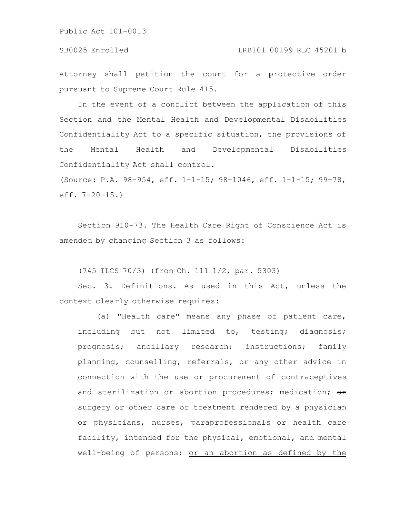### SB0025 Enrolled LRB101 00199 RLC 45201 b

Attorney shall petition the court for a protective order pursuant to Supreme Court Rule 415.

In the event of a conflict between the application of this Section and the Mental Health and Developmental Disabilities Confidentiality Act to a specific situation, the provisions of the Mental Health and Developmental Disabilities Confidentiality Act shall control.

(Source: P.A. 98-954, eff. 1-1-15; 98-1046, eff. 1-1-15; 99-78, eff. 7-20-15.)

Section 910-73. The Health Care Right of Conscience Act is amended by changing Section 3 as follows:

(745 ILCS 70/3) (from Ch. 111 1/2, par. 5303)

Sec. 3. Definitions. As used in this Act, unless the context clearly otherwise requires:

(a) "Health care" means any phase of patient care, including but not limited to, testing; diagnosis; prognosis; ancillary research; instructions; family planning, counselling, referrals, or any other advice in connection with the use or procurement of contraceptives and sterilization or abortion procedures; medication;  $\Theta$ r surgery or other care or treatment rendered by a physician or physicians, nurses, paraprofessionals or health care facility, intended for the physical, emotional, and mental well-being of persons; or an abortion as defined by the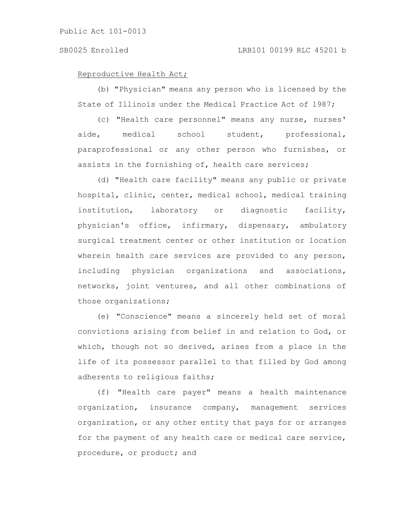#### Reproductive Health Act;

(b) "Physician" means any person who is licensed by the State of Illinois under the Medical Practice Act of 1987;

(c) "Health care personnel" means any nurse, nurses' aide, medical school student, professional, paraprofessional or any other person who furnishes, or assists in the furnishing of, health care services;

(d) "Health care facility" means any public or private hospital, clinic, center, medical school, medical training institution, laboratory or diagnostic facility, physician's office, infirmary, dispensary, ambulatory surgical treatment center or other institution or location wherein health care services are provided to any person, including physician organizations and associations, networks, joint ventures, and all other combinations of those organizations;

(e) "Conscience" means a sincerely held set of moral convictions arising from belief in and relation to God, or which, though not so derived, arises from a place in the life of its possessor parallel to that filled by God among adherents to religious faiths;

(f) "Health care payer" means a health maintenance organization, insurance company, management services organization, or any other entity that pays for or arranges for the payment of any health care or medical care service, procedure, or product; and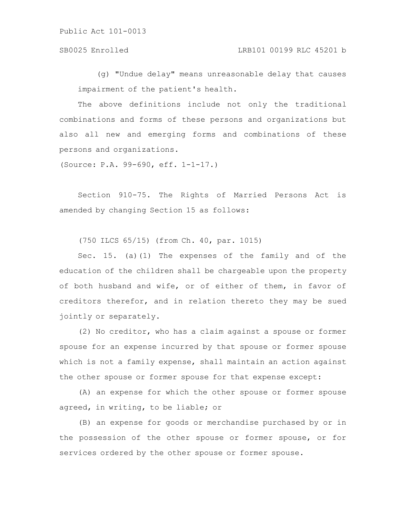(g) "Undue delay" means unreasonable delay that causes impairment of the patient's health.

The above definitions include not only the traditional combinations and forms of these persons and organizations but also all new and emerging forms and combinations of these persons and organizations.

(Source: P.A. 99-690, eff. 1-1-17.)

Section 910-75. The Rights of Married Persons Act is amended by changing Section 15 as follows:

(750 ILCS 65/15) (from Ch. 40, par. 1015)

Sec. 15. (a)(1) The expenses of the family and of the education of the children shall be chargeable upon the property of both husband and wife, or of either of them, in favor of creditors therefor, and in relation thereto they may be sued jointly or separately.

(2) No creditor, who has a claim against a spouse or former spouse for an expense incurred by that spouse or former spouse which is not a family expense, shall maintain an action against the other spouse or former spouse for that expense except:

(A) an expense for which the other spouse or former spouse agreed, in writing, to be liable; or

(B) an expense for goods or merchandise purchased by or in the possession of the other spouse or former spouse, or for services ordered by the other spouse or former spouse.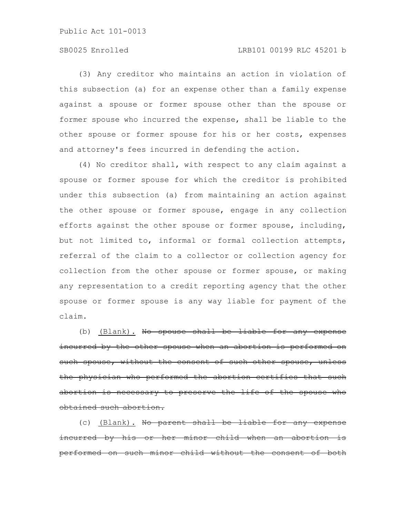## SB0025 Enrolled LRB101 00199 RLC 45201 b

(3) Any creditor who maintains an action in violation of this subsection (a) for an expense other than a family expense against a spouse or former spouse other than the spouse or former spouse who incurred the expense, shall be liable to the other spouse or former spouse for his or her costs, expenses and attorney's fees incurred in defending the action.

(4) No creditor shall, with respect to any claim against a spouse or former spouse for which the creditor is prohibited under this subsection (a) from maintaining an action against the other spouse or former spouse, engage in any collection efforts against the other spouse or former spouse, including, but not limited to, informal or formal collection attempts, referral of the claim to a collector or collection agency for collection from the other spouse or former spouse, or making any representation to a credit reporting agency that the other spouse or former spouse is any way liable for payment of the claim.

(b) (Blank). No spouse shall be liable for any incurred by the other spouse when an abortion is performed on such spouse, without the consent of such other spouse, the physician who performed the abortion certifies abortion is necessary to preserve the life of the spouse who obtained such abortion.

(c) (Blank). No parent shall be liable for any incurred by his or her minor child when an aborti performed on such minor child without the consent